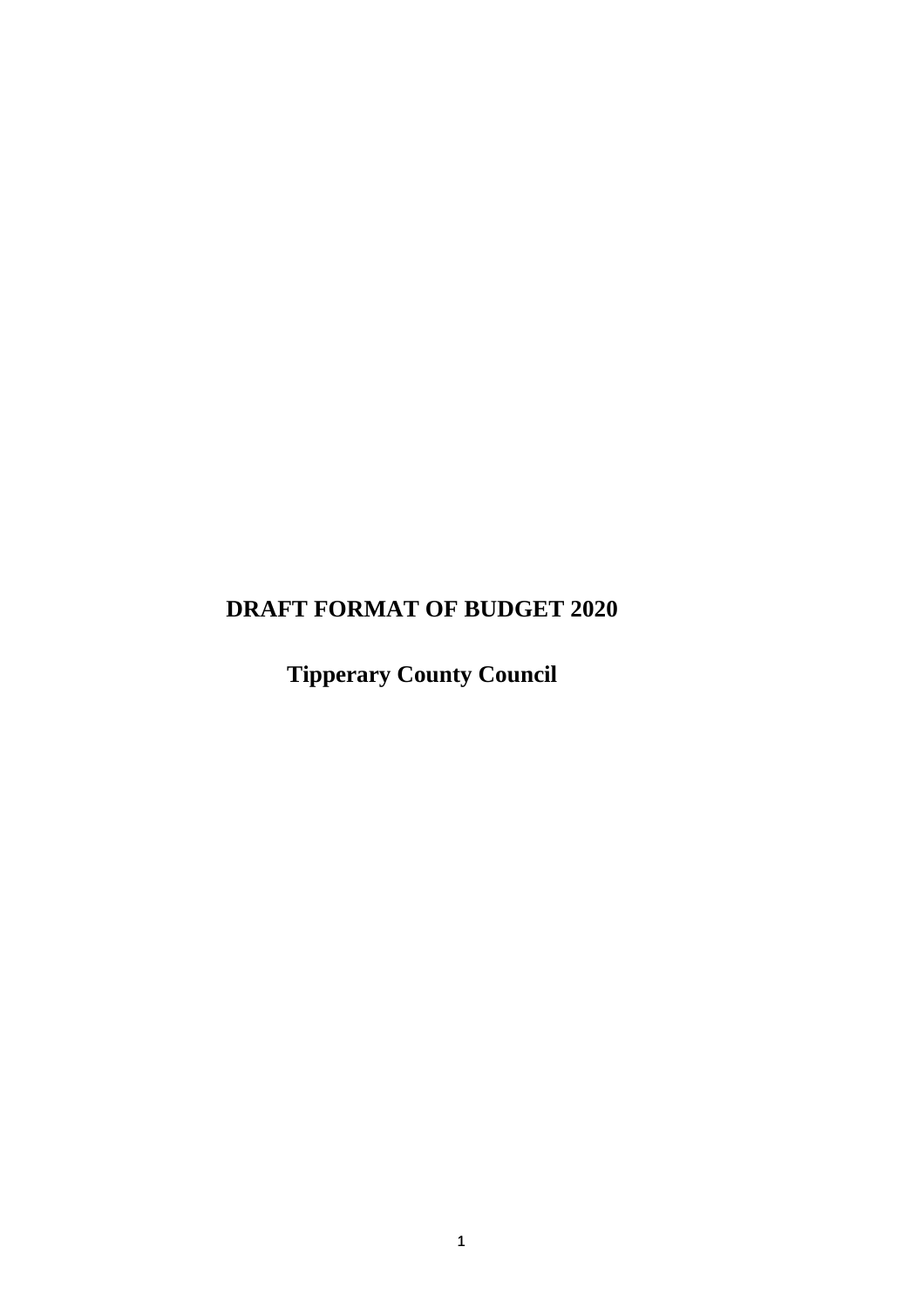## **DRAFT FORMAT OF BUDGET 2020**

**Tipperary County Council**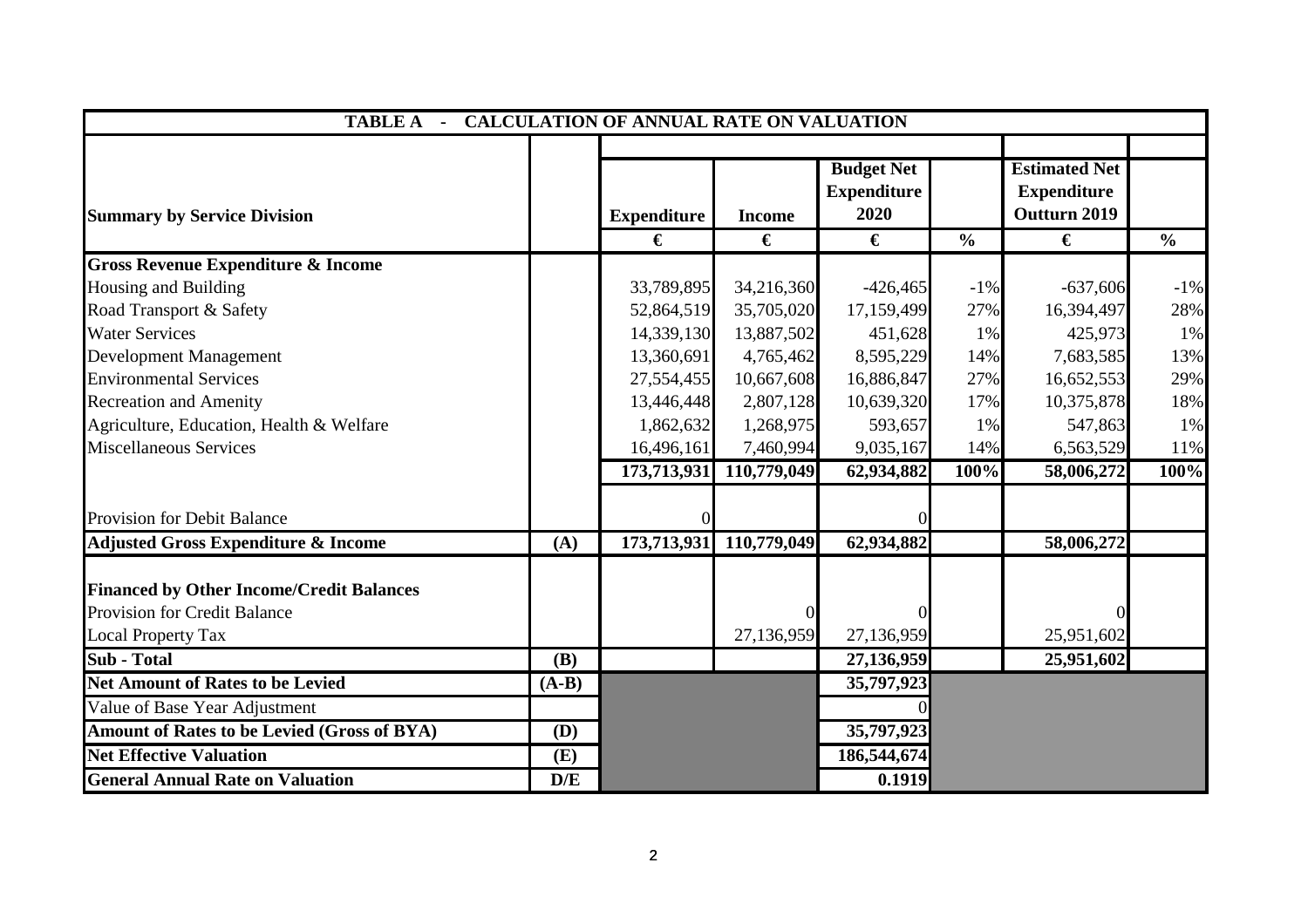|                                                 | <b>TABLE A - CALCULATION OF ANNUAL RATE ON VALUATION</b> |                    |                |                                                 |               |                                                            |               |  |  |
|-------------------------------------------------|----------------------------------------------------------|--------------------|----------------|-------------------------------------------------|---------------|------------------------------------------------------------|---------------|--|--|
| <b>Summary by Service Division</b>              |                                                          | <b>Expenditure</b> | <b>Income</b>  | <b>Budget Net</b><br><b>Expenditure</b><br>2020 |               | <b>Estimated Net</b><br><b>Expenditure</b><br>Outturn 2019 |               |  |  |
|                                                 |                                                          | €                  | €              | €                                               | $\frac{0}{0}$ | €                                                          | $\frac{6}{6}$ |  |  |
| <b>Gross Revenue Expenditure &amp; Income</b>   |                                                          |                    |                |                                                 |               |                                                            |               |  |  |
| Housing and Building                            |                                                          | 33,789,895         | 34,216,360     | $-426,465$                                      | $-1\%$        | $-637,606$                                                 | $-1\%$        |  |  |
| Road Transport & Safety                         |                                                          | 52,864,519         | 35,705,020     | 17,159,499                                      | 27%           | 16,394,497                                                 | 28%           |  |  |
| <b>Water Services</b>                           |                                                          | 14,339,130         | 13,887,502     | 451,628                                         | 1%            | 425,973                                                    | 1%            |  |  |
| <b>Development Management</b>                   |                                                          | 13,360,691         | 4,765,462      | 8,595,229                                       | 14%           | 7,683,585                                                  | 13%           |  |  |
| <b>Environmental Services</b>                   |                                                          | 27,554,455         | 10,667,608     | 16,886,847                                      | 27%           | 16,652,553                                                 | 29%           |  |  |
| <b>Recreation and Amenity</b>                   |                                                          | 13,446,448         | 2,807,128      | 10,639,320                                      | 17%           | 10,375,878                                                 | 18%           |  |  |
| Agriculture, Education, Health & Welfare        |                                                          | 1,862,632          | 1,268,975      | 593,657                                         | 1%            | 547,863                                                    | 1%            |  |  |
| <b>Miscellaneous Services</b>                   |                                                          | 16,496,161         | 7,460,994      | 9,035,167                                       | 14%           | 6,563,529                                                  | 11%           |  |  |
|                                                 |                                                          | 173,713,931        | 110,779,049    | 62,934,882                                      | 100%          | 58,006,272                                                 | 100%          |  |  |
| Provision for Debit Balance                     |                                                          |                    |                |                                                 |               |                                                            |               |  |  |
| <b>Adjusted Gross Expenditure &amp; Income</b>  | (A)                                                      | 173,713,931        | 110,779,049    | 62,934,882                                      |               | 58,006,272                                                 |               |  |  |
| <b>Financed by Other Income/Credit Balances</b> |                                                          |                    |                |                                                 |               |                                                            |               |  |  |
| <b>Provision for Credit Balance</b>             |                                                          |                    | $\overline{0}$ |                                                 |               |                                                            |               |  |  |
| <b>Local Property Tax</b>                       |                                                          |                    | 27,136,959     | 27,136,959                                      |               | 25,951,602                                                 |               |  |  |
| Sub - Total                                     | <b>(B)</b>                                               |                    |                | 27,136,959                                      |               | 25,951,602                                                 |               |  |  |
| <b>Net Amount of Rates to be Levied</b>         | $(A-B)$                                                  |                    |                | 35,797,923                                      |               |                                                            |               |  |  |
| Value of Base Year Adjustment                   |                                                          |                    |                |                                                 |               |                                                            |               |  |  |
| Amount of Rates to be Levied (Gross of BYA)     | (D)                                                      |                    |                | 35,797,923                                      |               |                                                            |               |  |  |
| <b>Net Effective Valuation</b>                  | (E)                                                      |                    |                | 186,544,674                                     |               |                                                            |               |  |  |
| <b>General Annual Rate on Valuation</b>         | D/E                                                      |                    |                | 0.1919                                          |               |                                                            |               |  |  |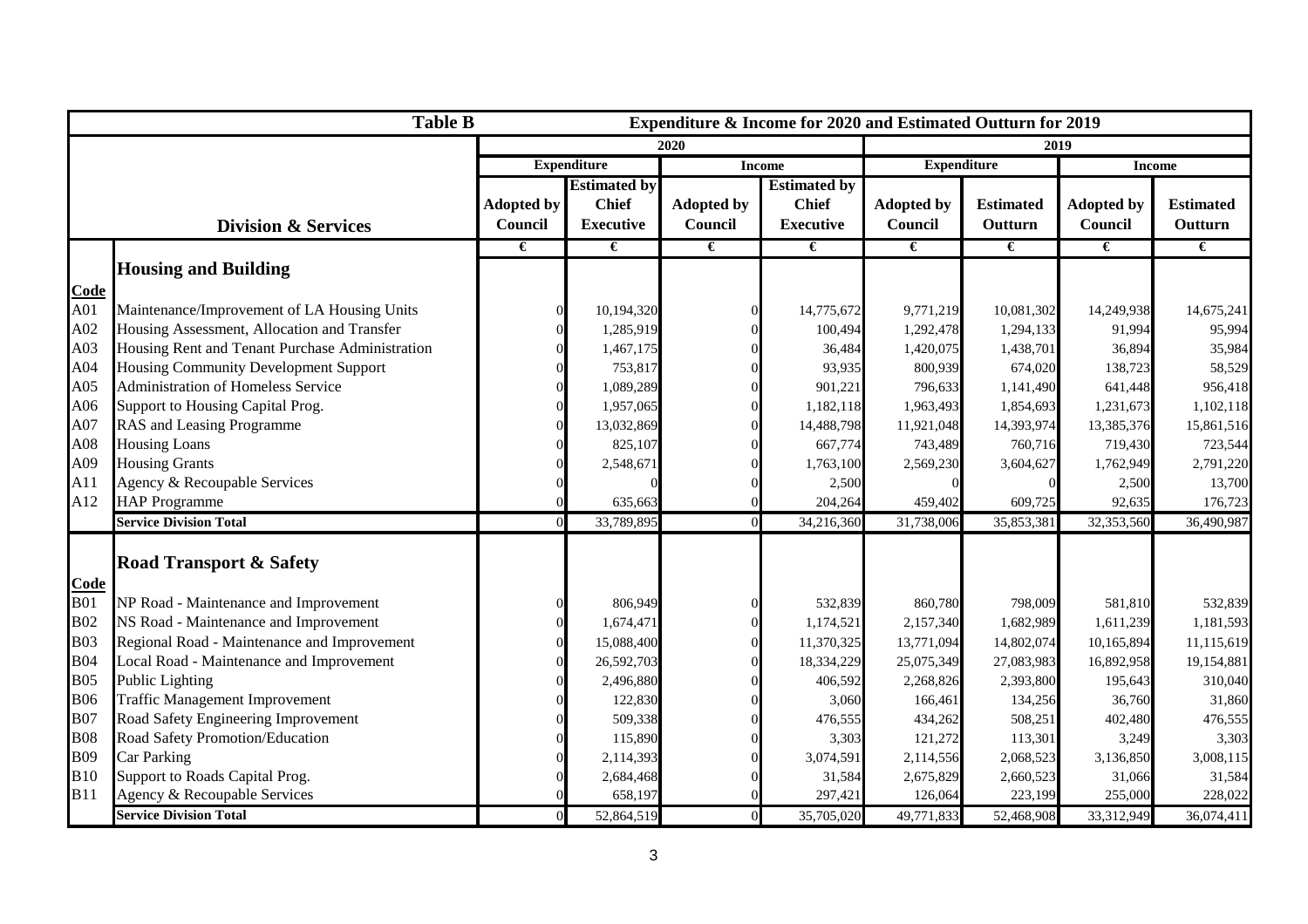| <b>Table B</b><br>Expenditure & Income for 2020 and Estimated Outturn for 2019 |                                                 |                   |                                                           |                   |                     |                   |                  |                   |                       |
|--------------------------------------------------------------------------------|-------------------------------------------------|-------------------|-----------------------------------------------------------|-------------------|---------------------|-------------------|------------------|-------------------|-----------------------|
|                                                                                |                                                 |                   |                                                           | 2020              |                     |                   | 2019             |                   |                       |
|                                                                                |                                                 |                   | <b>Expenditure</b><br><b>Expenditure</b><br><b>Income</b> |                   |                     | <b>Income</b>     |                  |                   |                       |
|                                                                                |                                                 |                   | <b>Estimated by</b>                                       |                   | <b>Estimated by</b> |                   |                  |                   |                       |
|                                                                                |                                                 | <b>Adopted by</b> | <b>Chief</b>                                              | <b>Adopted by</b> | <b>Chief</b>        | <b>Adopted by</b> | <b>Estimated</b> | <b>Adopted by</b> | <b>Estimated</b>      |
|                                                                                | <b>Division &amp; Services</b>                  | Council           | <b>Executive</b>                                          | Council           | <b>Executive</b>    | Council           | Outturn          | Council           | Outturn               |
|                                                                                |                                                 | €                 | €                                                         | €                 | €                   | €                 | €                | €                 | $\overline{\epsilon}$ |
|                                                                                | <b>Housing and Building</b>                     |                   |                                                           |                   |                     |                   |                  |                   |                       |
| Code                                                                           |                                                 |                   |                                                           |                   |                     |                   |                  |                   |                       |
| A01                                                                            | Maintenance/Improvement of LA Housing Units     |                   | 10,194,320                                                |                   | 14,775,672          | 9,771,219         | 10,081,302       | 14,249,938        | 14,675,241            |
| A02                                                                            | Housing Assessment, Allocation and Transfer     |                   | 1,285,919                                                 |                   | 100,494             | 1,292,478         | 1,294,133        | 91,994            | 95,994                |
| A03                                                                            | Housing Rent and Tenant Purchase Administration |                   | 1,467,175                                                 |                   | 36,484              | 1,420,075         | 1,438,701        | 36,894            | 35,984                |
| A04                                                                            | <b>Housing Community Development Support</b>    |                   | 753,817                                                   |                   | 93,935              | 800,939           | 674,020          | 138,723           | 58,529                |
| A05                                                                            | Administration of Homeless Service              |                   | 1,089,289                                                 |                   | 901,221             | 796,633           | 1,141,490        | 641,448           | 956,418               |
| A06                                                                            | Support to Housing Capital Prog.                |                   | 1,957,065                                                 |                   | 1,182,118           | 1,963,493         | 1,854,693        | 1,231,673         | 1,102,118             |
| A07                                                                            | RAS and Leasing Programme                       |                   | 13,032,869                                                |                   | 14,488,798          | 11,921,048        | 14,393,974       | 13,385,376        | 15,861,516            |
| A08                                                                            | <b>Housing Loans</b>                            |                   | 825,107                                                   |                   | 667,774             | 743,489           | 760,716          | 719,430           | 723,544               |
| A09                                                                            | <b>Housing Grants</b>                           |                   | 2,548,671                                                 |                   | 1,763,100           | 2,569,230         | 3,604,627        | 1,762,949         | 2,791,220             |
| A11                                                                            | Agency & Recoupable Services                    |                   |                                                           |                   | 2,500               |                   |                  | 2,500             | 13,700                |
| A12                                                                            | <b>HAP Programme</b>                            |                   | 635,663                                                   |                   | 204,264             | 459,402           | 609,725          | 92,635            | 176,723               |
|                                                                                | <b>Service Division Total</b>                   |                   | 33,789,895                                                |                   | 34,216,360          | 31,738,006        | 35,853,381       | 32,353,560        | 36,490,987            |
|                                                                                |                                                 |                   |                                                           |                   |                     |                   |                  |                   |                       |
|                                                                                | <b>Road Transport &amp; Safety</b>              |                   |                                                           |                   |                     |                   |                  |                   |                       |
| Code                                                                           |                                                 |                   |                                                           |                   |                     |                   |                  |                   |                       |
| <b>B01</b>                                                                     | NP Road - Maintenance and Improvement           |                   | 806,949                                                   |                   | 532,839             | 860,780           | 798,009          | 581,810           | 532,839               |
| <b>B02</b>                                                                     | NS Road - Maintenance and Improvement           |                   | 1,674,471                                                 |                   | 1,174,521           | 2,157,340         | 1,682,989        | 1,611,239         | 1,181,593             |
| <b>B03</b>                                                                     | Regional Road - Maintenance and Improvement     |                   | 15,088,400                                                |                   | 11,370,325          | 13,771,094        | 14,802,074       | 10,165,894        | 11,115,619            |
| <b>B04</b>                                                                     | Local Road - Maintenance and Improvement        |                   | 26,592,703                                                |                   | 18,334,229          | 25,075,349        | 27,083,983       | 16,892,958        | 19,154,881            |
| <b>B05</b>                                                                     | <b>Public Lighting</b>                          |                   | 2,496,880                                                 |                   | 406,592             | 2,268,826         | 2,393,800        | 195,643           | 310,040               |
| <b>B06</b>                                                                     | <b>Traffic Management Improvement</b>           |                   | 122,830                                                   |                   | 3,060               | 166,461           | 134,256          | 36,760            | 31,860                |
| <b>B07</b>                                                                     | Road Safety Engineering Improvement             |                   | 509,338                                                   |                   | 476,555             | 434,262           | 508,251          | 402,480           | 476,555               |
| <b>B08</b>                                                                     | Road Safety Promotion/Education                 |                   | 115,890                                                   |                   | 3,303               | 121,272           | 113,301          | 3,249             | 3,303                 |
| <b>B09</b>                                                                     | <b>Car Parking</b>                              |                   | 2,114,393                                                 |                   | 3,074,591           | 2,114,556         | 2,068,523        | 3,136,850         | 3,008,115             |
| <b>B10</b>                                                                     | Support to Roads Capital Prog.                  |                   | 2,684,468                                                 |                   | 31,584              | 2,675,829         | 2,660,523        | 31,066            | 31,584                |
| <b>B</b> 11                                                                    | Agency & Recoupable Services                    |                   | 658,197                                                   |                   | 297,421             | 126,064           | 223,199          | 255,000           | 228,022               |
|                                                                                | <b>Service Division Total</b>                   |                   | 52,864,519                                                | $\Omega$          | 35,705,020          | 49,771,833        | 52,468,908       | 33,312,949        | 36,074,411            |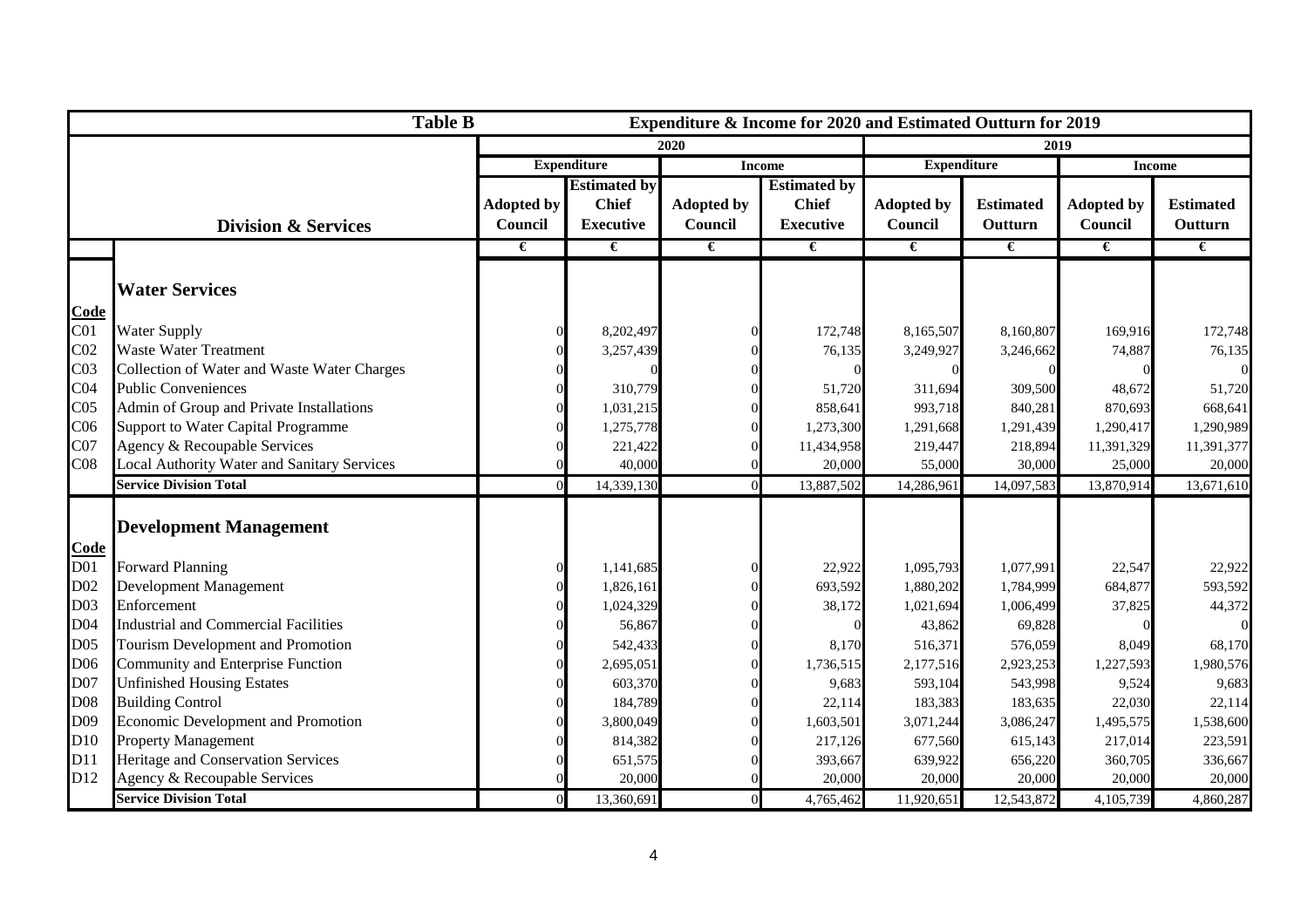|                 | <b>Table B</b>                              |                                     |                     |                                     | Expenditure & Income for 2020 and Estimated Outturn for 2019 |                   |                  |                   |                  |
|-----------------|---------------------------------------------|-------------------------------------|---------------------|-------------------------------------|--------------------------------------------------------------|-------------------|------------------|-------------------|------------------|
|                 |                                             |                                     |                     | 2020                                |                                                              |                   | 2019             |                   |                  |
|                 |                                             | <b>Expenditure</b><br><b>Income</b> |                     | <b>Expenditure</b><br><b>Income</b> |                                                              |                   |                  |                   |                  |
|                 |                                             |                                     | <b>Estimated by</b> |                                     | <b>Estimated by</b>                                          |                   |                  |                   |                  |
|                 |                                             | <b>Adopted by</b>                   | <b>Chief</b>        | <b>Adopted by</b>                   | <b>Chief</b>                                                 | <b>Adopted by</b> | <b>Estimated</b> | <b>Adopted by</b> | <b>Estimated</b> |
|                 | <b>Division &amp; Services</b>              | Council                             | <b>Executive</b>    | Council                             | <b>Executive</b>                                             | Council           | Outturn          | Council           | Outturn          |
|                 |                                             | €                                   | €                   | €                                   | €                                                            | $\epsilon$        | €                | €                 | €                |
|                 |                                             |                                     |                     |                                     |                                                              |                   |                  |                   |                  |
|                 | <b>Water Services</b>                       |                                     |                     |                                     |                                                              |                   |                  |                   |                  |
| Code            |                                             |                                     |                     |                                     |                                                              |                   |                  |                   |                  |
| C <sub>01</sub> | Water Supply                                |                                     | 8,202,497           |                                     | 172,748                                                      | 8,165,507         | 8,160,807        | 169,916           | 172,748          |
| C <sub>02</sub> | <b>Waste Water Treatment</b>                |                                     | 3,257,439           |                                     | 76,135                                                       | 3,249,927         | 3,246,662        | 74,887            | 76,135           |
| C <sub>03</sub> | Collection of Water and Waste Water Charges |                                     |                     |                                     |                                                              |                   |                  |                   | $\Omega$         |
| C <sub>04</sub> | <b>Public Conveniences</b>                  |                                     | 310,779             |                                     | 51,720                                                       | 311,694           | 309,500          | 48,672            | 51,720           |
| C <sub>05</sub> | Admin of Group and Private Installations    |                                     | 1,031,215           |                                     | 858,641                                                      | 993,718           | 840,281          | 870,693           | 668,641          |
| C <sub>06</sub> | Support to Water Capital Programme          |                                     | 1,275,778           |                                     | 1,273,300                                                    | 1,291,668         | 1,291,439        | 1,290,417         | 1,290,989        |
| C <sub>07</sub> | Agency & Recoupable Services                |                                     | 221,422             |                                     | 11,434,958                                                   | 219,447           | 218,894          | 11,391,329        | 11,391,377       |
| C <sub>08</sub> | Local Authority Water and Sanitary Services |                                     | 40,000              |                                     | 20,000                                                       | 55,000            | 30,000           | 25,000            | 20,000           |
|                 | <b>Service Division Total</b>               |                                     | 14,339,130          |                                     | 13,887,502                                                   | 14,286,961        | 14,097,583       | 13,870,914        | 13,671,610       |
|                 |                                             |                                     |                     |                                     |                                                              |                   |                  |                   |                  |
|                 | <b>Development Management</b>               |                                     |                     |                                     |                                                              |                   |                  |                   |                  |
| Code            |                                             |                                     |                     |                                     |                                                              |                   |                  |                   |                  |
| D <sub>01</sub> | <b>Forward Planning</b>                     |                                     | 1,141,685           |                                     | 22,922                                                       | 1,095,793         | 1,077,991        | 22,547            | 22,922           |
| D <sub>02</sub> | Development Management                      |                                     | 1,826,161           |                                     | 693,592                                                      | 1,880,202         | 1,784,999        | 684,877           | 593,592          |
| D03             | Enforcement                                 |                                     | 1,024,329           |                                     | 38,172                                                       | 1,021,694         | 1,006,499        | 37,825            | 44,372           |
| D <sub>04</sub> | <b>Industrial and Commercial Facilities</b> |                                     | 56,867              |                                     |                                                              | 43,862            | 69,828           |                   | $\Omega$         |
| D <sub>05</sub> | Tourism Development and Promotion           |                                     | 542,433             |                                     | 8,170                                                        | 516,371           | 576,059          | 8,049             | 68,170           |
| D06             | Community and Enterprise Function           |                                     | 2,695,051           |                                     | 1,736,515                                                    | 2,177,516         | 2,923,253        | 1,227,593         | 1,980,576        |
| D07             | <b>Unfinished Housing Estates</b>           |                                     | 603,370             |                                     | 9,683                                                        | 593,104           | 543,998          | 9,524             | 9,683            |
| D08             | <b>Building Control</b>                     |                                     | 184,789             |                                     | 22,114                                                       | 183,383           | 183,635          | 22,030            | 22,114           |
| D09             | Economic Development and Promotion          |                                     | 3,800,049           |                                     | 1,603,501                                                    | 3,071,244         | 3,086,247        | 1,495,575         | 1,538,600        |
| D10             | <b>Property Management</b>                  |                                     | 814,382             |                                     | 217,126                                                      | 677,560           | 615,143          | 217,014           | 223,591          |
| D11             | Heritage and Conservation Services          |                                     | 651,575             |                                     | 393,667                                                      | 639,922           | 656,220          | 360,705           | 336,667          |
| D <sub>12</sub> | Agency & Recoupable Services                |                                     | 20,000              |                                     | 20,000                                                       | 20,000            | 20,000           | 20,000            | 20,000           |
|                 | <b>Service Division Total</b>               |                                     | 13,360,691          |                                     | 4,765,462                                                    | 11,920,651        | 12,543,872       | 4,105,739         | 4,860,287        |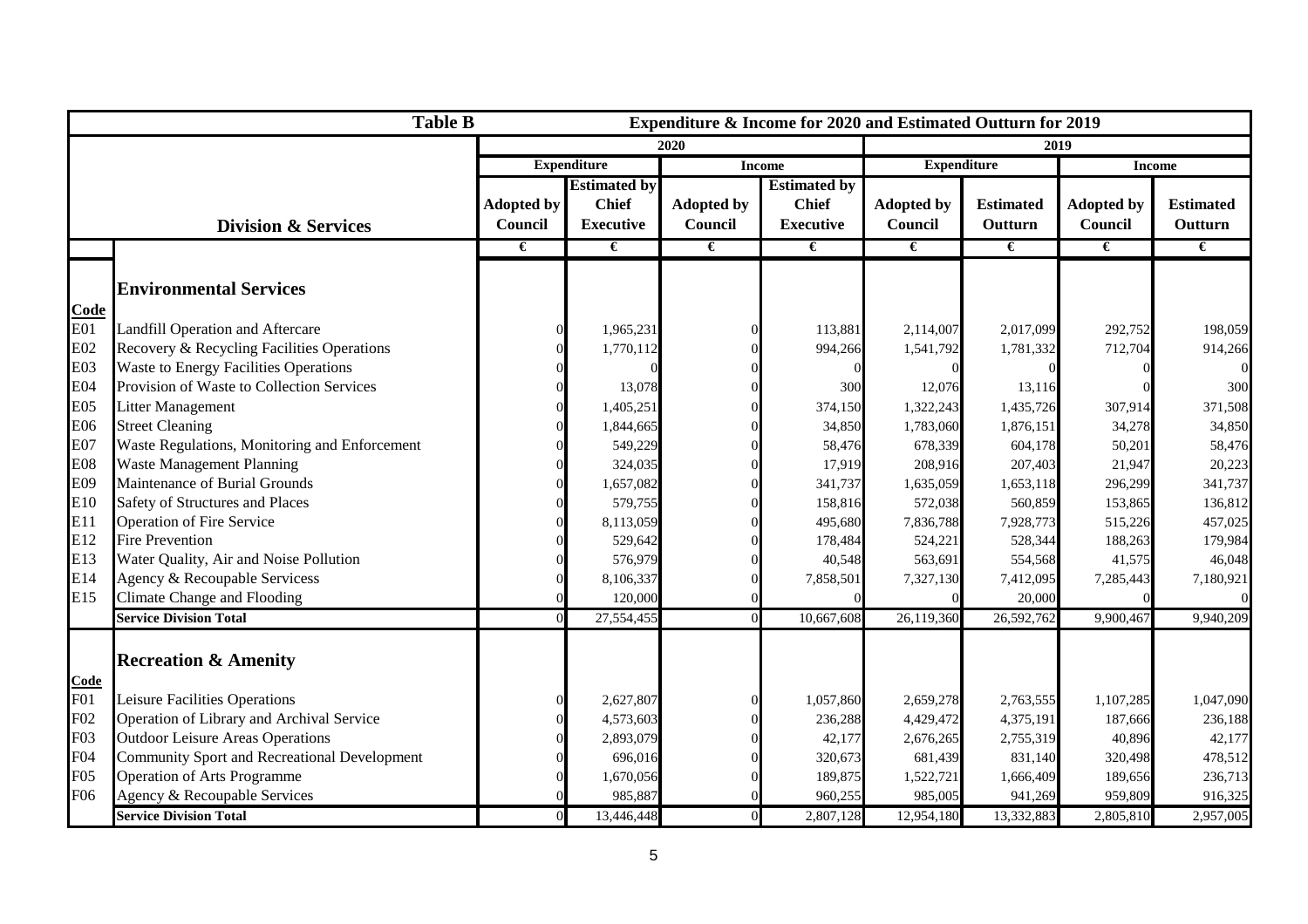|                  | <b>Table B</b>                                |                                     |                     |                   | Expenditure & Income for 2020 and Estimated Outturn for 2019 |                   |                  |                   |                  |
|------------------|-----------------------------------------------|-------------------------------------|---------------------|-------------------|--------------------------------------------------------------|-------------------|------------------|-------------------|------------------|
|                  |                                               |                                     |                     | 2020              |                                                              |                   |                  | 2019              |                  |
|                  |                                               | <b>Expenditure</b><br><b>Income</b> |                     |                   | <b>Expenditure</b>                                           |                   | <b>Income</b>    |                   |                  |
|                  |                                               |                                     | <b>Estimated by</b> |                   | <b>Estimated by</b>                                          |                   |                  |                   |                  |
|                  |                                               | <b>Adopted by</b>                   | <b>Chief</b>        | <b>Adopted by</b> | <b>Chief</b>                                                 | <b>Adopted by</b> | <b>Estimated</b> | <b>Adopted by</b> | <b>Estimated</b> |
|                  | <b>Division &amp; Services</b>                | Council                             | <b>Executive</b>    | Council           | <b>Executive</b>                                             | Council           | Outturn          | Council           | Outturn          |
|                  |                                               | €                                   | €                   | €                 | €                                                            | €                 | €                | €                 | €                |
|                  |                                               |                                     |                     |                   |                                                              |                   |                  |                   |                  |
|                  | <b>Environmental Services</b>                 |                                     |                     |                   |                                                              |                   |                  |                   |                  |
| Code             |                                               |                                     |                     |                   |                                                              |                   |                  |                   |                  |
| E01              | Landfill Operation and Aftercare              |                                     | 1,965,231           |                   | 113,881                                                      | 2,114,007         | 2,017,099        | 292,752           | 198,059          |
| E02              | Recovery & Recycling Facilities Operations    |                                     | 1,770,112           |                   | 994,266                                                      | 1,541,792         | 1,781,332        | 712,704           | 914,266          |
| E03              | <b>Waste to Energy Facilities Operations</b>  |                                     |                     |                   |                                                              |                   |                  |                   | $\Omega$         |
| E04              | Provision of Waste to Collection Services     |                                     | 13,078              |                   | 300                                                          | 12,076            | 13,116           |                   | 300              |
| E05              | <b>Litter Management</b>                      |                                     | 1,405,251           |                   | 374,150                                                      | 1,322,243         | 1,435,726        | 307,914           | 371,508          |
| E06              | <b>Street Cleaning</b>                        |                                     | 1,844,665           |                   | 34,850                                                       | 1,783,060         | 1,876,151        | 34,278            | 34,850           |
| E07              | Waste Regulations, Monitoring and Enforcement |                                     | 549,229             |                   | 58,476                                                       | 678,339           | 604,178          | 50,201            | 58,476           |
| E08              | Waste Management Planning                     |                                     | 324,035             |                   | 17,919                                                       | 208,916           | 207,403          | 21,947            | 20,223           |
| E09              | Maintenance of Burial Grounds                 |                                     | 1,657,082           |                   | 341,737                                                      | 1,635,059         | 1,653,118        | 296,299           | 341,737          |
| E10              | Safety of Structures and Places               |                                     | 579,755             |                   | 158,816                                                      | 572,038           | 560,859          | 153,865           | 136,812          |
| E11              | Operation of Fire Service                     |                                     | 8,113,059           |                   | 495,680                                                      | 7,836,788         | 7,928,773        | 515,226           | 457,025          |
| E12              | <b>Fire Prevention</b>                        |                                     | 529,642             |                   | 178,484                                                      | 524,221           | 528,344          | 188,263           | 179,984          |
| E13              | Water Quality, Air and Noise Pollution        |                                     | 576,979             |                   | 40,548                                                       | 563,691           | 554,568          | 41,575            | 46,048           |
| E14              | Agency & Recoupable Servicess                 |                                     | 8,106,337           |                   | 7,858,501                                                    | 7,327,130         | 7,412,095        | 7,285,443         | 7,180,921        |
| E15              | Climate Change and Flooding                   |                                     | 120,000             |                   |                                                              |                   | 20,000           |                   | $\overline{0}$   |
|                  | <b>Service Division Total</b>                 |                                     | 27,554,455          |                   | 10,667,608                                                   | 26,119,360        | 26,592,762       | 9,900,467         | 9,940,209        |
|                  |                                               |                                     |                     |                   |                                                              |                   |                  |                   |                  |
|                  | <b>Recreation &amp; Amenity</b>               |                                     |                     |                   |                                                              |                   |                  |                   |                  |
| <u>Code</u>      |                                               |                                     |                     |                   |                                                              |                   |                  |                   |                  |
| F01              | Leisure Facilities Operations                 |                                     | 2,627,807           |                   | 1,057,860                                                    | 2,659,278         | 2,763,555        | 1,107,285         | 1,047,090        |
| F <sub>02</sub>  | Operation of Library and Archival Service     |                                     | 4,573,603           |                   | 236,288                                                      | 4,429,472         | 4,375,191        | 187,666           | 236,188          |
| F <sub>0</sub> 3 | <b>Outdoor Leisure Areas Operations</b>       |                                     | 2,893,079           |                   | 42,177                                                       | 2,676,265         | 2,755,319        | 40,896            | 42,177           |
| F04              | Community Sport and Recreational Development  |                                     | 696,016             |                   | 320,673                                                      | 681,439           | 831,140          | 320,498           | 478,512          |
| F05              | Operation of Arts Programme                   |                                     | 1,670,056           |                   | 189,875                                                      | 1,522,721         | 1,666,409        | 189,656           | 236,713          |
| F06              | Agency & Recoupable Services                  |                                     | 985,887             |                   | 960,255                                                      | 985,005           | 941,269          | 959,809           | 916,325          |
|                  | <b>Service Division Total</b>                 |                                     | 13,446,448          |                   | 2,807,128                                                    | 12,954,180        | 13,332,883       | 2,805,810         | 2,957,005        |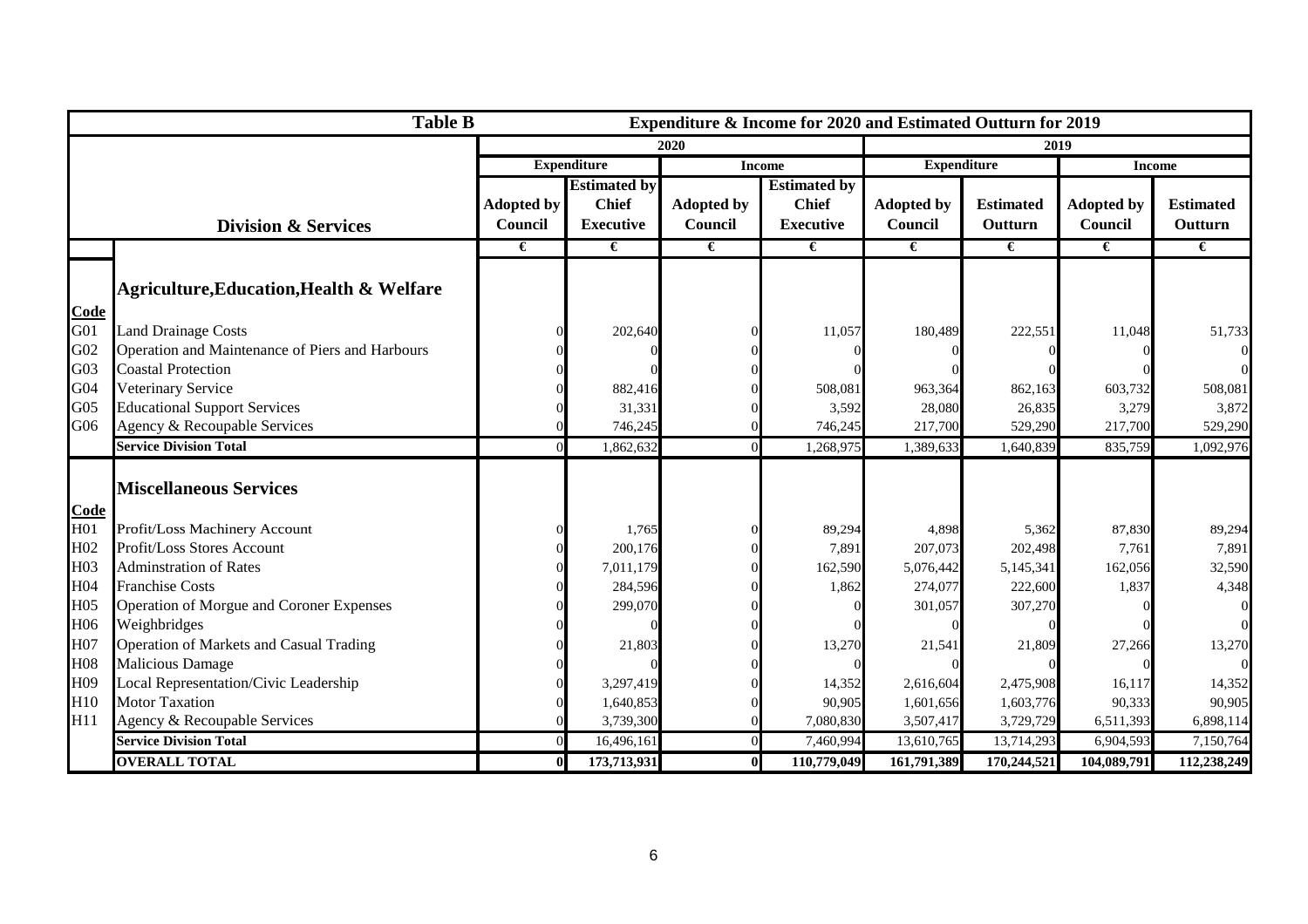|                 | <b>Table B</b><br>Expenditure & Income for 2020 and Estimated Outturn for 2019 |                   |                     |                   |                     |                   |                                     |                   |                  |  |
|-----------------|--------------------------------------------------------------------------------|-------------------|---------------------|-------------------|---------------------|-------------------|-------------------------------------|-------------------|------------------|--|
|                 |                                                                                |                   |                     | 2020              |                     |                   | 2019                                |                   |                  |  |
|                 |                                                                                |                   | <b>Expenditure</b>  |                   | <b>Income</b>       |                   | <b>Expenditure</b><br><b>Income</b> |                   |                  |  |
|                 |                                                                                |                   | <b>Estimated by</b> |                   | <b>Estimated by</b> |                   |                                     |                   |                  |  |
|                 |                                                                                | <b>Adopted by</b> | <b>Chief</b>        | <b>Adopted by</b> | <b>Chief</b>        | <b>Adopted by</b> | <b>Estimated</b>                    | <b>Adopted by</b> | <b>Estimated</b> |  |
|                 | <b>Division &amp; Services</b>                                                 | Council           | <b>Executive</b>    | Council           | <b>Executive</b>    | Council           | Outturn                             | Council           | Outturn          |  |
|                 |                                                                                | €                 | €                   | €                 | €                   | €                 | €                                   | $\epsilon$        | €                |  |
|                 |                                                                                |                   |                     |                   |                     |                   |                                     |                   |                  |  |
|                 | <b>Agriculture, Education, Health &amp; Welfare</b>                            |                   |                     |                   |                     |                   |                                     |                   |                  |  |
| Code            |                                                                                |                   |                     |                   |                     |                   |                                     |                   |                  |  |
| G <sub>01</sub> | <b>Land Drainage Costs</b>                                                     |                   | 202,640             |                   | 11,057              | 180,489           | 222,551                             | 11,048            | 51,733           |  |
| G <sub>02</sub> | Operation and Maintenance of Piers and Harbours                                |                   |                     |                   |                     |                   |                                     |                   | $\Omega$         |  |
| G <sub>03</sub> | <b>Coastal Protection</b>                                                      |                   |                     |                   |                     |                   |                                     |                   | $\Omega$         |  |
| G04             | Veterinary Service                                                             |                   | 882,416             |                   | 508,081             | 963,364           | 862,163                             | 603,732           | 508,081          |  |
| G <sub>05</sub> | <b>Educational Support Services</b>                                            |                   | 31,331              |                   | 3,592               | 28,080            | 26,835                              | 3,279             | 3,872            |  |
| G06             | Agency & Recoupable Services                                                   |                   | 746,245             |                   | 746,245             | 217,700           | 529,290                             | 217,700           | 529,290          |  |
|                 | <b>Service Division Total</b>                                                  |                   | 1,862,632           |                   | 1,268,975           | 1,389,63          | 1,640,839                           | 835,759           | 1,092,976        |  |
|                 |                                                                                |                   |                     |                   |                     |                   |                                     |                   |                  |  |
|                 | <b>Miscellaneous Services</b>                                                  |                   |                     |                   |                     |                   |                                     |                   |                  |  |
| Code            |                                                                                |                   |                     |                   |                     |                   |                                     |                   |                  |  |
| H <sub>01</sub> | Profit/Loss Machinery Account                                                  |                   | 1,765               |                   | 89,294              | 4,898             | 5,362                               | 87,830            | 89,294           |  |
| H <sub>02</sub> | Profit/Loss Stores Account                                                     |                   | 200,176             |                   | 7,891               | 207,073           | 202,498                             | 7,761             | 7,891            |  |
| H <sub>03</sub> | <b>Adminstration of Rates</b>                                                  |                   | 7,011,179           |                   | 162,590             | 5,076,442         | 5,145,341                           | 162,056           | 32,590           |  |
| H <sub>04</sub> | <b>Franchise Costs</b>                                                         |                   | 284,596             |                   | 1,862               | 274,077           | 222,600                             | 1,837             | 4,348            |  |
| H <sub>05</sub> | Operation of Morgue and Coroner Expenses                                       |                   | 299,070             |                   |                     | 301,057           | 307,270                             |                   |                  |  |
| H <sub>06</sub> | Weighbridges                                                                   |                   |                     |                   |                     |                   |                                     |                   | $\Omega$         |  |
| H07             | Operation of Markets and Casual Trading                                        |                   | 21,803              |                   | 13,270              | 21,541            | 21,809                              | 27,266            | 13,270           |  |
| H <sub>08</sub> | <b>Malicious Damage</b>                                                        |                   |                     |                   |                     |                   |                                     |                   | $\Omega$         |  |
| H09             | Local Representation/Civic Leadership                                          |                   | 3,297,419           |                   | 14,352              | 2,616,604         | 2,475,908                           | 16,117            | 14,352           |  |
| H <sub>10</sub> | <b>Motor Taxation</b>                                                          |                   | 1,640,853           |                   | 90,905              | 1,601,656         | 1,603,776                           | 90,333            | 90,905           |  |
| H <sub>11</sub> | Agency & Recoupable Services                                                   |                   | 3,739,300           |                   | 7,080,830           | 3,507,417         | 3,729,729                           | 6,511,393         | 6,898,114        |  |
|                 | <b>Service Division Total</b>                                                  |                   | 16,496,161          |                   | 7,460,994           | 13,610,765        | 13,714,293                          | 6,904,593         | 7,150,764        |  |
|                 | <b>OVERALL TOTAL</b>                                                           |                   | 173,713,931         |                   | 110,779,049         | 161,791,389       | 170,244,521                         | 104,089,791       | 112,238,249      |  |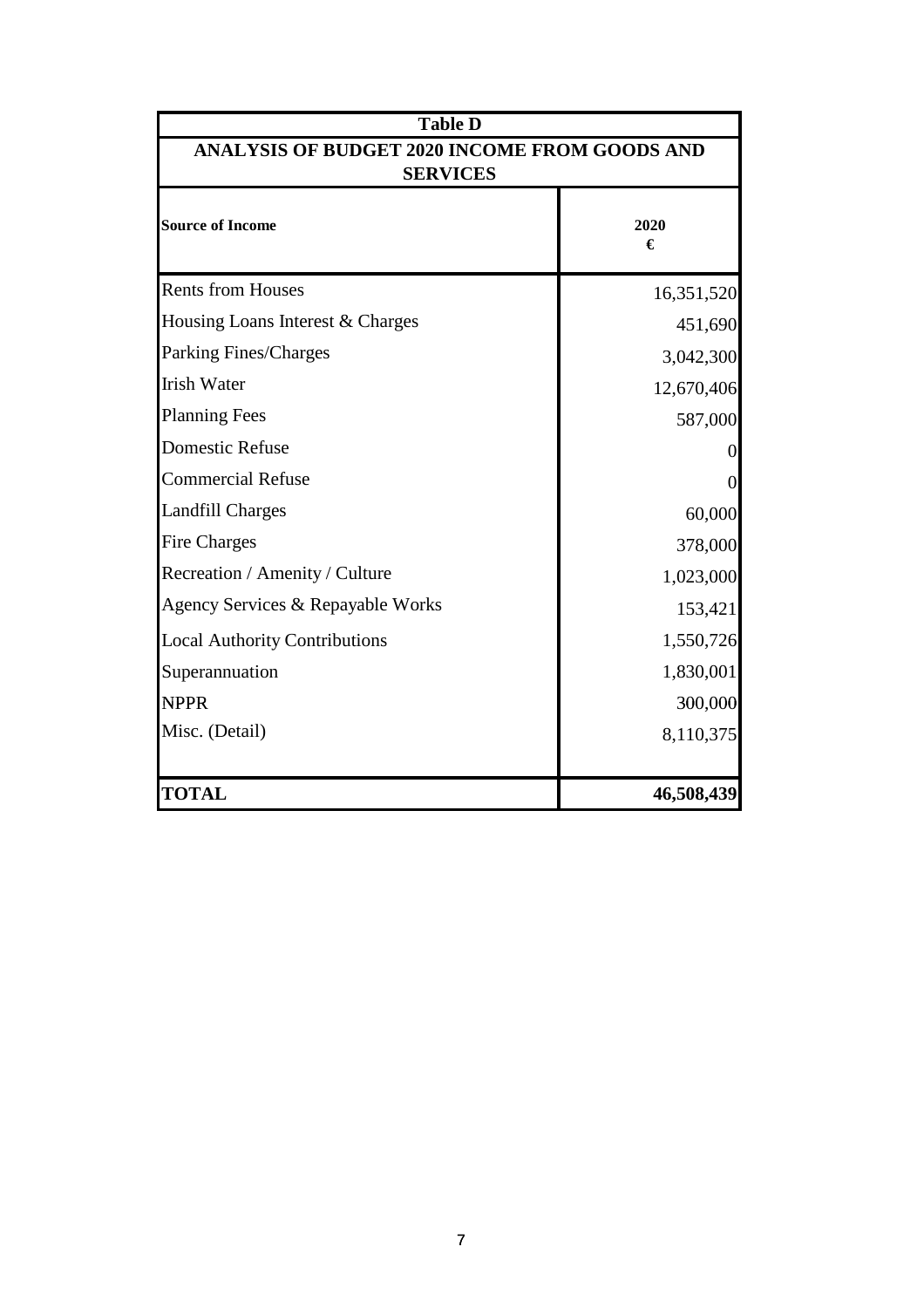| <b>Table D</b>                                                   |                |  |  |  |
|------------------------------------------------------------------|----------------|--|--|--|
| ANALYSIS OF BUDGET 2020 INCOME FROM GOODS AND<br><b>SERVICES</b> |                |  |  |  |
| <b>Source of Income</b>                                          | 2020<br>€      |  |  |  |
| <b>Rents from Houses</b>                                         | 16,351,520     |  |  |  |
| Housing Loans Interest & Charges                                 | 451,690        |  |  |  |
| Parking Fines/Charges                                            | 3,042,300      |  |  |  |
| <b>Irish Water</b>                                               | 12,670,406     |  |  |  |
| <b>Planning Fees</b>                                             | 587,000        |  |  |  |
| <b>Domestic Refuse</b>                                           | 0              |  |  |  |
| <b>Commercial Refuse</b>                                         | $\overline{0}$ |  |  |  |
| <b>Landfill Charges</b>                                          | 60,000         |  |  |  |
| <b>Fire Charges</b>                                              | 378,000        |  |  |  |
| Recreation / Amenity / Culture                                   | 1,023,000      |  |  |  |
| Agency Services & Repayable Works                                | 153,421        |  |  |  |
| <b>Local Authority Contributions</b>                             | 1,550,726      |  |  |  |
| Superannuation                                                   | 1,830,001      |  |  |  |
| <b>NPPR</b>                                                      | 300,000        |  |  |  |
| Misc. (Detail)                                                   | 8,110,375      |  |  |  |
| <b>TOTAL</b>                                                     | 46,508,439     |  |  |  |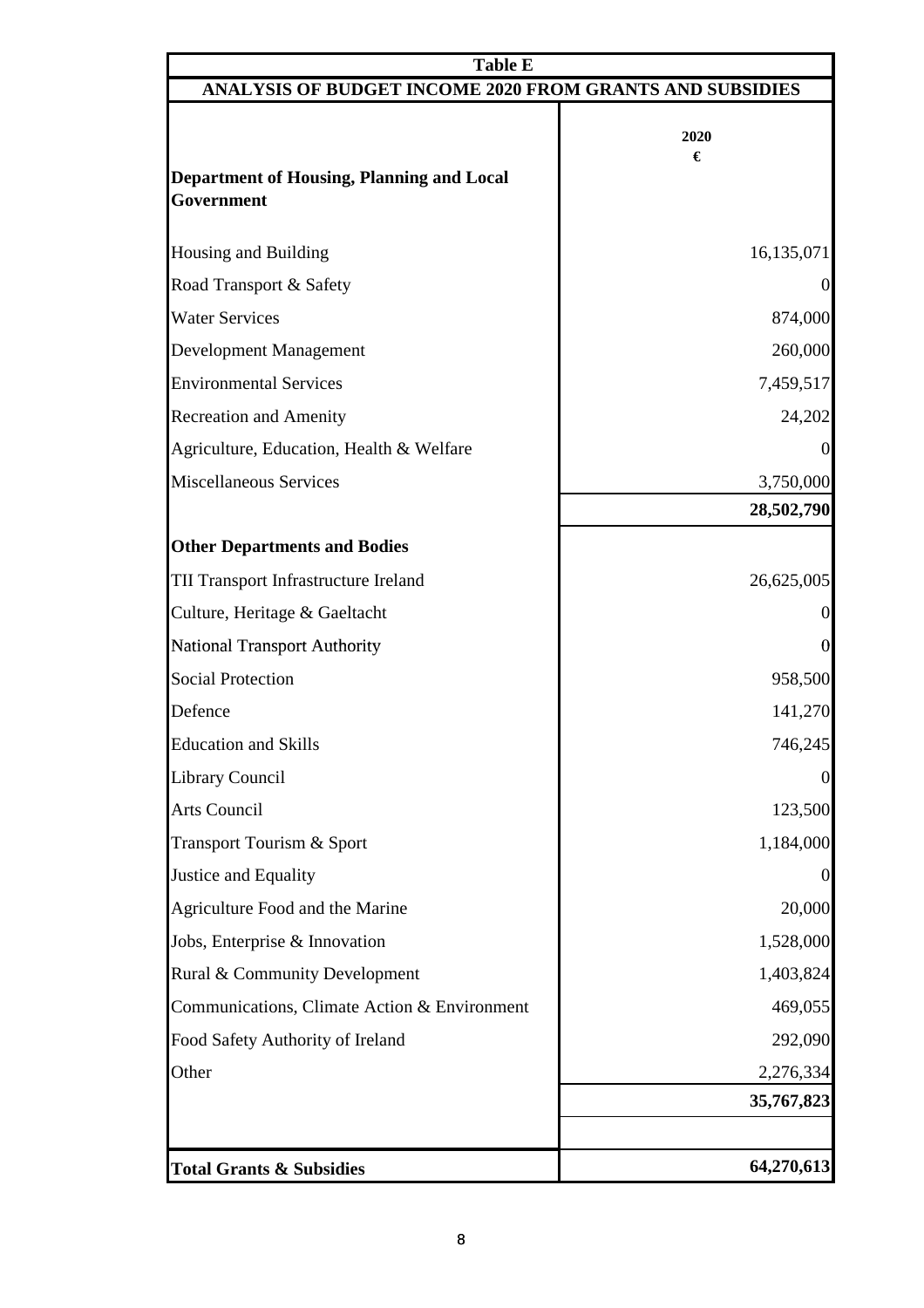| <b>Table E</b>                                                  |                  |
|-----------------------------------------------------------------|------------------|
| <b>ANALYSIS OF BUDGET INCOME 2020 FROM GRANTS AND SUBSIDIES</b> |                  |
| Department of Housing, Planning and Local                       | 2020<br>€        |
| Government                                                      |                  |
| <b>Housing and Building</b>                                     | 16,135,071       |
| Road Transport & Safety                                         | $\Omega$         |
| <b>Water Services</b>                                           | 874,000          |
| <b>Development Management</b>                                   | 260,000          |
| <b>Environmental Services</b>                                   | 7,459,517        |
| <b>Recreation and Amenity</b>                                   | 24,202           |
| Agriculture, Education, Health & Welfare                        | $\Omega$         |
| <b>Miscellaneous Services</b>                                   | 3,750,000        |
|                                                                 | 28,502,790       |
| <b>Other Departments and Bodies</b>                             |                  |
| TII Transport Infrastructure Ireland                            | 26,625,005       |
| Culture, Heritage & Gaeltacht                                   | $\Omega$         |
| <b>National Transport Authority</b>                             | $\boldsymbol{0}$ |
| <b>Social Protection</b>                                        | 958,500          |
| Defence                                                         | 141,270          |
| <b>Education and Skills</b>                                     | 746,245          |
| <b>Library Council</b>                                          | $\overline{0}$   |
| Arts Council                                                    | 123,500          |
| Transport Tourism & Sport                                       | 1,184,000        |
| Justice and Equality                                            | $\Omega$         |
| Agriculture Food and the Marine                                 | 20,000           |
| Jobs, Enterprise & Innovation                                   | 1,528,000        |
| Rural & Community Development                                   | 1,403,824        |
| Communications, Climate Action & Environment                    | 469,055          |
| Food Safety Authority of Ireland                                | 292,090          |
| Other                                                           | 2,276,334        |
|                                                                 | 35,767,823       |
|                                                                 |                  |
| <b>Total Grants &amp; Subsidies</b>                             | 64,270,613       |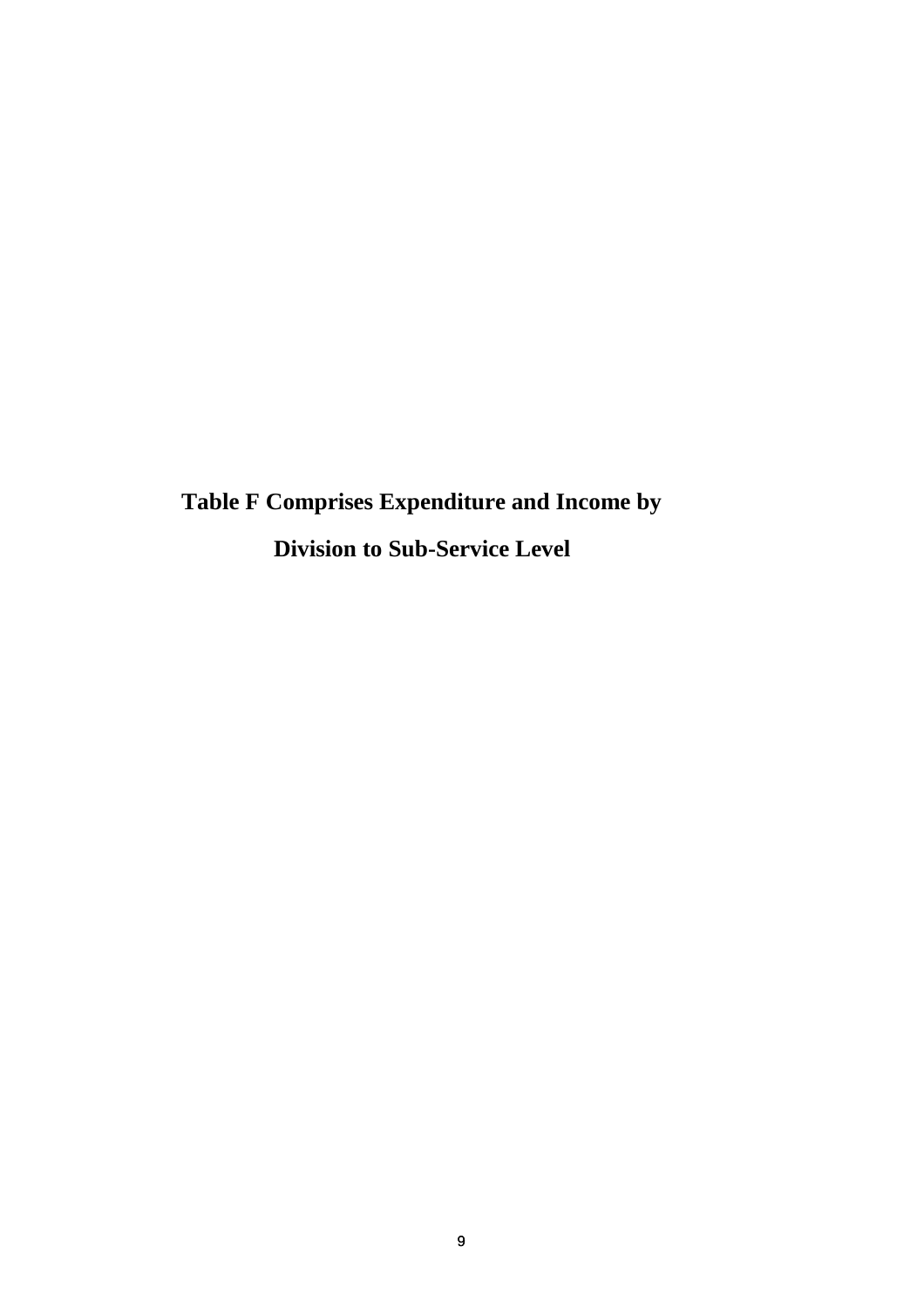**Table F Comprises Expenditure and Income by Division to Sub-Service Level**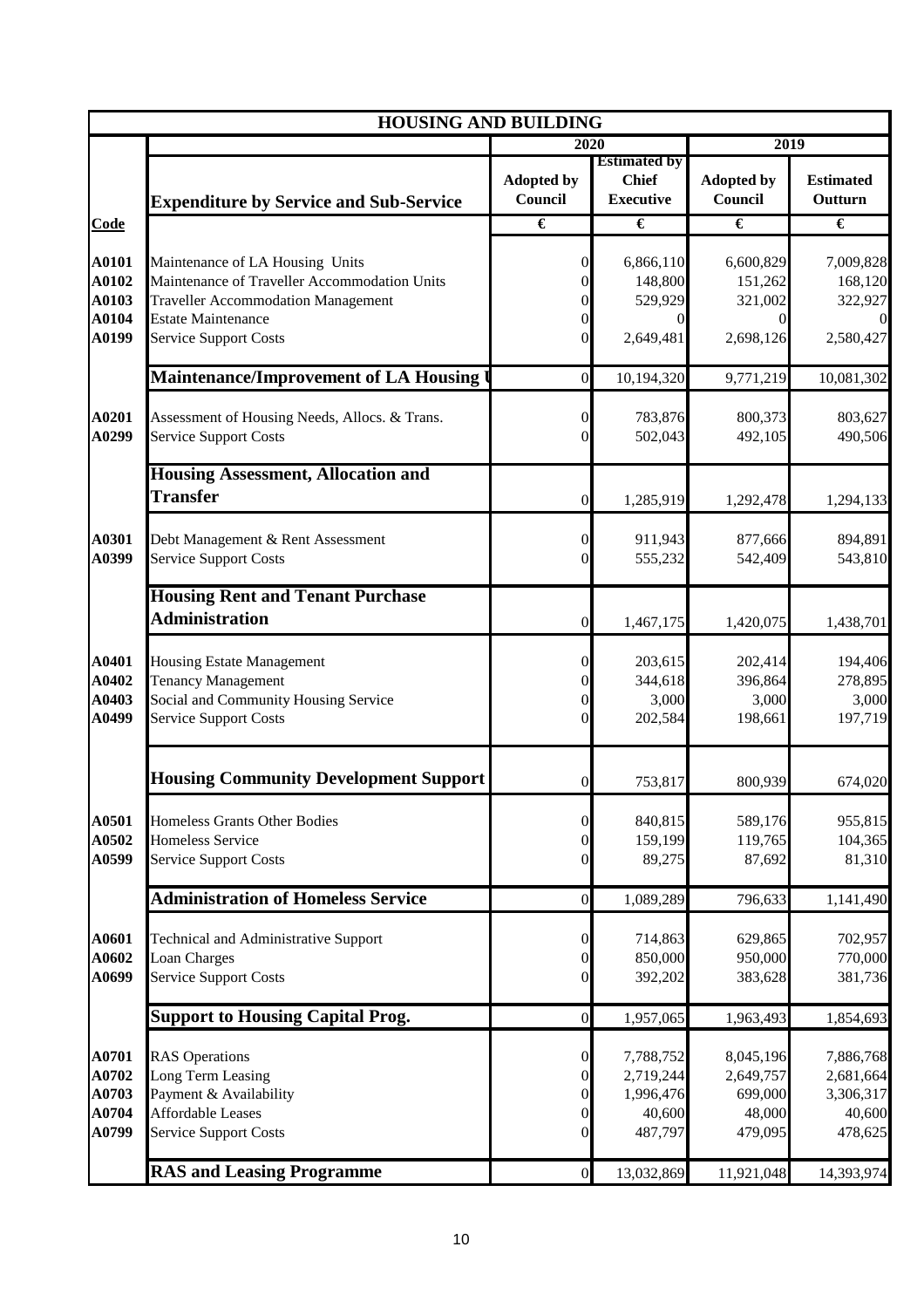|                                           | <b>HOUSING AND BUILDING</b>                                                                                                                                                               |                                                                                              |                                                          |                                                        |                                                          |
|-------------------------------------------|-------------------------------------------------------------------------------------------------------------------------------------------------------------------------------------------|----------------------------------------------------------------------------------------------|----------------------------------------------------------|--------------------------------------------------------|----------------------------------------------------------|
|                                           |                                                                                                                                                                                           | 2020                                                                                         |                                                          | 2019                                                   |                                                          |
|                                           | <b>Expenditure by Service and Sub-Service</b>                                                                                                                                             | <b>Adopted by</b><br>Council                                                                 | <b>Estimated by</b><br><b>Chief</b><br><b>Executive</b>  | <b>Adopted by</b><br>Council                           | <b>Estimated</b><br>Outturn                              |
| Code                                      |                                                                                                                                                                                           | €                                                                                            | €                                                        | €                                                      | $\overline{\epsilon}$                                    |
| A0101<br>A0102<br>A0103<br>A0104<br>A0199 | Maintenance of LA Housing Units<br>Maintenance of Traveller Accommodation Units<br><b>Traveller Accommodation Management</b><br><b>Estate Maintenance</b><br><b>Service Support Costs</b> | $\mathbf{0}$<br>$\overline{0}$<br>$\overline{0}$<br>$\boldsymbol{0}$<br>$\mathbf{0}$         | 6,866,110<br>148,800<br>529,929<br>0<br>2,649,481        | 6,600,829<br>151,262<br>321,002<br>0<br>2,698,126      | 7,009,828<br>168,120<br>322,927<br>$\Omega$<br>2,580,427 |
|                                           | Maintenance/Improvement of LA Housing                                                                                                                                                     | $\overline{0}$                                                                               | 10,194,320                                               | 9,771,219                                              | 10,081,302                                               |
| A0201<br>A0299                            | Assessment of Housing Needs, Allocs. & Trans.<br><b>Service Support Costs</b>                                                                                                             | $\overline{0}$<br>$\mathbf{0}$                                                               | 783,876<br>502,043                                       | 800,373<br>492,105                                     | 803,627<br>490,506                                       |
|                                           | <b>Housing Assessment, Allocation and</b><br><b>Transfer</b>                                                                                                                              | $\boldsymbol{0}$                                                                             | 1,285,919                                                | 1,292,478                                              | 1,294,133                                                |
| A0301<br>A0399                            | Debt Management & Rent Assessment<br><b>Service Support Costs</b>                                                                                                                         | $\boldsymbol{0}$<br>$\mathbf{0}$                                                             | 911,943<br>555,232                                       | 877,666<br>542,409                                     | 894,891<br>543,810                                       |
|                                           | <b>Housing Rent and Tenant Purchase</b><br><b>Administration</b>                                                                                                                          | $\overline{0}$                                                                               | 1,467,175                                                | 1,420,075                                              | 1,438,701                                                |
| A0401<br>A0402<br>A0403<br>A0499          | Housing Estate Management<br><b>Tenancy Management</b><br>Social and Community Housing Service<br><b>Service Support Costs</b>                                                            | $\boldsymbol{0}$<br>$\mathbf{0}$<br>$\boldsymbol{0}$<br>$\mathbf{0}$                         | 203,615<br>344,618<br>3,000<br>202,584                   | 202,414<br>396,864<br>3,000<br>198,661                 | 194,406<br>278,895<br>3,000<br>197,719                   |
|                                           | <b>Housing Community Development Support</b>                                                                                                                                              | $\overline{0}$                                                                               | 753,817                                                  | 800,939                                                | 674,020                                                  |
| A0501<br>A0502<br>A0599                   | Homeless Grants Other Bodies<br><b>Homeless Service</b><br><b>Service Support Costs</b>                                                                                                   | $\boldsymbol{0}$<br>$\boldsymbol{0}$<br>$\mathbf{0}$                                         | 840,815<br>159,199<br>89,275                             | 589,176<br>119,765<br>87,692                           | 955,815<br>104,365<br>81,310                             |
|                                           | <b>Administration of Homeless Service</b>                                                                                                                                                 | $\overline{0}$                                                                               | 1,089,289                                                | 796,633                                                | 1,141,490                                                |
| A0601<br>A0602<br>A0699                   | <b>Technical and Administrative Support</b><br>Loan Charges<br><b>Service Support Costs</b>                                                                                               | $\boldsymbol{0}$<br>$\boldsymbol{0}$<br>$\boldsymbol{0}$                                     | 714,863<br>850,000<br>392,202                            | 629,865<br>950,000<br>383,628                          | 702,957<br>770,000<br>381,736                            |
|                                           | <b>Support to Housing Capital Prog.</b>                                                                                                                                                   | $\overline{0}$                                                                               | 1,957,065                                                | 1,963,493                                              | 1,854,693                                                |
| A0701<br>A0702<br>A0703<br>A0704<br>A0799 | <b>RAS</b> Operations<br>Long Term Leasing<br>Payment & Availability<br><b>Affordable Leases</b><br><b>Service Support Costs</b>                                                          | $\boldsymbol{0}$<br>$\boldsymbol{0}$<br>$\boldsymbol{0}$<br>$\boldsymbol{0}$<br>$\mathbf{0}$ | 7,788,752<br>2,719,244<br>1,996,476<br>40,600<br>487,797 | 8,045,196<br>2,649,757<br>699,000<br>48,000<br>479,095 | 7,886,768<br>2,681,664<br>3,306,317<br>40,600<br>478,625 |
|                                           | <b>RAS and Leasing Programme</b>                                                                                                                                                          | $\overline{0}$                                                                               | 13,032,869                                               | 11,921,048                                             | 14,393,974                                               |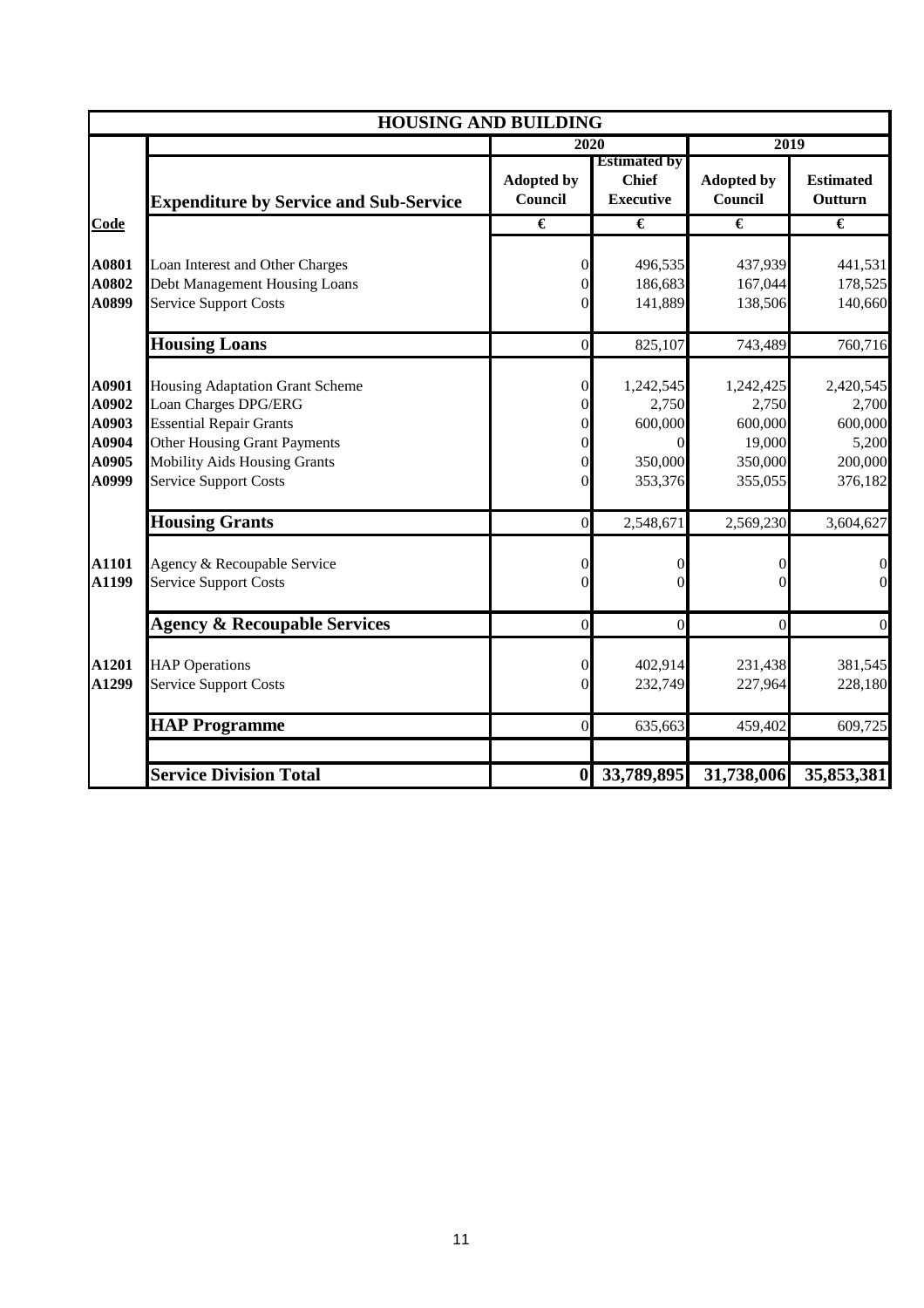|                                                    | <b>HOUSING AND BUILDING</b>                                                                                                                                                                                    |                                                                                                                  |                                                          |                                                               |                                                              |
|----------------------------------------------------|----------------------------------------------------------------------------------------------------------------------------------------------------------------------------------------------------------------|------------------------------------------------------------------------------------------------------------------|----------------------------------------------------------|---------------------------------------------------------------|--------------------------------------------------------------|
|                                                    |                                                                                                                                                                                                                | 2020                                                                                                             |                                                          | 2019                                                          |                                                              |
|                                                    | <b>Expenditure by Service and Sub-Service</b>                                                                                                                                                                  | <b>Adopted by</b><br>Council                                                                                     | <b>Estimated by</b><br><b>Chief</b><br><b>Executive</b>  | <b>Adopted by</b><br>Council                                  | <b>Estimated</b><br>Outturn                                  |
| Code                                               |                                                                                                                                                                                                                | €                                                                                                                | €                                                        | €                                                             | €                                                            |
| A0801<br>A0802<br>A0899                            | Loan Interest and Other Charges<br>Debt Management Housing Loans<br><b>Service Support Costs</b>                                                                                                               | $\mathbf{0}$<br>$\boldsymbol{0}$<br>$\mathbf{0}$                                                                 | 496,535<br>186,683<br>141,889                            | 437,939<br>167,044<br>138,506                                 | 441,531<br>178,525<br>140,660                                |
|                                                    | <b>Housing Loans</b>                                                                                                                                                                                           | $\boldsymbol{0}$                                                                                                 | 825,107                                                  | 743,489                                                       | 760,716                                                      |
| A0901<br>A0902<br>A0903<br>A0904<br>A0905<br>A0999 | <b>Housing Adaptation Grant Scheme</b><br>Loan Charges DPG/ERG<br><b>Essential Repair Grants</b><br><b>Other Housing Grant Payments</b><br><b>Mobility Aids Housing Grants</b><br><b>Service Support Costs</b> | $\boldsymbol{0}$<br>$\boldsymbol{0}$<br>$\overline{0}$<br>$\boldsymbol{0}$<br>$\boldsymbol{0}$<br>$\overline{0}$ | 1,242,545<br>2,750<br>600,000<br>0<br>350,000<br>353,376 | 1,242,425<br>2,750<br>600,000<br>19,000<br>350,000<br>355,055 | 2,420,545<br>2,700<br>600,000<br>5,200<br>200,000<br>376,182 |
|                                                    | <b>Housing Grants</b>                                                                                                                                                                                          | $\mathbf{0}$                                                                                                     | 2,548,671                                                | 2,569,230                                                     | 3,604,627                                                    |
| A1101<br>A1199                                     | Agency & Recoupable Service<br><b>Service Support Costs</b>                                                                                                                                                    | $\boldsymbol{0}$<br>$\overline{0}$                                                                               | 0<br>0                                                   | 0<br>0                                                        | $\boldsymbol{0}$<br>$\boldsymbol{0}$                         |
|                                                    | <b>Agency &amp; Recoupable Services</b>                                                                                                                                                                        | $\mathbf{0}$                                                                                                     | $\overline{0}$                                           | $\boldsymbol{0}$                                              | $\mathbf{0}$                                                 |
| A1201<br>A1299                                     | <b>HAP</b> Operations<br><b>Service Support Costs</b>                                                                                                                                                          | $\boldsymbol{0}$<br>$\overline{0}$                                                                               | 402,914<br>232,749                                       | 231,438<br>227,964                                            | 381,545<br>228,180                                           |
|                                                    | <b>HAP Programme</b>                                                                                                                                                                                           | $\overline{0}$                                                                                                   | 635,663                                                  | 459,402                                                       | 609,725                                                      |
|                                                    | <b>Service Division Total</b>                                                                                                                                                                                  | $\boldsymbol{0}$                                                                                                 | 33,789,895                                               | 31,738,006                                                    | 35,853,381                                                   |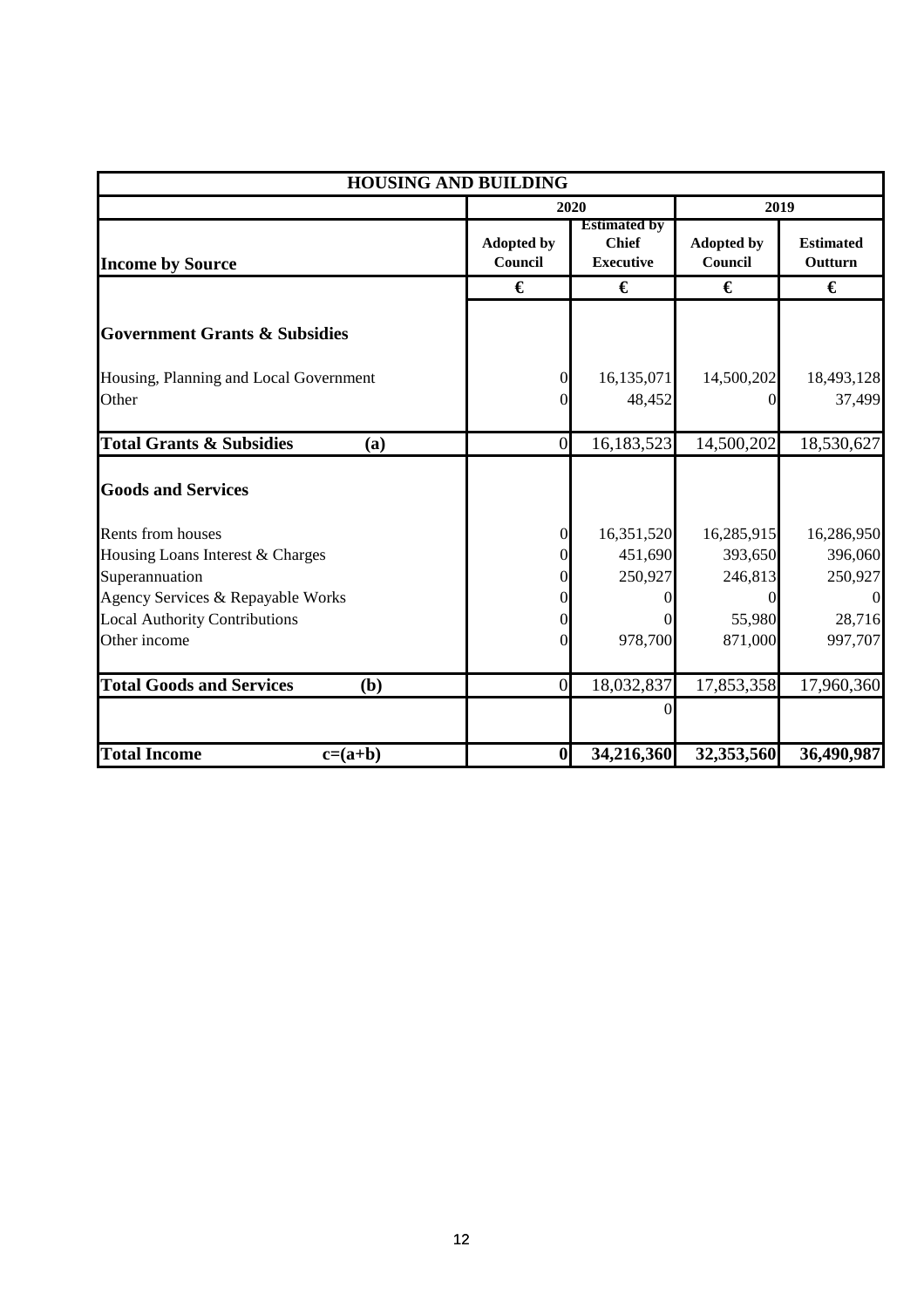|                                            | <b>HOUSING AND BUILDING</b>  |                                                         |                              |                             |
|--------------------------------------------|------------------------------|---------------------------------------------------------|------------------------------|-----------------------------|
|                                            |                              | 2020                                                    | 2019                         |                             |
| <b>Income by Source</b>                    | <b>Adopted by</b><br>Council | <b>Estimated by</b><br><b>Chief</b><br><b>Executive</b> | <b>Adopted by</b><br>Council | <b>Estimated</b><br>Outturn |
|                                            | €                            | €                                                       | €                            | €                           |
| <b>Government Grants &amp; Subsidies</b>   |                              |                                                         |                              |                             |
| Housing, Planning and Local Government     | $\overline{0}$               | 16,135,071                                              | 14,500,202                   | 18,493,128                  |
| Other                                      | $\Omega$                     | 48,452                                                  |                              | 37,499                      |
| <b>Total Grants &amp; Subsidies</b><br>(a) | $\mathbf{0}$                 | 16,183,523                                              | 14,500,202                   | 18,530,627                  |
| <b>Goods and Services</b>                  |                              |                                                         |                              |                             |
| Rents from houses                          | $\boldsymbol{0}$             | 16,351,520                                              | 16,285,915                   | 16,286,950                  |
| Housing Loans Interest & Charges           | O                            | 451,690                                                 | 393,650                      | 396,060                     |
| Superannuation                             |                              | 250,927                                                 | 246,813                      | 250,927                     |
| Agency Services & Repayable Works          | $\theta$                     | 0                                                       |                              | $\Omega$                    |
| <b>Local Authority Contributions</b>       | 0                            |                                                         | 55,980                       | 28,716                      |
| Other income                               | $\Omega$                     | 978,700                                                 | 871,000                      | 997,707                     |
| <b>Total Goods and Services</b><br>(b)     | $\mathbf{0}$                 | 18,032,837                                              | 17,853,358                   | 17,960,360                  |
|                                            |                              | $\theta$                                                |                              |                             |
| <b>Total Income</b><br>$c=(a+b)$           | $\boldsymbol{0}$             | 34,216,360                                              | 32,353,560                   | 36,490,987                  |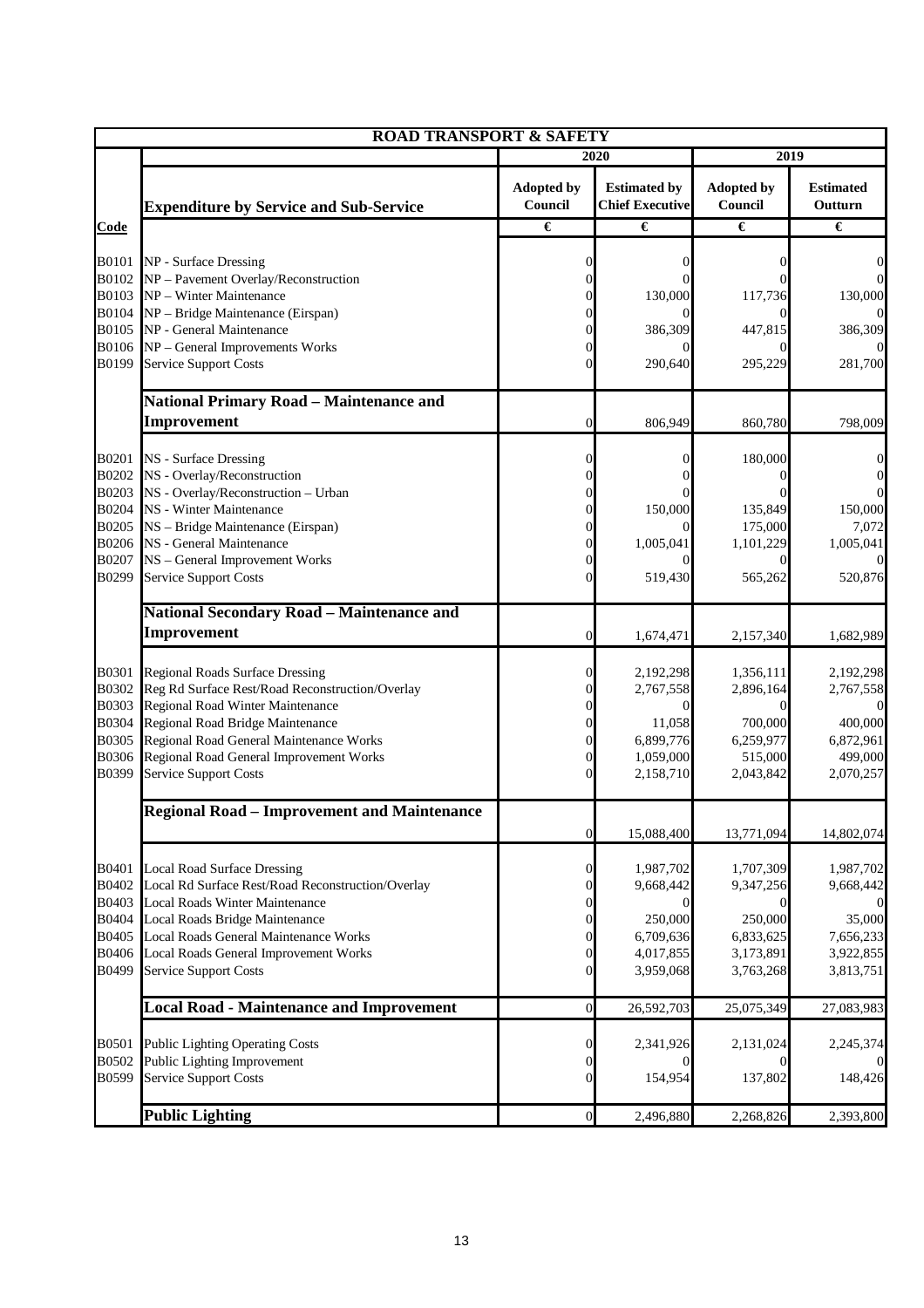|                       | <b>ROAD TRANSPORT &amp; SAFETY</b>                                                      |                                      |                                               |                              |                             |  |  |  |  |
|-----------------------|-----------------------------------------------------------------------------------------|--------------------------------------|-----------------------------------------------|------------------------------|-----------------------------|--|--|--|--|
|                       |                                                                                         |                                      | 2020                                          | 2019                         |                             |  |  |  |  |
|                       | <b>Expenditure by Service and Sub-Service</b>                                           | <b>Adopted by</b><br>Council         | <b>Estimated by</b><br><b>Chief Executive</b> | <b>Adopted by</b><br>Council | <b>Estimated</b><br>Outturn |  |  |  |  |
| Code                  |                                                                                         | €                                    | €                                             | €                            | €                           |  |  |  |  |
|                       |                                                                                         |                                      |                                               |                              |                             |  |  |  |  |
| <b>B0101</b><br>B0102 | NP - Surface Dressing<br>NP - Pavement Overlay/Reconstruction                           |                                      | 0                                             |                              | 0                           |  |  |  |  |
| <b>B0103</b>          | NP - Winter Maintenance                                                                 |                                      | 130,000                                       | 117,736                      | 130,000                     |  |  |  |  |
| B0104                 | NP - Bridge Maintenance (Eirspan)                                                       |                                      |                                               |                              |                             |  |  |  |  |
| B0105                 | NP - General Maintenance                                                                |                                      | 386,309                                       | 447,815                      | 386,309                     |  |  |  |  |
| <b>B0106</b><br>B0199 | NP - General Improvements Works<br>Service Support Costs                                | $\Omega$                             | 290,640                                       | 295,229                      | 281,700                     |  |  |  |  |
|                       |                                                                                         |                                      |                                               |                              |                             |  |  |  |  |
|                       | <b>National Primary Road - Maintenance and</b>                                          |                                      |                                               |                              |                             |  |  |  |  |
|                       | Improvement                                                                             | $\theta$                             | 806,949                                       | 860,780                      | 798,009                     |  |  |  |  |
| <b>B0201</b>          | NS - Surface Dressing                                                                   | $\Omega$                             | 0                                             | 180,000                      |                             |  |  |  |  |
| B0202                 | NS - Overlay/Reconstruction                                                             |                                      |                                               |                              |                             |  |  |  |  |
| B0203                 | NS - Overlay/Reconstruction - Urban                                                     |                                      |                                               |                              |                             |  |  |  |  |
| B0204                 | NS - Winter Maintenance                                                                 | 0                                    | 150,000                                       | 135,849                      | 150,000                     |  |  |  |  |
| B0205<br><b>B0206</b> | NS - Bridge Maintenance (Eirspan)<br>NS - General Maintenance                           | 0<br>0                               | 1,005,041                                     | 175,000<br>1,101,229         | 7,072<br>1,005,041          |  |  |  |  |
| B0207                 | NS - General Improvement Works                                                          | $\Omega$                             |                                               | $\theta$                     |                             |  |  |  |  |
| B0299                 | Service Support Costs                                                                   | $\Omega$                             | 519,430                                       | 565,262                      | 520,876                     |  |  |  |  |
|                       | National Secondary Road - Maintenance and                                               |                                      |                                               |                              |                             |  |  |  |  |
|                       | Improvement                                                                             | $\theta$                             | 1,674,471                                     | 2,157,340                    | 1,682,989                   |  |  |  |  |
|                       |                                                                                         |                                      |                                               |                              |                             |  |  |  |  |
| B0301                 | <b>Regional Roads Surface Dressing</b>                                                  | 0                                    | 2,192,298                                     | 1,356,111                    | 2,192,298                   |  |  |  |  |
| B0302<br>B0303        | Reg Rd Surface Rest/Road Reconstruction/Overlay<br>Regional Road Winter Maintenance     | 0                                    | 2,767,558<br>$\Omega$                         | 2,896,164                    | 2,767,558                   |  |  |  |  |
| B0304                 | Regional Road Bridge Maintenance                                                        |                                      | 11,058                                        | 700,000                      | 400,000                     |  |  |  |  |
| <b>B0305</b>          | Regional Road General Maintenance Works                                                 | $\Omega$                             | 6,899,776                                     | 6,259,977                    | 6,872,961                   |  |  |  |  |
| <b>B0306</b>          | Regional Road General Improvement Works                                                 | $\overline{0}$                       | 1,059,000                                     | 515,000                      | 499,000                     |  |  |  |  |
| B0399                 | Service Support Costs                                                                   | $\overline{0}$                       | 2,158,710                                     | 2,043,842                    | 2,070,257                   |  |  |  |  |
|                       | <b>Regional Road - Improvement and Maintenance</b>                                      |                                      |                                               |                              |                             |  |  |  |  |
|                       |                                                                                         | $\boldsymbol{0}$                     | 15,088,400                                    | 13,771,094                   | 14,802,074                  |  |  |  |  |
|                       |                                                                                         |                                      |                                               |                              |                             |  |  |  |  |
| <b>B0401</b><br>B0402 | <b>Local Road Surface Dressing</b><br>Local Rd Surface Rest/Road Reconstruction/Overlay | $\boldsymbol{0}$<br>$\boldsymbol{0}$ | 1,987,702<br>9,668,442                        | 1,707,309<br>9,347,256       | 1,987,702<br>9,668,442      |  |  |  |  |
| B0403                 | Local Roads Winter Maintenance                                                          | 0                                    | $\overline{0}$                                |                              |                             |  |  |  |  |
| <b>B0404</b>          | Local Roads Bridge Maintenance                                                          | $\Omega$                             | 250,000                                       | 250,000                      | 35,000                      |  |  |  |  |
| B0405<br><b>B0406</b> | Local Roads General Maintenance Works<br>Local Roads General Improvement Works          | $\overline{0}$<br>$\overline{0}$     | 6,709,636                                     | 6,833,625                    | 7,656,233                   |  |  |  |  |
| B0499                 | <b>Service Support Costs</b>                                                            | $\overline{0}$                       | 4,017,855<br>3,959,068                        | 3,173,891<br>3,763,268       | 3,922,855<br>3,813,751      |  |  |  |  |
|                       |                                                                                         |                                      |                                               |                              |                             |  |  |  |  |
|                       | <b>Local Road - Maintenance and Improvement</b>                                         | $\boldsymbol{0}$                     | 26,592,703                                    | 25,075,349                   | 27,083,983                  |  |  |  |  |
|                       |                                                                                         |                                      |                                               |                              |                             |  |  |  |  |
| B0501<br>B0502        | <b>Public Lighting Operating Costs</b><br>Public Lighting Improvement                   | 0<br>0                               | 2,341,926                                     | 2,131,024                    | 2,245,374                   |  |  |  |  |
| B0599                 | <b>Service Support Costs</b>                                                            | $\Omega$                             | 154,954                                       | 137,802                      | 148,426                     |  |  |  |  |
|                       |                                                                                         |                                      |                                               |                              |                             |  |  |  |  |
|                       | <b>Public Lighting</b>                                                                  | $\boldsymbol{0}$                     | 2,496,880                                     | 2,268,826                    | 2,393,800                   |  |  |  |  |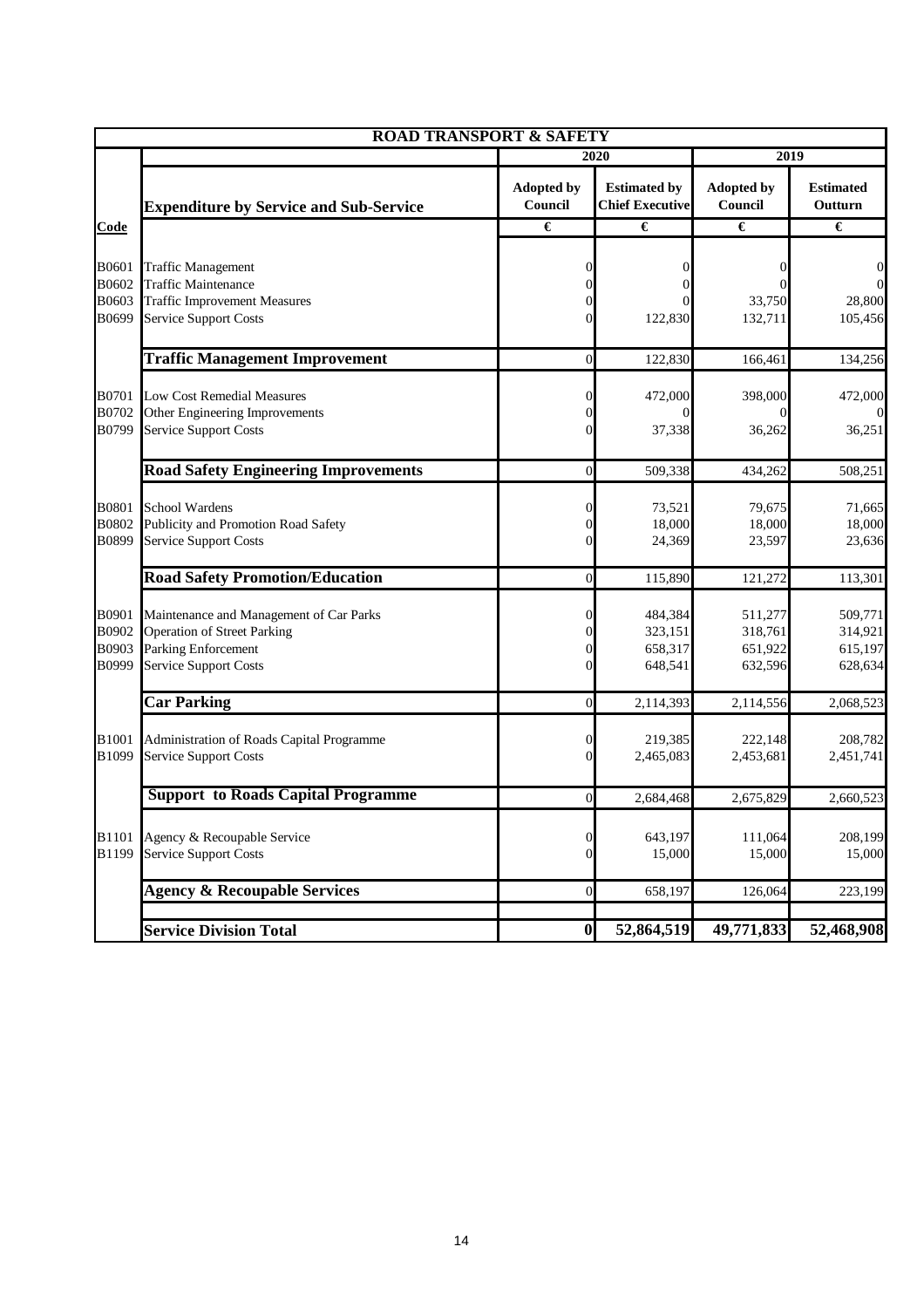|                                  | <b>ROAD TRANSPORT &amp; SAFETY</b>                                                                                                          |                                       |                                               |                                          |                                          |  |  |
|----------------------------------|---------------------------------------------------------------------------------------------------------------------------------------------|---------------------------------------|-----------------------------------------------|------------------------------------------|------------------------------------------|--|--|
|                                  |                                                                                                                                             |                                       | 2020                                          | 2019                                     |                                          |  |  |
|                                  | <b>Expenditure by Service and Sub-Service</b>                                                                                               | <b>Adopted by</b><br>Council          | <b>Estimated by</b><br><b>Chief Executive</b> | <b>Adopted by</b><br>Council             | <b>Estimated</b><br>Outturn              |  |  |
| Code                             |                                                                                                                                             | €                                     | €                                             | €                                        | €                                        |  |  |
| B0601<br>B0602<br>B0603<br>B0699 | <b>Traffic Management</b><br><b>Traffic Maintenance</b><br><b>Traffic Improvement Measures</b><br><b>Service Support Costs</b>              | 0<br>0<br>0<br>$\Omega$               | 0<br>122,830                                  | 33,750<br>132,711                        | 0<br>28,800<br>105,456                   |  |  |
|                                  | <b>Traffic Management Improvement</b>                                                                                                       | $\overline{0}$                        | 122,830                                       | 166,461                                  | 134,256                                  |  |  |
| B0701<br>B0702<br>B0799          | <b>Low Cost Remedial Measures</b><br>Other Engineering Improvements<br><b>Service Support Costs</b>                                         | $\theta$<br>$\theta$<br>$\Omega$      | 472,000<br>37,338                             | 398,000<br>36,262                        | 472,000<br>36,251                        |  |  |
|                                  | <b>Road Safety Engineering Improvements</b>                                                                                                 | $\mathbf{0}$                          | 509,338                                       | 434,262                                  | 508,251                                  |  |  |
| <b>B0801</b><br>B0802<br>B0899   | School Wardens<br>Publicity and Promotion Road Safety<br><b>Service Support Costs</b>                                                       | $\theta$<br>0<br>$\Omega$             | 73,521<br>18,000<br>24,369                    | 79,675<br>18,000<br>23,597               | 71,665<br>18,000<br>23,636               |  |  |
|                                  | <b>Road Safety Promotion/Education</b>                                                                                                      | $\overline{0}$                        | 115,890                                       | 121,272                                  | 113,301                                  |  |  |
| B0901<br>B0902<br>B0903<br>B0999 | Maintenance and Management of Car Parks<br><b>Operation of Street Parking</b><br><b>Parking Enforcement</b><br><b>Service Support Costs</b> | 0<br>$\Omega$<br>$\Omega$<br>$\Omega$ | 484,384<br>323,151<br>658,317<br>648,541      | 511,277<br>318,761<br>651,922<br>632,596 | 509,771<br>314,921<br>615,197<br>628,634 |  |  |
|                                  | <b>Car Parking</b>                                                                                                                          | $\boldsymbol{0}$                      | 2,114,393                                     | 2,114,556                                | 2,068,523                                |  |  |
| B1001<br>B1099                   | Administration of Roads Capital Programme<br><b>Service Support Costs</b>                                                                   | $\mathbf{0}$<br>$\mathbf{0}$          | 219,385<br>2,465,083                          | 222,148<br>2,453,681                     | 208,782<br>2,451,741                     |  |  |
|                                  | <b>Support to Roads Capital Programme</b>                                                                                                   | $\overline{0}$                        | 2,684,468                                     | 2,675,829                                | 2,660,523                                |  |  |
| <b>B1101</b><br><b>B1199</b>     | Agency & Recoupable Service<br><b>Service Support Costs</b>                                                                                 | $\boldsymbol{0}$<br>$\overline{0}$    | 643,197<br>15,000                             | 111,064<br>15,000                        | 208,199<br>15,000                        |  |  |
|                                  | <b>Agency &amp; Recoupable Services</b>                                                                                                     | $\boldsymbol{0}$                      | 658,197                                       | 126,064                                  | 223,199                                  |  |  |
|                                  | <b>Service Division Total</b>                                                                                                               | $\boldsymbol{0}$                      | 52,864,519                                    | 49,771,833                               | 52,468,908                               |  |  |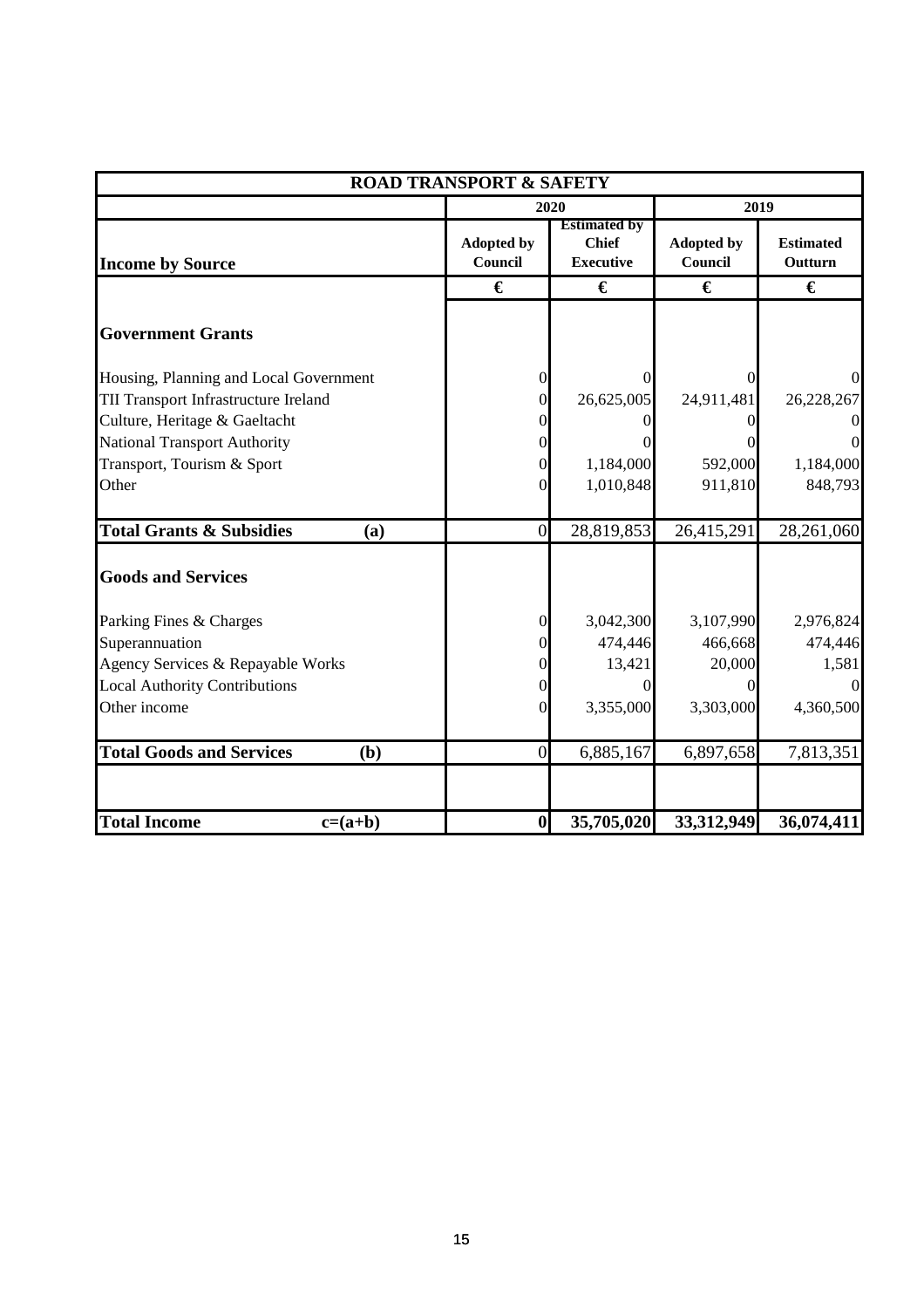|                                            | <b>ROAD TRANSPORT &amp; SAFETY</b> |                                                         |                              |                             |
|--------------------------------------------|------------------------------------|---------------------------------------------------------|------------------------------|-----------------------------|
|                                            |                                    | 2020                                                    | 2019                         |                             |
| <b>Income by Source</b>                    | <b>Adopted by</b><br>Council       | <b>Estimated by</b><br><b>Chief</b><br><b>Executive</b> | <b>Adopted by</b><br>Council | <b>Estimated</b><br>Outturn |
|                                            | €                                  | €                                                       | €                            | €                           |
| <b>Government Grants</b>                   |                                    |                                                         |                              |                             |
| Housing, Planning and Local Government     | 0                                  | 0                                                       |                              | $\Omega$                    |
| TII Transport Infrastructure Ireland       | 0                                  | 26,625,005                                              | 24,911,481                   | 26,228,267                  |
| Culture, Heritage & Gaeltacht              |                                    |                                                         |                              | $\mathbf{0}$                |
| <b>National Transport Authority</b>        |                                    |                                                         |                              | $\overline{0}$              |
| Transport, Tourism & Sport                 |                                    | 1,184,000                                               | 592,000                      | 1,184,000                   |
| Other                                      | 0                                  | 1,010,848                                               | 911,810                      | 848,793                     |
| <b>Total Grants &amp; Subsidies</b><br>(a) | $\overline{0}$                     | 28,819,853                                              | 26,415,291                   | 28,261,060                  |
| <b>Goods and Services</b>                  |                                    |                                                         |                              |                             |
| Parking Fines & Charges                    | 0                                  | 3,042,300                                               | 3,107,990                    | 2,976,824                   |
| Superannuation                             |                                    | 474,446                                                 | 466,668                      | 474,446                     |
| Agency Services & Repayable Works          |                                    | 13,421                                                  | 20,000                       | 1,581                       |
| <b>Local Authority Contributions</b>       |                                    |                                                         |                              |                             |
| Other income                               | 0                                  | 3,355,000                                               | 3,303,000                    | 4,360,500                   |
| <b>Total Goods and Services</b><br>(b)     | $\overline{0}$                     | 6,885,167                                               | 6,897,658                    | 7,813,351                   |
|                                            |                                    |                                                         |                              |                             |
| <b>Total Income</b><br>$c=(a+b)$           | $\boldsymbol{0}$                   | 35,705,020                                              | 33,312,949                   | 36,074,411                  |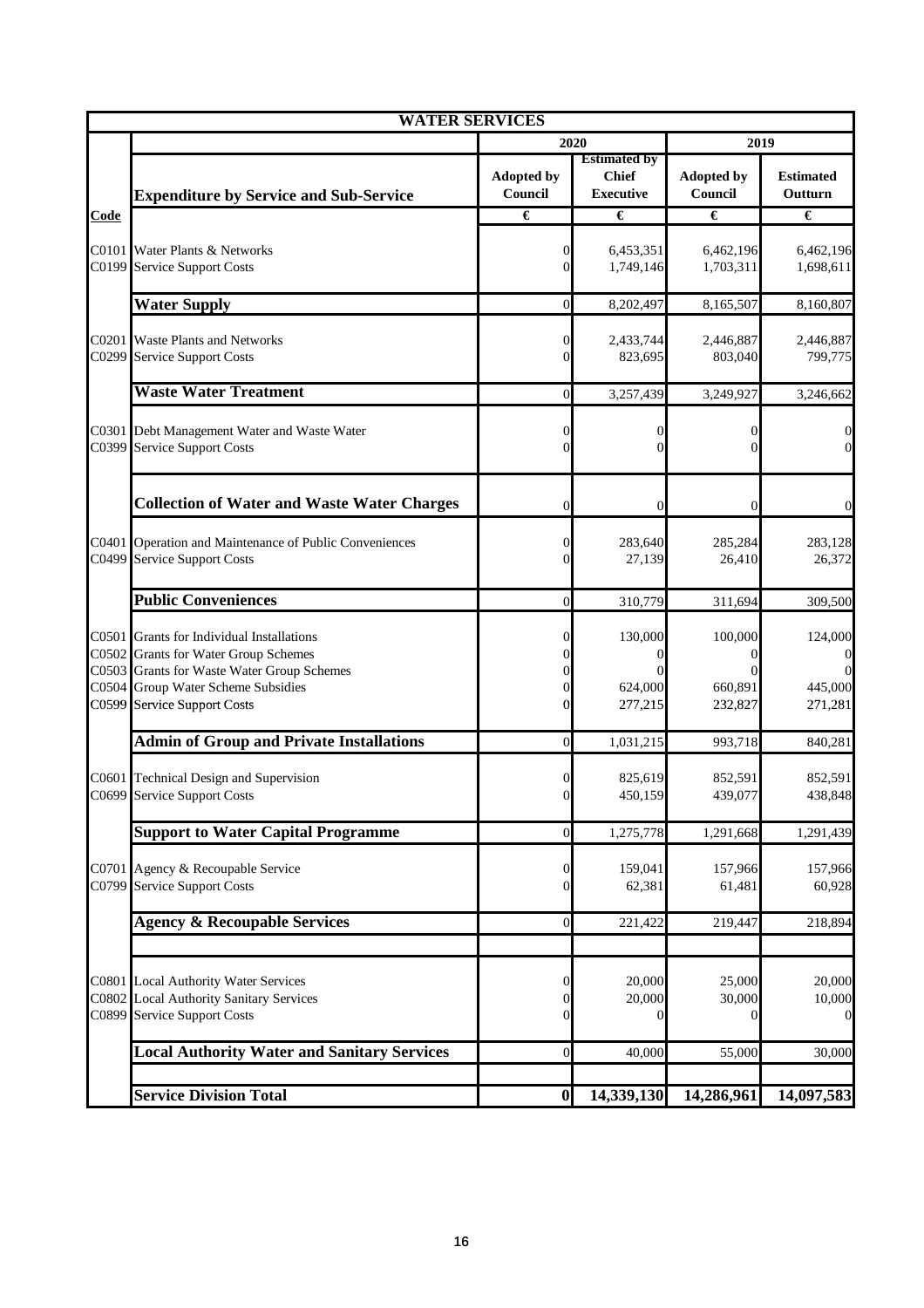|                                           | <b>WATER SERVICES</b>                                                                                                                                                                       |                                                         |                                                         |                               |                               |
|-------------------------------------------|---------------------------------------------------------------------------------------------------------------------------------------------------------------------------------------------|---------------------------------------------------------|---------------------------------------------------------|-------------------------------|-------------------------------|
|                                           |                                                                                                                                                                                             | 2020                                                    |                                                         | 2019                          |                               |
|                                           | <b>Expenditure by Service and Sub-Service</b>                                                                                                                                               | <b>Adopted by</b><br>Council                            | <b>Estimated by</b><br><b>Chief</b><br><b>Executive</b> | <b>Adopted by</b><br>Council  | <b>Estimated</b><br>Outturn   |
| <b>Code</b>                               |                                                                                                                                                                                             | €                                                       | €                                                       | €                             | €                             |
| C0101<br>C0199                            | Water Plants & Networks<br><b>Service Support Costs</b>                                                                                                                                     | $\overline{0}$<br>$\overline{0}$                        | 6,453,351<br>1,749,146                                  | 6,462,196<br>1,703,311        | 6,462,196<br>1,698,611        |
|                                           | <b>Water Supply</b>                                                                                                                                                                         | $\boldsymbol{0}$                                        | 8,202,497                                               | 8,165,507                     | 8,160,807                     |
| C0201<br>C0299                            | <b>Waste Plants and Networks</b><br><b>Service Support Costs</b>                                                                                                                            | $\boldsymbol{0}$<br>$\overline{0}$                      | 2,433,744<br>823,695                                    | 2,446,887<br>803,040          | 2,446,887<br>799,775          |
|                                           | <b>Waste Water Treatment</b>                                                                                                                                                                | $\overline{0}$                                          | 3,257,439                                               | 3,249,927                     | 3,246,662                     |
| C0301<br>C0399                            | Debt Management Water and Waste Water<br><b>Service Support Costs</b>                                                                                                                       | $\overline{0}$<br>$\Omega$                              | $\Omega$<br>$\Omega$                                    | $^{(1)}$                      | 0<br>$\overline{0}$           |
|                                           | <b>Collection of Water and Waste Water Charges</b>                                                                                                                                          | $\overline{0}$                                          | 0                                                       | $\Omega$                      | 0                             |
| C0401<br>C0499                            | Operation and Maintenance of Public Conveniences<br><b>Service Support Costs</b>                                                                                                            | $\boldsymbol{0}$<br>$\theta$                            | 283,640<br>27,139                                       | 285,284<br>26,410             | 283,128<br>26,372             |
|                                           | <b>Public Conveniences</b>                                                                                                                                                                  | $\overline{0}$                                          | 310,779                                                 | 311,694                       | 309,500                       |
| C0501<br>C0502<br>C0503<br>C0504<br>C0599 | Grants for Individual Installations<br><b>Grants for Water Group Schemes</b><br><b>Grants for Waste Water Group Schemes</b><br>Group Water Scheme Subsidies<br><b>Service Support Costs</b> | 0<br>$\Omega$<br>$\Omega$<br>$\overline{0}$<br>$\theta$ | 130,000<br>624,000<br>277,215                           | 100,000<br>660,891<br>232,827 | 124,000<br>445,000<br>271,281 |
|                                           | <b>Admin of Group and Private Installations</b>                                                                                                                                             | $\overline{0}$                                          | 1,031,215                                               | 993,718                       | 840,281                       |
|                                           | C0601 Technical Design and Supervision<br>C0699 Service Support Costs                                                                                                                       | 0<br>$\Omega$                                           | 825,619<br>450,159                                      | 852,591<br>439,077            | 852,591<br>438,848            |
|                                           | <b>Support to Water Capital Programme</b>                                                                                                                                                   | $\overline{0}$                                          | 1,275,778                                               | 1,291,668                     | 1,291,439                     |
| C0701<br>C0799                            | Agency & Recoupable Service<br><b>Service Support Costs</b>                                                                                                                                 | $\boldsymbol{0}$<br>$\overline{0}$                      | 159,041<br>62,381                                       | 157,966<br>61,481             | 157,966<br>60,928             |
|                                           | <b>Agency &amp; Recoupable Services</b>                                                                                                                                                     | $\boldsymbol{0}$                                        | 221,422                                                 | 219,447                       | 218,894                       |
| C0801<br>C0802<br>C0899                   | <b>Local Authority Water Services</b><br><b>Local Authority Sanitary Services</b><br><b>Service Support Costs</b>                                                                           | $\boldsymbol{0}$<br>$\overline{0}$<br>$\theta$          | 20,000<br>20,000<br>$\Omega$                            | 25,000<br>30,000<br>$\Omega$  | 20,000<br>10,000<br>0         |
|                                           | <b>Local Authority Water and Sanitary Services</b>                                                                                                                                          | $\boldsymbol{0}$                                        | 40,000                                                  | 55,000                        | 30,000                        |
|                                           | <b>Service Division Total</b>                                                                                                                                                               | $\boldsymbol{0}$                                        | 14,339,130                                              | 14,286,961                    | 14,097,583                    |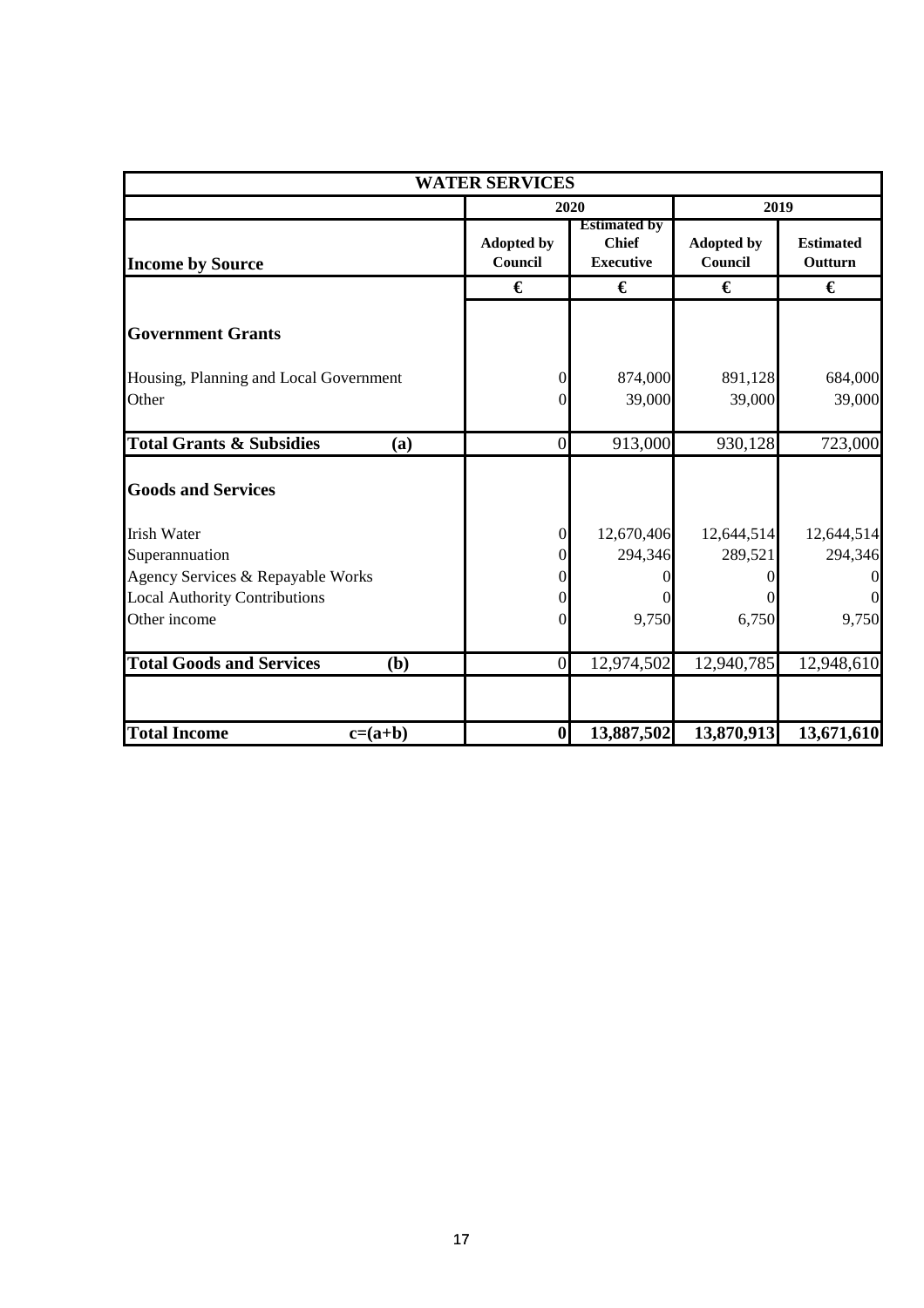| <b>WATER SERVICES</b>                                                     |                              |                                                         |                              |                             |  |
|---------------------------------------------------------------------------|------------------------------|---------------------------------------------------------|------------------------------|-----------------------------|--|
|                                                                           |                              | 2020                                                    |                              | 2019                        |  |
| <b>Income by Source</b>                                                   | <b>Adopted by</b><br>Council | <b>Estimated by</b><br><b>Chief</b><br><b>Executive</b> | <b>Adopted by</b><br>Council | <b>Estimated</b><br>Outturn |  |
|                                                                           | €                            | €                                                       | €                            | €                           |  |
| <b>Government Grants</b>                                                  |                              |                                                         |                              |                             |  |
| Housing, Planning and Local Government<br>Other                           | $\Omega$<br>$\Omega$         | 874,000<br>39,000                                       | 891,128<br>39,000            | 684,000<br>39,000           |  |
| <b>Total Grants &amp; Subsidies</b><br>(a)                                | $\boldsymbol{0}$             | 913,000                                                 | 930,128                      | 723,000                     |  |
| <b>Goods and Services</b>                                                 |                              |                                                         |                              |                             |  |
| <b>Irish Water</b><br>Superannuation                                      | $\Omega$<br>0                | 12,670,406<br>294,346                                   | 12,644,514<br>289,521        | 12,644,514<br>294,346       |  |
| Agency Services & Repayable Works<br><b>Local Authority Contributions</b> | 0<br>$\theta$                |                                                         |                              | $\Omega$<br>$\overline{0}$  |  |
| Other income                                                              | $\Omega$                     | 9,750                                                   | 6,750                        | 9,750                       |  |
| <b>Total Goods and Services</b><br>(b)                                    | $\boldsymbol{0}$             | 12,974,502                                              | 12,940,785                   | 12,948,610                  |  |
| <b>Total Income</b><br>$c=(a+b)$                                          | $\boldsymbol{0}$             | 13,887,502                                              | 13,870,913                   | 13,671,610                  |  |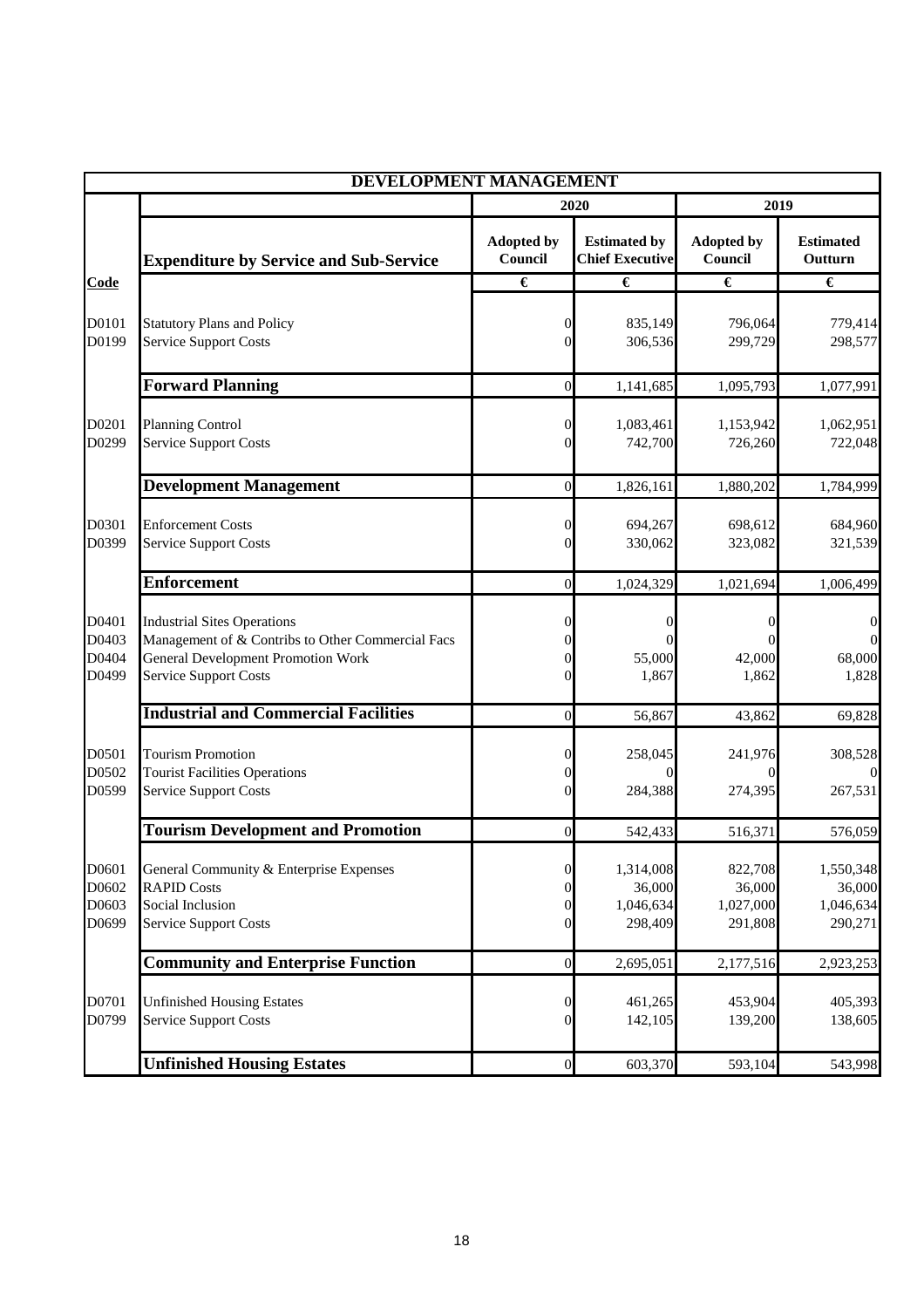|                                  | <b>DEVELOPMENT MANAGEMENT</b>                                                                                                                                        |                                                                        |                                               |                                           |                                             |
|----------------------------------|----------------------------------------------------------------------------------------------------------------------------------------------------------------------|------------------------------------------------------------------------|-----------------------------------------------|-------------------------------------------|---------------------------------------------|
|                                  |                                                                                                                                                                      |                                                                        | 2020                                          | 2019                                      |                                             |
|                                  | <b>Expenditure by Service and Sub-Service</b>                                                                                                                        | <b>Adopted by</b><br>Council                                           | <b>Estimated by</b><br><b>Chief Executive</b> | <b>Adopted by</b><br>Council              | <b>Estimated</b><br>Outturn                 |
| Code                             |                                                                                                                                                                      | €                                                                      | €                                             | €                                         | €                                           |
| D0101<br>D0199                   | <b>Statutory Plans and Policy</b><br><b>Service Support Costs</b>                                                                                                    | 0<br>$\Omega$                                                          | 835,149<br>306,536                            | 796,064<br>299,729                        | 779,414<br>298,577                          |
|                                  | <b>Forward Planning</b>                                                                                                                                              | $\overline{0}$                                                         | 1,141,685                                     | 1,095,793                                 | 1,077,991                                   |
| D0201<br>D0299                   | <b>Planning Control</b><br>Service Support Costs                                                                                                                     | 0<br>0                                                                 | 1,083,461<br>742,700                          | 1,153,942<br>726,260                      | 1,062,951<br>722,048                        |
|                                  | <b>Development Management</b>                                                                                                                                        | $\boldsymbol{0}$                                                       | 1,826,161                                     | 1,880,202                                 | 1,784,999                                   |
| D0301<br>D0399                   | <b>Enforcement Costs</b><br><b>Service Support Costs</b>                                                                                                             | 0<br>$\Omega$                                                          | 694,267<br>330,062                            | 698,612<br>323,082                        | 684,960<br>321,539                          |
|                                  | <b>Enforcement</b>                                                                                                                                                   | $\overline{0}$                                                         | 1,024,329                                     | 1,021,694                                 | 1,006,499                                   |
| D0401<br>D0403<br>D0404<br>D0499 | <b>Industrial Sites Operations</b><br>Management of & Contribs to Other Commercial Facs<br><b>General Development Promotion Work</b><br><b>Service Support Costs</b> | 0<br>0                                                                 | $_{0}$<br>55,000<br>1,867                     | $\Omega$<br>42,000<br>1,862               | 0<br>68,000<br>1,828                        |
|                                  | <b>Industrial and Commercial Facilities</b>                                                                                                                          | $\overline{0}$                                                         | 56,867                                        | 43,862                                    | 69,828                                      |
| D0501<br>D0502<br>D0599          | <b>Tourism Promotion</b><br><b>Tourist Facilities Operations</b><br><b>Service Support Costs</b>                                                                     | 0<br>0<br>$\Omega$                                                     | 258,045<br>$\Omega$<br>284,388                | 241,976<br>$\theta$<br>274,395            | 308,528<br>267,531                          |
|                                  | <b>Tourism Development and Promotion</b>                                                                                                                             | $\overline{0}$                                                         | 542,433                                       | 516,371                                   | 576,059                                     |
| D0601<br>D0602<br>D0603<br>D0699 | General Community & Enterprise Expenses<br><b>RAPID Costs</b><br>Social Inclusion<br><b>Service Support Costs</b>                                                    | $\boldsymbol{0}$<br>$\overline{0}$<br>$\overline{0}$<br>$\overline{0}$ | 1,314,008<br>36,000<br>1,046,634<br>298,409   | 822,708<br>36,000<br>1,027,000<br>291,808 | 1,550,348<br>36,000<br>1,046,634<br>290,271 |
|                                  | <b>Community and Enterprise Function</b>                                                                                                                             | $\mathbf{0}$                                                           | 2,695,051                                     | 2,177,516                                 | 2,923,253                                   |
| D0701<br>D0799                   | <b>Unfinished Housing Estates</b><br><b>Service Support Costs</b>                                                                                                    | $\overline{0}$<br>$\overline{0}$                                       | 461,265<br>142,105                            | 453,904<br>139,200                        | 405,393<br>138,605                          |
|                                  | <b>Unfinished Housing Estates</b>                                                                                                                                    | $\boldsymbol{0}$                                                       | 603,370                                       | 593,104                                   | 543,998                                     |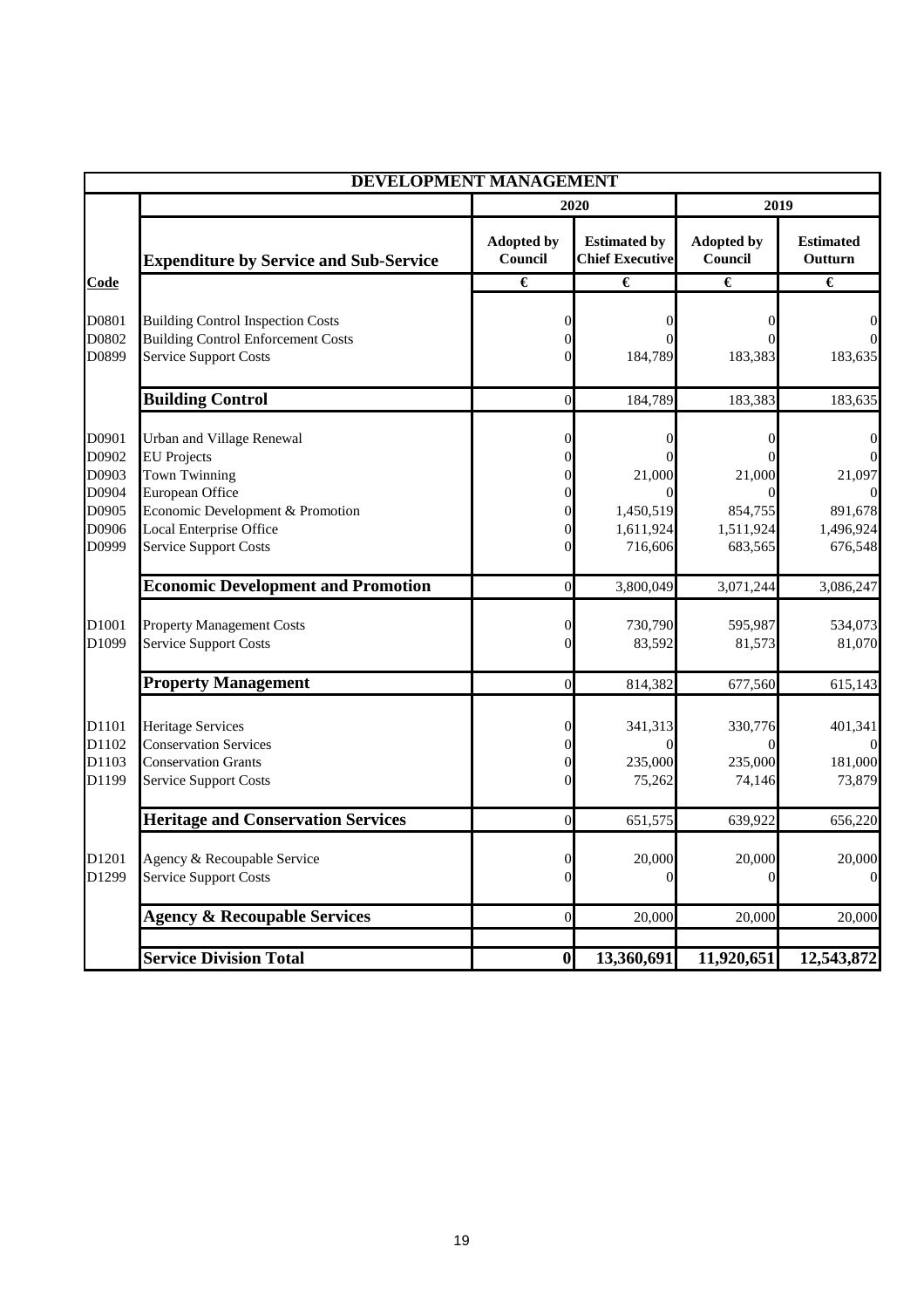|                                                             | <b>DEVELOPMENT MANAGEMENT</b>                                                                                                                                                             |                                   |                                               |                                                                   |                                                            |
|-------------------------------------------------------------|-------------------------------------------------------------------------------------------------------------------------------------------------------------------------------------------|-----------------------------------|-----------------------------------------------|-------------------------------------------------------------------|------------------------------------------------------------|
|                                                             |                                                                                                                                                                                           |                                   | 2020                                          |                                                                   |                                                            |
|                                                             | <b>Expenditure by Service and Sub-Service</b>                                                                                                                                             | <b>Adopted by</b><br>Council      | <b>Estimated by</b><br><b>Chief Executive</b> | <b>Adopted by</b><br>Council                                      | <b>Estimated</b><br>Outturn                                |
| Code                                                        |                                                                                                                                                                                           | €                                 | €                                             | €                                                                 | €                                                          |
| D0801<br>D0802<br>D0899                                     | <b>Building Control Inspection Costs</b><br><b>Building Control Enforcement Costs</b><br><b>Service Support Costs</b>                                                                     | 0<br>0                            | 184,789                                       | 183,383                                                           | 0<br>183,635                                               |
|                                                             | <b>Building Control</b>                                                                                                                                                                   | $\boldsymbol{0}$                  | 184,789                                       | 183,383                                                           | 183,635                                                    |
| D0901<br>D0902<br>D0903<br>D0904<br>D0905<br>D0906<br>D0999 | Urban and Village Renewal<br><b>EU</b> Projects<br><b>Town Twinning</b><br>European Office<br>Economic Development & Promotion<br>Local Enterprise Office<br><b>Service Support Costs</b> | 0<br>0<br>0<br>0<br>0<br>$\Omega$ | 21,000<br>1,450,519<br>1,611,924<br>716,606   | $\theta$<br>$^{(1)}$<br>21,000<br>854,755<br>1,511,924<br>683,565 | 0<br>$\Omega$<br>21,097<br>891,678<br>1,496,924<br>676,548 |
|                                                             | <b>Economic Development and Promotion</b>                                                                                                                                                 | $\boldsymbol{0}$                  | 3,800,049                                     | 3,071,244                                                         | 3,086,247                                                  |
| D1001<br>D1099                                              | <b>Property Management Costs</b><br><b>Service Support Costs</b>                                                                                                                          | 0<br>0                            | 730,790<br>83,592                             | 595,987<br>81,573                                                 | 534,073<br>81,070                                          |
|                                                             | <b>Property Management</b>                                                                                                                                                                | $\overline{0}$                    | 814,382                                       | 677,560                                                           | 615,143                                                    |
| D1101<br>D1102<br>D1103<br>D1199                            | <b>Heritage Services</b><br><b>Conservation Services</b><br><b>Conservation Grants</b><br><b>Service Support Costs</b>                                                                    | $\Omega$<br>$\Omega$              | 341,313<br>235,000<br>75,262                  | 330,776<br>235,000<br>74,146                                      | 401,341<br>181,000<br>73,879                               |
|                                                             | <b>Heritage and Conservation Services</b>                                                                                                                                                 | $\overline{0}$                    | 651,575                                       | 639,922                                                           | 656,220                                                    |
| D1201<br>D1299                                              | Agency & Recoupable Service<br><b>Service Support Costs</b>                                                                                                                               | 0<br>$\Omega$                     | 20,000<br>$\theta$                            | 20,000<br>0                                                       | 20,000<br>$\Omega$                                         |
|                                                             | <b>Agency &amp; Recoupable Services</b>                                                                                                                                                   | $\overline{0}$                    | 20,000                                        | 20,000                                                            | 20,000                                                     |
|                                                             | <b>Service Division Total</b>                                                                                                                                                             | $\boldsymbol{0}$                  | 13,360,691                                    | 11,920,651                                                        | 12,543,872                                                 |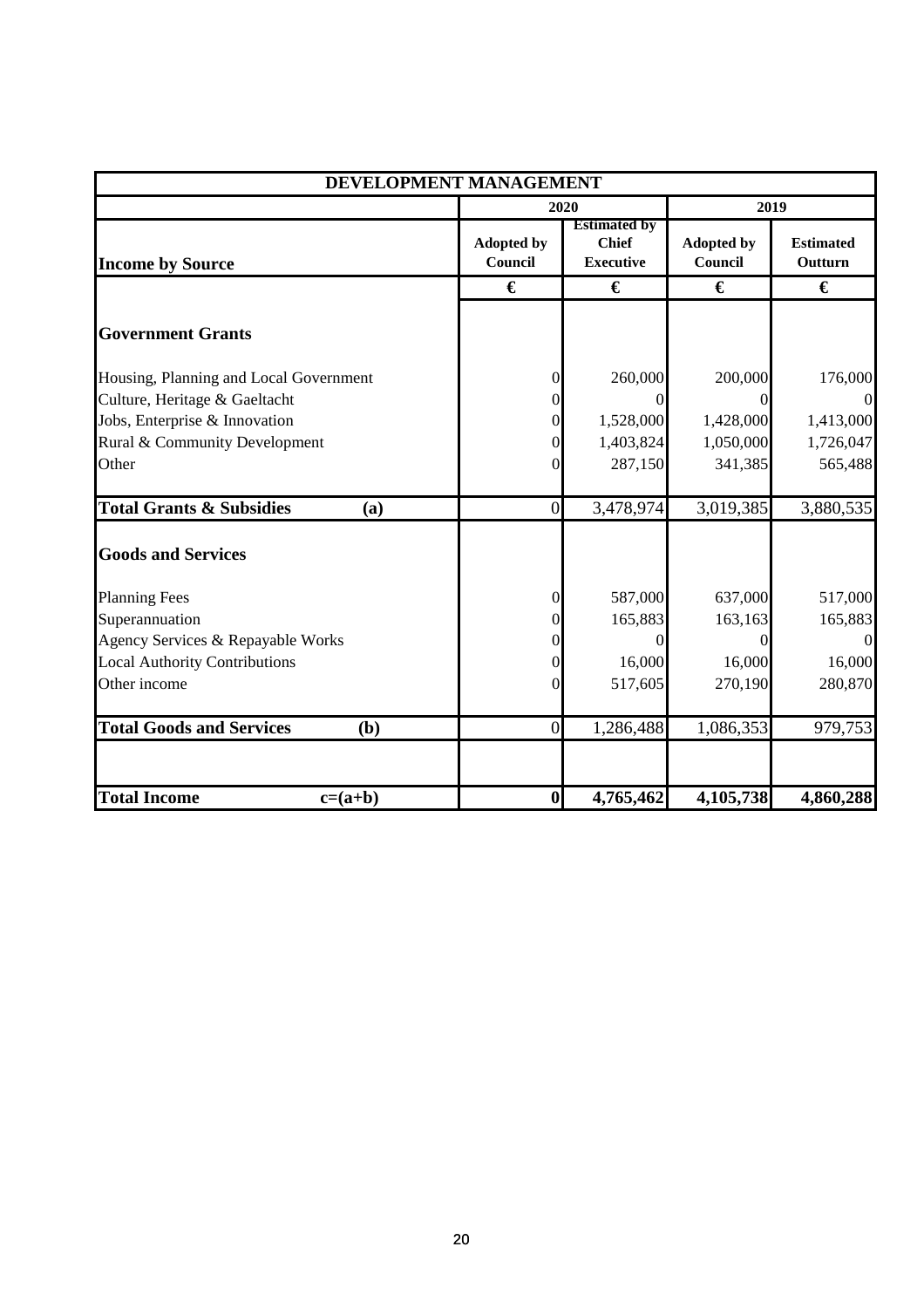|                                            | DEVELOPMENT MANAGEMENT       |                                                         |                              |                             |
|--------------------------------------------|------------------------------|---------------------------------------------------------|------------------------------|-----------------------------|
|                                            |                              | 2020                                                    |                              | 2019                        |
| <b>Income by Source</b>                    | <b>Adopted by</b><br>Council | <b>Estimated by</b><br><b>Chief</b><br><b>Executive</b> | <b>Adopted by</b><br>Council | <b>Estimated</b><br>Outturn |
|                                            | €                            | €                                                       | €                            | €                           |
| <b>Government Grants</b>                   |                              |                                                         |                              |                             |
| Housing, Planning and Local Government     | $\overline{0}$               | 260,000                                                 | 200,000                      | 176,000                     |
| Culture, Heritage & Gaeltacht              | $\theta$                     |                                                         |                              |                             |
| Jobs, Enterprise & Innovation              | $\overline{0}$               | 1,528,000                                               | 1,428,000                    | 1,413,000                   |
| Rural & Community Development              | $\overline{0}$               | 1,403,824                                               | 1,050,000                    | 1,726,047                   |
| Other                                      | $\overline{0}$               | 287,150                                                 | 341,385                      | 565,488                     |
| <b>Total Grants &amp; Subsidies</b><br>(a) | $\overline{0}$               | 3,478,974                                               | 3,019,385                    | 3,880,535                   |
| <b>Goods and Services</b>                  |                              |                                                         |                              |                             |
| <b>Planning Fees</b>                       | $\boldsymbol{0}$             | 587,000                                                 | 637,000                      | 517,000                     |
| Superannuation                             | $\overline{0}$               | 165,883                                                 | 163,163                      | 165,883                     |
| Agency Services & Repayable Works          | $\overline{0}$               |                                                         |                              |                             |
| <b>Local Authority Contributions</b>       | $\overline{0}$               | 16,000                                                  | 16,000                       | 16,000                      |
| Other income                               | $\overline{0}$               | 517,605                                                 | 270,190                      | 280,870                     |
| <b>Total Goods and Services</b><br>(b)     | $\overline{0}$               | 1,286,488                                               | 1,086,353                    | 979,753                     |
| <b>Total Income</b><br>$c=(a+b)$           | $\boldsymbol{0}$             | 4,765,462                                               | 4,105,738                    | 4,860,288                   |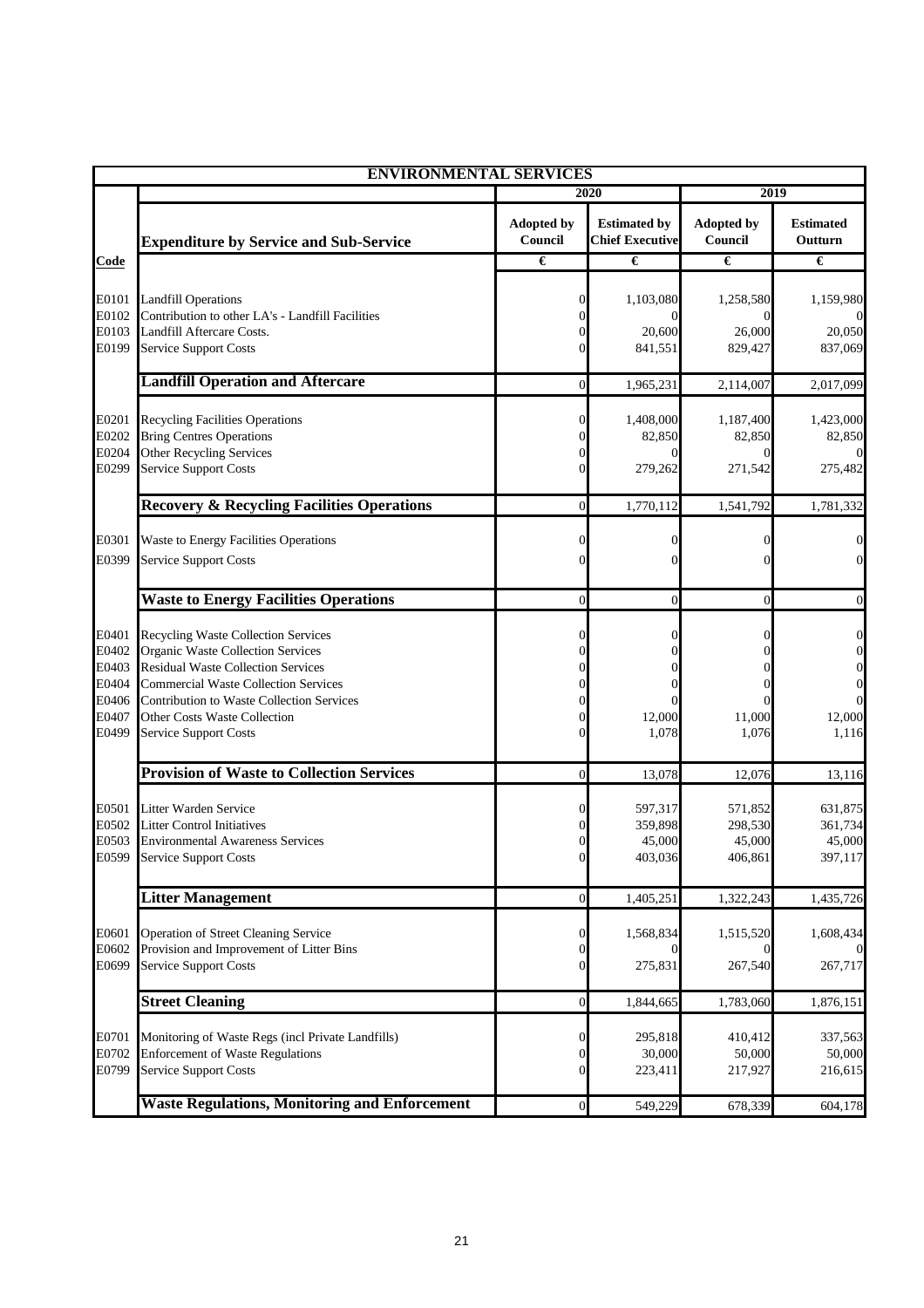|                                                             | <b>ENVIRONMENTAL SERVICES</b>                                                                                                                                                                                                                                                     |                                                      |                                               |                                         |                                                                                             |  |  |
|-------------------------------------------------------------|-----------------------------------------------------------------------------------------------------------------------------------------------------------------------------------------------------------------------------------------------------------------------------------|------------------------------------------------------|-----------------------------------------------|-----------------------------------------|---------------------------------------------------------------------------------------------|--|--|
|                                                             |                                                                                                                                                                                                                                                                                   |                                                      | 2020                                          |                                         | 2019                                                                                        |  |  |
|                                                             | <b>Expenditure by Service and Sub-Service</b>                                                                                                                                                                                                                                     | <b>Adopted by</b><br>Council                         | <b>Estimated by</b><br><b>Chief Executive</b> | <b>Adopted by</b><br>Council            | <b>Estimated</b><br>Outturn                                                                 |  |  |
| Code                                                        |                                                                                                                                                                                                                                                                                   | €                                                    | €                                             | €                                       | €                                                                                           |  |  |
| E0101<br>E0102                                              | <b>Landfill Operations</b><br>Contribution to other LA's - Landfill Facilities                                                                                                                                                                                                    | $\Omega$                                             | 1,103,080                                     | 1,258,580                               | 1,159,980                                                                                   |  |  |
| E0103<br>E0199                                              | Landfill Aftercare Costs.<br><b>Service Support Costs</b>                                                                                                                                                                                                                         | $\Omega$<br>$\Omega$                                 | 20,600<br>841,551                             | 26,000<br>829,427                       | 20,050<br>837,069                                                                           |  |  |
|                                                             | <b>Landfill Operation and Aftercare</b>                                                                                                                                                                                                                                           | $\overline{0}$                                       | 1,965,231                                     | 2,114,007                               | 2,017,099                                                                                   |  |  |
| E0201<br>E0202<br>E0204                                     | <b>Recycling Facilities Operations</b><br><b>Bring Centres Operations</b><br>Other Recycling Services                                                                                                                                                                             | $\Omega$                                             | 1,408,000<br>82,850                           | 1,187,400<br>82,850                     | 1,423,000<br>82,850                                                                         |  |  |
| E0299                                                       | <b>Service Support Costs</b>                                                                                                                                                                                                                                                      |                                                      | 279,262                                       | 271,542                                 | 275,482                                                                                     |  |  |
|                                                             | <b>Recovery &amp; Recycling Facilities Operations</b>                                                                                                                                                                                                                             | $\overline{0}$                                       | 1,770,112                                     | 1,541,792                               | 1,781,332                                                                                   |  |  |
| E0301<br>E0399                                              | Waste to Energy Facilities Operations<br><b>Service Support Costs</b>                                                                                                                                                                                                             | $\Omega$<br>0                                        | 0<br>0                                        |                                         | $\mathbf{0}$<br>$\overline{0}$                                                              |  |  |
|                                                             | <b>Waste to Energy Facilities Operations</b>                                                                                                                                                                                                                                      | $\Omega$                                             | $\overline{0}$                                | $\theta$                                | $\mathbf{0}$                                                                                |  |  |
| E0401<br>E0402<br>E0403<br>E0404<br>E0406<br>E0407<br>E0499 | <b>Recycling Waste Collection Services</b><br>Organic Waste Collection Services<br><b>Residual Waste Collection Services</b><br><b>Commercial Waste Collection Services</b><br>Contribution to Waste Collection Services<br>Other Costs Waste Collection<br>Service Support Costs | 0<br>0<br>0<br>0<br>0<br>0                           | 0<br>0<br>12,000<br>1,078                     | 11,000<br>1,076                         | $\boldsymbol{0}$<br>$\boldsymbol{0}$<br>$\boldsymbol{0}$<br>$\mathbf{0}$<br>12,000<br>1,116 |  |  |
|                                                             | <b>Provision of Waste to Collection Services</b>                                                                                                                                                                                                                                  | $\overline{0}$                                       | 13,078                                        | 12,076                                  | 13,116                                                                                      |  |  |
| E0501<br>E0502<br>E0503                                     | Litter Warden Service<br><b>Litter Control Initiatives</b><br><b>Environmental Awareness Services</b><br>E0599 Service Support Costs                                                                                                                                              | 0<br>$\Omega$                                        | 597,317<br>359,898<br>45,000<br>403,036       | 571,852<br>298,530<br>45,000<br>406,861 | 631,875<br>361,734<br>45,000<br>397,117                                                     |  |  |
|                                                             | <b>Litter Management</b>                                                                                                                                                                                                                                                          | $\mathbf{0}$                                         | 1,405,251                                     | 1,322,243                               | 1,435,726                                                                                   |  |  |
| E0601<br>E0602                                              | Operation of Street Cleaning Service<br>Provision and Improvement of Litter Bins                                                                                                                                                                                                  | $\mathbf 0$<br>$\overline{0}$                        | 1,568,834                                     | 1,515,520                               | 1,608,434                                                                                   |  |  |
| E0699                                                       | <b>Service Support Costs</b>                                                                                                                                                                                                                                                      | $\overline{0}$                                       | 275,831                                       | 267,540                                 | 267,717                                                                                     |  |  |
|                                                             | <b>Street Cleaning</b>                                                                                                                                                                                                                                                            | $\mathbf{0}$                                         | 1,844,665                                     | 1,783,060                               | 1,876,151                                                                                   |  |  |
| E0701<br>E0702<br>E0799                                     | Monitoring of Waste Regs (incl Private Landfills)<br><b>Enforcement of Waste Regulations</b><br><b>Service Support Costs</b>                                                                                                                                                      | $\boldsymbol{0}$<br>$\overline{0}$<br>$\overline{0}$ | 295,818<br>30,000<br>223,411                  | 410,412<br>50,000<br>217,927            | 337,563<br>50,000<br>216,615                                                                |  |  |
|                                                             | <b>Waste Regulations, Monitoring and Enforcement</b>                                                                                                                                                                                                                              | $\mathbf 0$                                          | 549,229                                       | 678,339                                 | 604,178                                                                                     |  |  |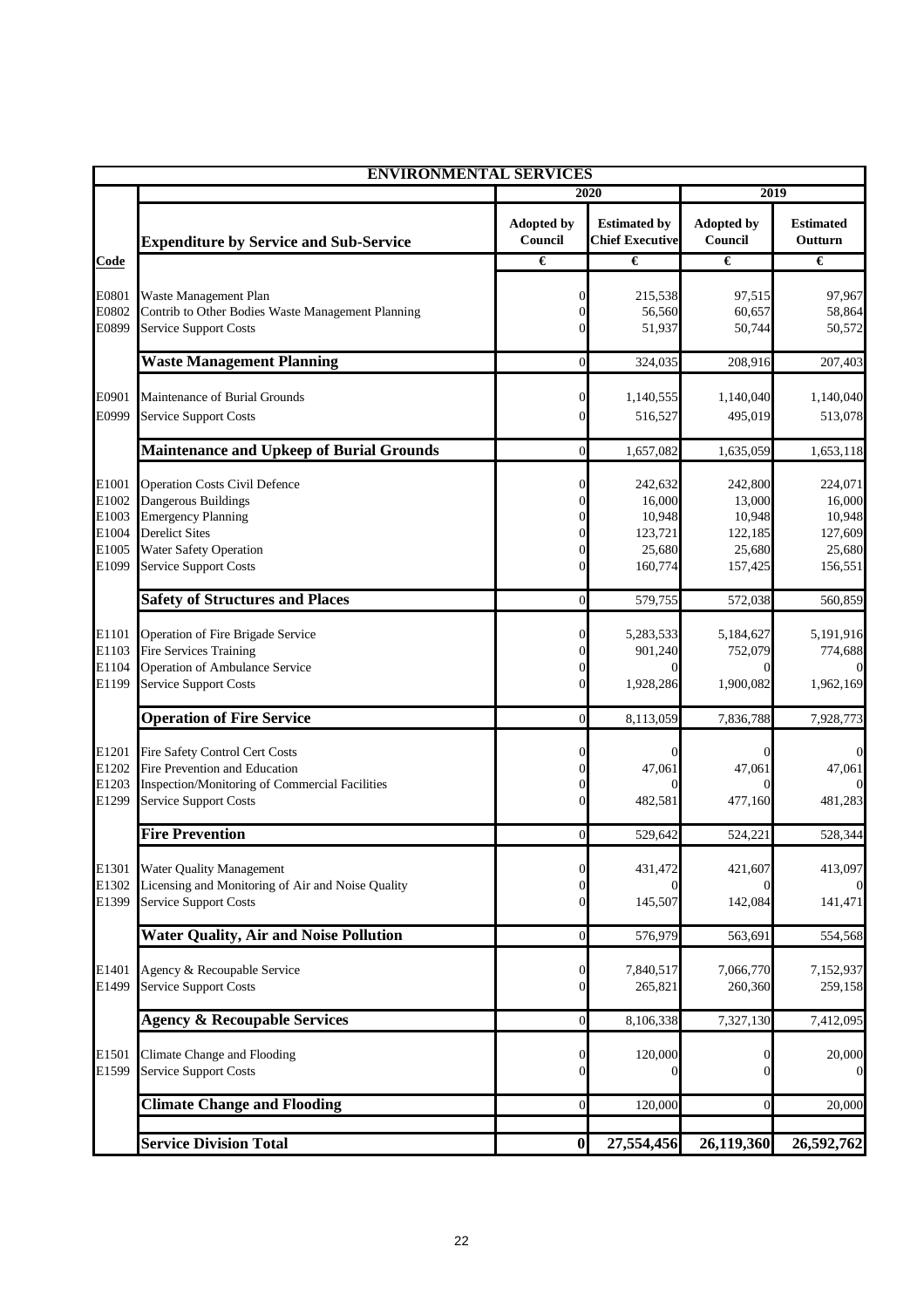|                                                    | <b>ENVIRONMENTAL SERVICES</b>                                                                                                                                                      |                                                                            |                                                             |                                                             |                                                             |  |
|----------------------------------------------------|------------------------------------------------------------------------------------------------------------------------------------------------------------------------------------|----------------------------------------------------------------------------|-------------------------------------------------------------|-------------------------------------------------------------|-------------------------------------------------------------|--|
|                                                    |                                                                                                                                                                                    |                                                                            | 2020                                                        |                                                             | 2019                                                        |  |
|                                                    | <b>Expenditure by Service and Sub-Service</b>                                                                                                                                      | <b>Adopted by</b><br>Council                                               | <b>Estimated by</b><br><b>Chief Executive</b>               | <b>Adopted by</b><br>Council                                | <b>Estimated</b><br>Outturn                                 |  |
| Code                                               |                                                                                                                                                                                    | €                                                                          | €                                                           | €                                                           | €                                                           |  |
| E0801<br>E0802<br>E0899                            | Waste Management Plan<br>Contrib to Other Bodies Waste Management Planning<br><b>Service Support Costs</b>                                                                         | $\overline{0}$<br>$\Omega$<br>$\Omega$                                     | 215,538<br>56,560<br>51,937                                 | 97,515<br>60,657<br>50,744                                  | 97,967<br>58,864<br>50,572                                  |  |
|                                                    | <b>Waste Management Planning</b>                                                                                                                                                   | $\mathbf{0}$                                                               | 324,035                                                     | 208,916                                                     | 207,403                                                     |  |
| E0901<br>E0999                                     | Maintenance of Burial Grounds<br><b>Service Support Costs</b>                                                                                                                      | $\overline{0}$<br>$\overline{0}$                                           | 1,140,555<br>516,527                                        | 1,140,040<br>495,019                                        | 1,140,040<br>513,078                                        |  |
|                                                    | <b>Maintenance and Upkeep of Burial Grounds</b>                                                                                                                                    | $\overline{0}$                                                             | 1,657,082                                                   | 1,635,059                                                   | 1,653,118                                                   |  |
| E1001<br>E1002<br>E1003<br>E1004<br>E1005<br>E1099 | <b>Operation Costs Civil Defence</b><br>Dangerous Buildings<br><b>Emergency Planning</b><br><b>Derelict Sites</b><br><b>Water Safety Operation</b><br><b>Service Support Costs</b> | $\overline{0}$<br>$\Omega$<br>$\Omega$<br>$\Omega$<br>$\Omega$<br>$\Omega$ | 242,632<br>16.000<br>10,948<br>123,721<br>25,680<br>160,774 | 242,800<br>13,000<br>10,948<br>122,185<br>25,680<br>157,425 | 224,071<br>16,000<br>10,948<br>127,609<br>25,680<br>156,551 |  |
|                                                    | <b>Safety of Structures and Places</b>                                                                                                                                             | $\overline{0}$                                                             | 579,755                                                     | 572,038                                                     | 560,859                                                     |  |
| E1101<br>E1103<br>E1104<br>E1199                   | Operation of Fire Brigade Service<br>Fire Services Training<br>Operation of Ambulance Service<br><b>Service Support Costs</b>                                                      | $\mathbf{0}$<br>0<br>$\overline{0}$<br>$\mathbf{0}$                        | 5,283,533<br>901,240<br>$\Omega$<br>1,928,286               | 5,184,627<br>752,079<br>1,900,082                           | 5,191,916<br>774,688<br>1,962,169                           |  |
|                                                    | <b>Operation of Fire Service</b>                                                                                                                                                   | $\overline{0}$                                                             | 8,113,059                                                   | 7,836,788                                                   | 7,928,773                                                   |  |
| E1201<br>E1202<br>E1203<br>E1299                   | Fire Safety Control Cert Costs<br>Fire Prevention and Education<br>Inspection/Monitoring of Commercial Facilities<br><b>Service Support Costs</b>                                  | $\Omega$<br>0<br>0<br>$\Omega$                                             | $\overline{0}$<br>47,061<br>482,581                         | 47,061<br>477,160                                           | 47,061<br>481,283                                           |  |
|                                                    | <b>Fire Prevention</b>                                                                                                                                                             | $\mathbf{0}$                                                               | 529,642                                                     | 524,221                                                     | 528,344                                                     |  |
| E1301<br>E1302<br>E1399                            | <b>Water Quality Management</b><br>Licensing and Monitoring of Air and Noise Quality<br><b>Service Support Costs</b>                                                               | $\mathbf{0}$<br>$\Omega$<br>$\overline{0}$                                 | 431,472<br>145,507                                          | 421,607<br>142,084                                          | 413,097<br>141,471                                          |  |
|                                                    | <b>Water Quality, Air and Noise Pollution</b>                                                                                                                                      | $\mathbf{0}$                                                               | 576,979                                                     | 563,691                                                     | 554,568                                                     |  |
| E1401<br>E1499                                     | Agency & Recoupable Service<br><b>Service Support Costs</b>                                                                                                                        | $\mathbf{0}$<br>$\overline{0}$                                             | 7,840,517<br>265,821                                        | 7,066,770<br>260,360                                        | 7,152,937<br>259,158                                        |  |
|                                                    | <b>Agency &amp; Recoupable Services</b>                                                                                                                                            | $\mathbf{0}$                                                               | 8,106,338                                                   | 7,327,130                                                   | 7,412,095                                                   |  |
| E1501<br>E1599                                     | Climate Change and Flooding<br><b>Service Support Costs</b>                                                                                                                        | $\mathbf{0}$<br>$\Omega$                                                   | 120,000                                                     |                                                             | 20,000                                                      |  |
|                                                    | <b>Climate Change and Flooding</b>                                                                                                                                                 | $\overline{0}$                                                             | 120,000                                                     | 0                                                           | 20,000                                                      |  |
|                                                    | <b>Service Division Total</b>                                                                                                                                                      | $\bf{0}$                                                                   | 27,554,456                                                  | 26,119,360                                                  | 26,592,762                                                  |  |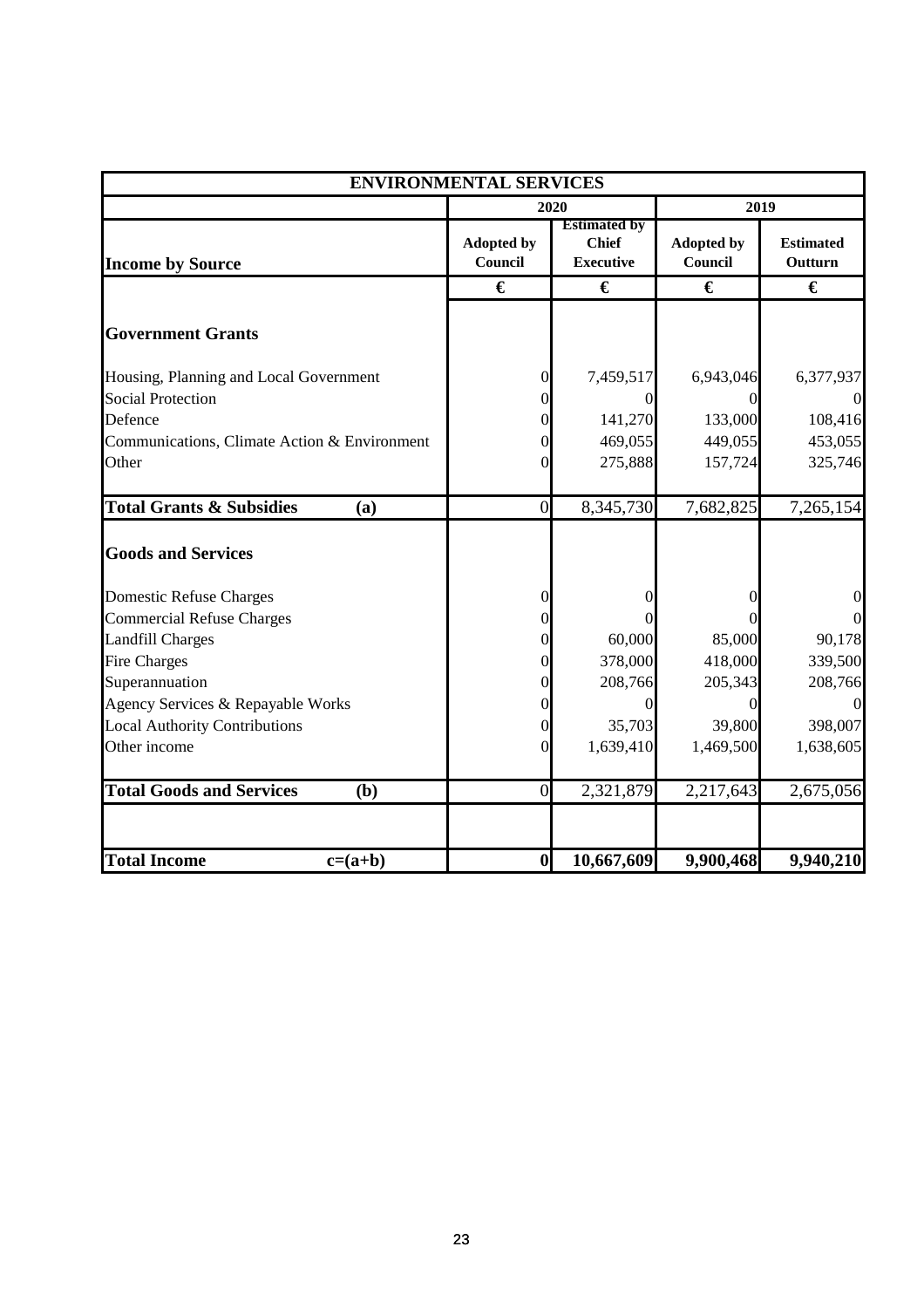|                                              | <b>ENVIRONMENTAL SERVICES</b> |                                                         |                              |                             |  |  |
|----------------------------------------------|-------------------------------|---------------------------------------------------------|------------------------------|-----------------------------|--|--|
|                                              |                               | 2020                                                    |                              | 2019                        |  |  |
| <b>Income by Source</b>                      | <b>Adopted by</b><br>Council  | <b>Estimated by</b><br><b>Chief</b><br><b>Executive</b> | <b>Adopted by</b><br>Council | <b>Estimated</b><br>Outturn |  |  |
|                                              | €                             | €                                                       | €                            | €                           |  |  |
| <b>Government Grants</b>                     |                               |                                                         |                              |                             |  |  |
| Housing, Planning and Local Government       | $^{(1)}$                      | 7,459,517                                               | 6,943,046                    | 6,377,937                   |  |  |
| <b>Social Protection</b>                     |                               | $\theta$                                                | 0                            |                             |  |  |
| Defence                                      |                               | 141,270                                                 | 133,000                      | 108,416                     |  |  |
| Communications, Climate Action & Environment |                               | 469,055                                                 | 449,055                      | 453,055                     |  |  |
| Other                                        |                               | 275,888                                                 | 157,724                      | 325,746                     |  |  |
| <b>Total Grants &amp; Subsidies</b><br>(a)   | $\overline{0}$                | 8,345,730                                               | 7,682,825                    | 7,265,154                   |  |  |
| <b>Goods and Services</b>                    |                               |                                                         |                              |                             |  |  |
| <b>Domestic Refuse Charges</b>               |                               | 0                                                       |                              | $\overline{0}$              |  |  |
| <b>Commercial Refuse Charges</b>             |                               |                                                         |                              | $\overline{0}$              |  |  |
| <b>Landfill Charges</b>                      |                               | 60,000                                                  | 85,000                       | 90,178                      |  |  |
| <b>Fire Charges</b>                          |                               | 378,000                                                 | 418,000                      | 339,500                     |  |  |
| Superannuation                               |                               | 208,766                                                 | 205,343                      | 208,766                     |  |  |
| Agency Services & Repayable Works            |                               | 0                                                       |                              | $\Omega$                    |  |  |
| <b>Local Authority Contributions</b>         |                               | 35,703                                                  | 39,800                       | 398,007                     |  |  |
| Other income                                 | 0                             | 1,639,410                                               | 1,469,500                    | 1,638,605                   |  |  |
| <b>Total Goods and Services</b><br>(b)       | $\overline{0}$                | 2,321,879                                               | 2,217,643                    | 2,675,056                   |  |  |
| <b>Total Income</b><br>$c=(a+b)$             | $\bf{0}$                      | 10,667,609                                              | 9,900,468                    | 9,940,210                   |  |  |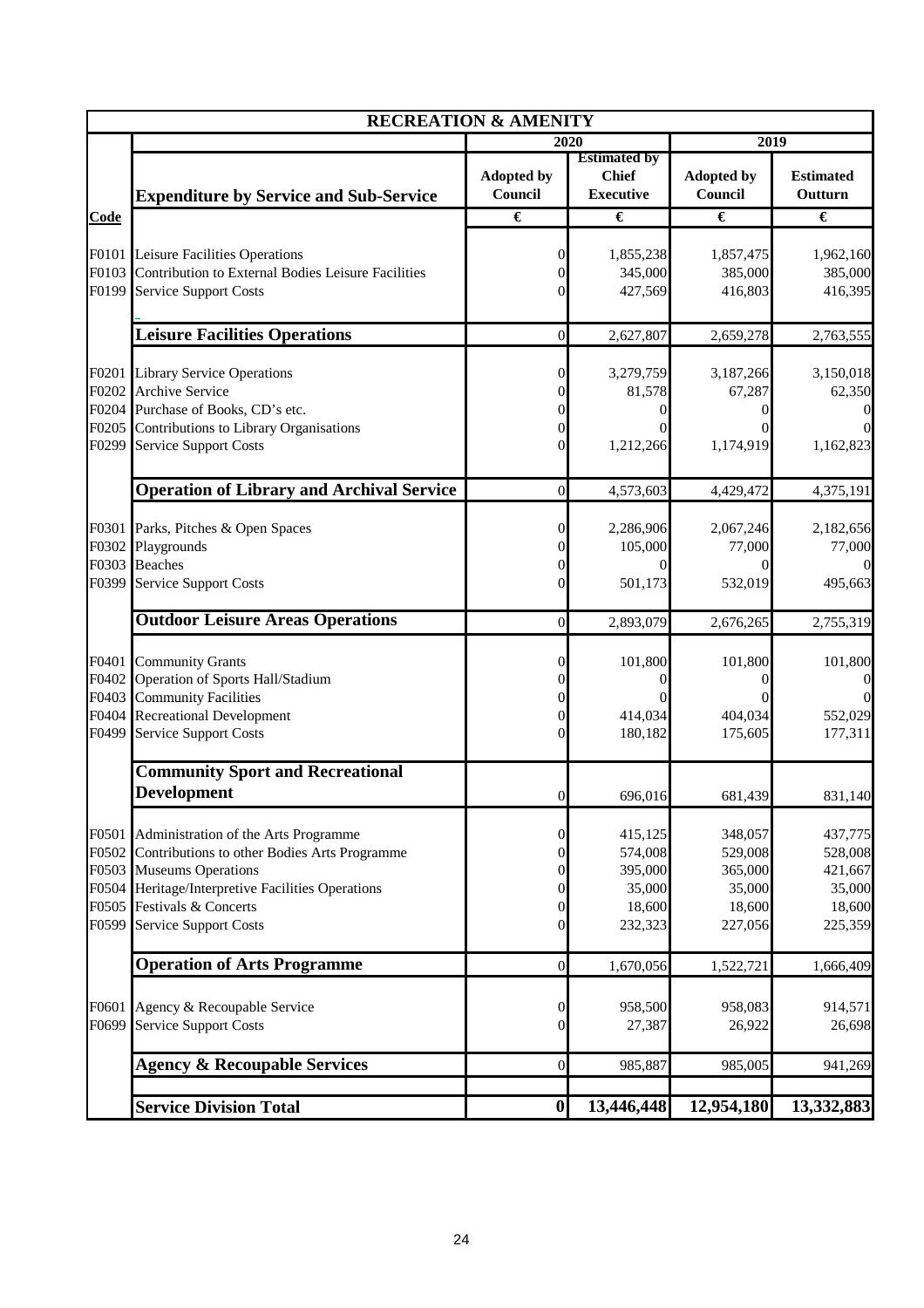|                                           | <b>RECREATION &amp; AMENITY</b>                                                                                                                                                                                         |                                                        |                                                              |                                                              |                                                               |
|-------------------------------------------|-------------------------------------------------------------------------------------------------------------------------------------------------------------------------------------------------------------------------|--------------------------------------------------------|--------------------------------------------------------------|--------------------------------------------------------------|---------------------------------------------------------------|
|                                           |                                                                                                                                                                                                                         |                                                        | 2020                                                         | 2019                                                         |                                                               |
|                                           | <b>Expenditure by Service and Sub-Service</b>                                                                                                                                                                           | <b>Adopted by</b><br>Council                           | <b>Estimated by</b><br><b>Chief</b><br><b>Executive</b>      | <b>Adopted by</b><br>Council                                 | <b>Estimated</b><br>Outturn                                   |
| Code                                      |                                                                                                                                                                                                                         | €                                                      | €                                                            | €                                                            | €                                                             |
| F0103<br>F0199                            | F0101 Leisure Facilities Operations<br>Contribution to External Bodies Leisure Facilities<br><b>Service Support Costs</b>                                                                                               | 0<br>0<br>0                                            | 1,855,238<br>345,000<br>427,569                              | 1,857,475<br>385,000<br>416,803                              | 1,962,160<br>385,000<br>416,395                               |
|                                           | <b>Leisure Facilities Operations</b>                                                                                                                                                                                    | $\boldsymbol{0}$                                       | 2,627,807                                                    | 2,659,278                                                    | 2,763,555                                                     |
| F0201<br>F0202<br>F0205<br>F0299          | <b>Library Service Operations</b><br>Archive Service<br>F0204 Purchase of Books, CD's etc.<br>Contributions to Library Organisations<br><b>Service Support Costs</b>                                                    | 0<br>0<br>0<br>$\overline{0}$<br>$\Omega$              | 3,279,759<br>81,578<br>1,212,266                             | 3,187,266<br>67,287<br>$\Omega$<br>1,174,919                 | 3,150,018<br>62,350<br>$\Omega$<br>1,162,823                  |
|                                           | <b>Operation of Library and Archival Service</b>                                                                                                                                                                        | $\overline{0}$                                         | 4,573,603                                                    | 4,429,472                                                    | 4,375,191                                                     |
| F0301<br>F0302<br>F0303<br>F0399          | Parks, Pitches & Open Spaces<br>Playgrounds<br><b>Beaches</b><br>Service Support Costs                                                                                                                                  | 0<br>$\Omega$<br>0<br>0                                | 2,286,906<br>105,000<br>$\Omega$<br>501,173                  | 2,067,246<br>77,000<br>0<br>532,019                          | 2,182,656<br>77,000<br>$\overline{0}$<br>495,663              |
|                                           | <b>Outdoor Leisure Areas Operations</b>                                                                                                                                                                                 | $\overline{0}$                                         | 2,893,079                                                    | 2,676,265                                                    | 2,755,319                                                     |
| F0401<br>F0402<br>F0403<br>F0404<br>F0499 | <b>Community Grants</b><br>Operation of Sports Hall/Stadium<br><b>Community Facilities</b><br><b>Recreational Development</b><br><b>Service Support Costs</b>                                                           | 0<br>0<br>0<br>$\Omega$<br>0                           | 101,800<br>0<br>0<br>414,034<br>180,182                      | 101,800<br>0<br>0<br>404,034<br>175,605                      | 101,800<br>$\boldsymbol{0}$<br>$\Omega$<br>552,029<br>177,311 |
|                                           | <b>Community Sport and Recreational</b><br><b>Development</b>                                                                                                                                                           | $\boldsymbol{0}$                                       | 696,016                                                      | 681,439                                                      | 831,140                                                       |
| F0501<br>F0502<br>F0504<br>F0505<br>F0599 | Administration of the Arts Programme<br>Contributions to other Bodies Arts Programme<br>F0503 Museums Operations<br>Heritage/Interpretive Facilities Operations<br>Festivals & Concerts<br><b>Service Support Costs</b> | 0<br>$\boldsymbol{0}$<br>0<br>0<br>0<br>$\overline{0}$ | 415,125<br>574,008<br>395,000<br>35,000<br>18,600<br>232,323 | 348,057<br>529,008<br>365,000<br>35,000<br>18,600<br>227,056 | 437,775<br>528,008<br>421,667<br>35,000<br>18,600<br>225,359  |
|                                           | <b>Operation of Arts Programme</b>                                                                                                                                                                                      | $\boldsymbol{0}$                                       | 1,670,056                                                    | 1,522,721                                                    | 1,666,409                                                     |
| F0601<br>F0699                            | Agency & Recoupable Service<br><b>Service Support Costs</b>                                                                                                                                                             | 0<br>0                                                 | 958,500<br>27,387                                            | 958,083<br>26,922                                            | 914,571<br>26,698                                             |
|                                           | <b>Agency &amp; Recoupable Services</b>                                                                                                                                                                                 | $\boldsymbol{0}$                                       | 985,887                                                      | 985,005                                                      | 941,269                                                       |
|                                           | <b>Service Division Total</b>                                                                                                                                                                                           | $\boldsymbol{0}$                                       | 13,446,448                                                   | 12,954,180                                                   | 13,332,883                                                    |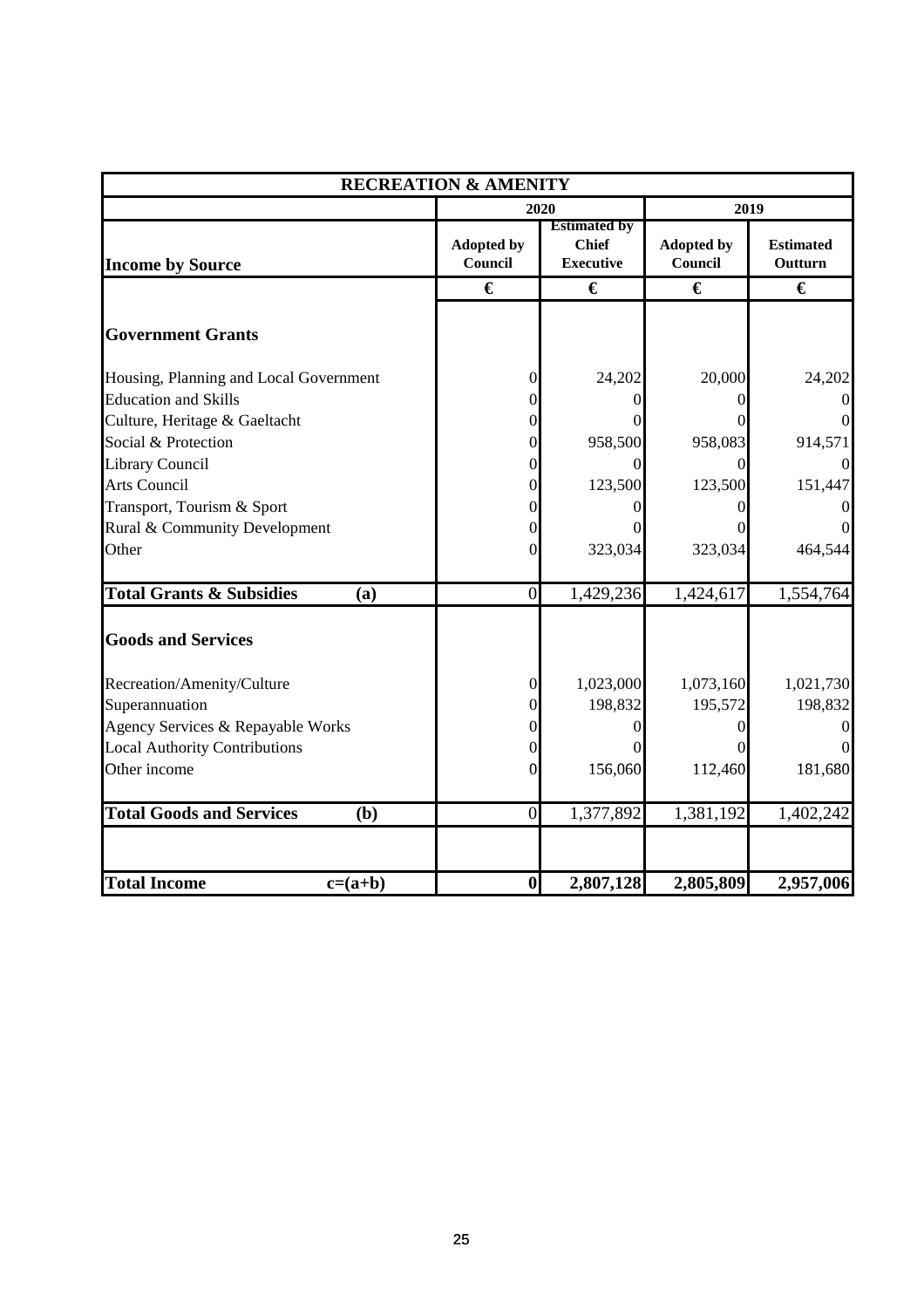| <b>RECREATION &amp; AMENITY</b>            |                              |                                                         |                              |                             |  |
|--------------------------------------------|------------------------------|---------------------------------------------------------|------------------------------|-----------------------------|--|
|                                            |                              | 2020                                                    |                              | 2019                        |  |
| <b>Income by Source</b>                    | <b>Adopted by</b><br>Council | <b>Estimated by</b><br><b>Chief</b><br><b>Executive</b> | <b>Adopted by</b><br>Council | <b>Estimated</b><br>Outturn |  |
|                                            | €                            | €                                                       | €                            | €                           |  |
| <b>Government Grants</b>                   |                              |                                                         |                              |                             |  |
| Housing, Planning and Local Government     | 0                            | 24,202                                                  | 20,000                       | 24,202                      |  |
| <b>Education and Skills</b>                | 0                            | $\Omega$                                                |                              | $\overline{0}$              |  |
| Culture, Heritage & Gaeltacht              | 0                            |                                                         |                              | $\overline{0}$              |  |
| Social & Protection                        | 0                            | 958,500                                                 | 958,083                      | 914,571                     |  |
| <b>Library Council</b>                     | 0                            | $\Omega$                                                | 0                            |                             |  |
| <b>Arts Council</b>                        | 0                            | 123,500                                                 | 123,500                      | 151,447                     |  |
| Transport, Tourism & Sport                 |                              |                                                         |                              |                             |  |
| Rural & Community Development              |                              | $\mathbf{\Omega}$                                       |                              |                             |  |
| Other                                      | 0                            | 323,034                                                 | 323,034                      | 464,544                     |  |
| <b>Total Grants &amp; Subsidies</b><br>(a) | $\overline{0}$               | 1,429,236                                               | 1,424,617                    | 1,554,764                   |  |
| <b>Goods and Services</b>                  |                              |                                                         |                              |                             |  |
| Recreation/Amenity/Culture                 | $\overline{0}$               | 1,023,000                                               | 1,073,160                    | 1,021,730                   |  |
| Superannuation                             | 0                            | 198,832                                                 | 195,572                      | 198,832                     |  |
| Agency Services & Repayable Works          |                              | 0                                                       |                              |                             |  |
| <b>Local Authority Contributions</b>       |                              |                                                         |                              |                             |  |
| Other income                               | 0                            | 156,060                                                 | 112,460                      | 181,680                     |  |
| <b>Total Goods and Services</b><br>(b)     | $\overline{0}$               | 1,377,892                                               | 1,381,192                    | 1,402,242                   |  |
|                                            |                              |                                                         |                              |                             |  |
| <b>Total Income</b><br>$c=(a+b)$           | $\boldsymbol{0}$             | 2,807,128                                               | 2,805,809                    | 2,957,006                   |  |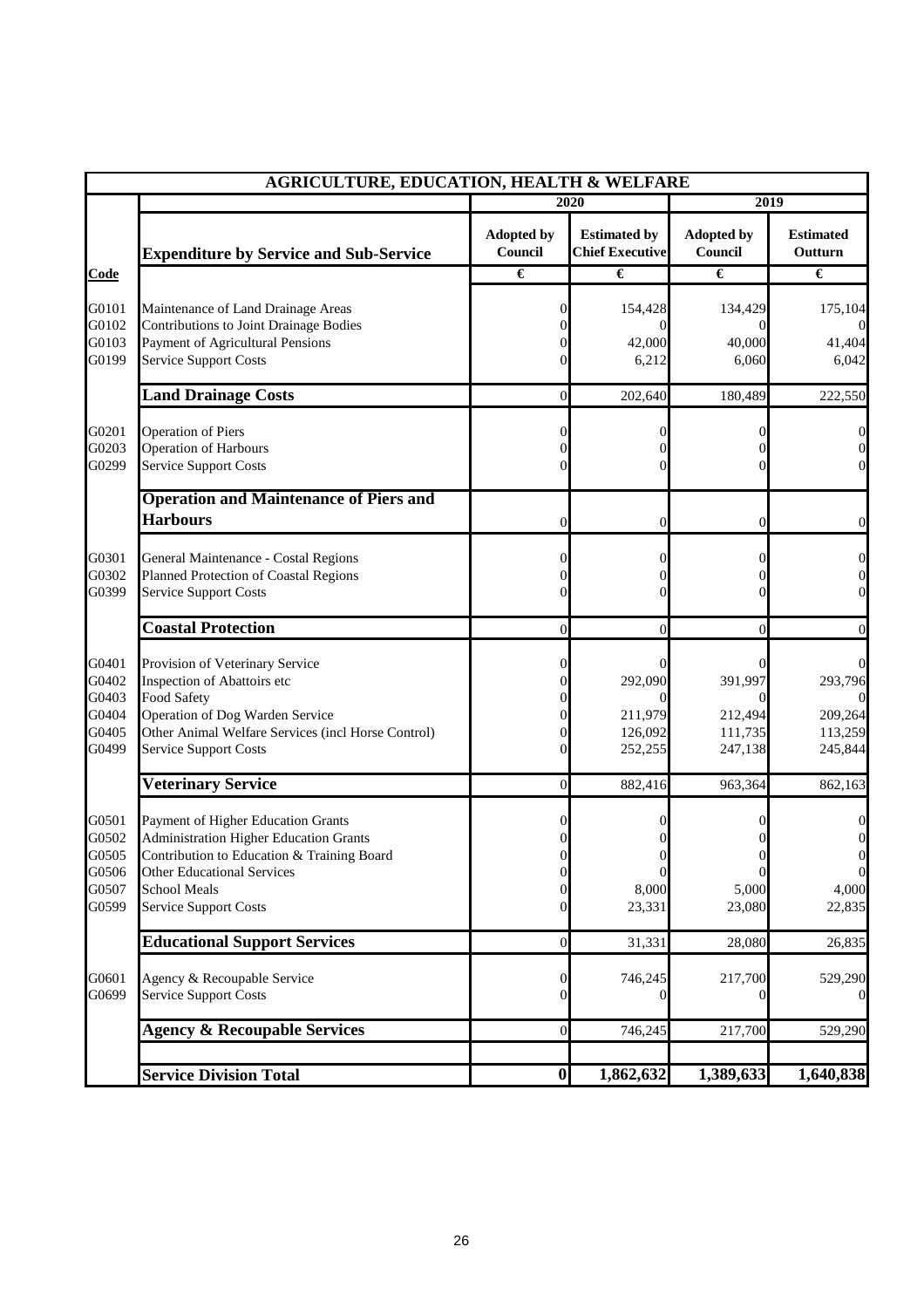|                                  | <b>AGRICULTURE, EDUCATION, HEALTH &amp; WELFARE</b>                                                                                                                    |                              |                                               |                                |                                                           |
|----------------------------------|------------------------------------------------------------------------------------------------------------------------------------------------------------------------|------------------------------|-----------------------------------------------|--------------------------------|-----------------------------------------------------------|
|                                  |                                                                                                                                                                        |                              | 2020                                          | 2019                           |                                                           |
|                                  | <b>Expenditure by Service and Sub-Service</b>                                                                                                                          | <b>Adopted by</b><br>Council | <b>Estimated by</b><br><b>Chief Executive</b> | <b>Adopted by</b><br>Council   | <b>Estimated</b><br>Outturn                               |
| Code                             |                                                                                                                                                                        | €                            | €                                             | €                              | €                                                         |
| G0101<br>G0102                   | Maintenance of Land Drainage Areas<br>Contributions to Joint Drainage Bodies                                                                                           | 0                            | 154,428<br>0                                  | 134,429<br>$\theta$            | 175,104                                                   |
| G0103<br>G0199                   | Payment of Agricultural Pensions<br><b>Service Support Costs</b>                                                                                                       |                              | 42,000<br>6,212                               | 40,000<br>6,060                | 41,404<br>6,042                                           |
|                                  | <b>Land Drainage Costs</b>                                                                                                                                             | $\overline{0}$               | 202,640                                       | 180,489                        | 222,550                                                   |
| G0201<br>G0203<br>G0299          | <b>Operation of Piers</b><br><b>Operation of Harbours</b><br><b>Service Support Costs</b>                                                                              |                              |                                               | 0                              | $^{()}$<br>$\overline{0}$<br>$\overline{0}$               |
|                                  | <b>Operation and Maintenance of Piers and</b><br><b>Harbours</b>                                                                                                       | 0                            | 0                                             | 0                              | $\boldsymbol{0}$                                          |
| G0301<br>G0302<br>G0399          | General Maintenance - Costal Regions<br>Planned Protection of Coastal Regions<br><b>Service Support Costs</b>                                                          |                              | 0                                             | 0                              | $\overline{0}$<br>0<br>$\overline{0}$                     |
|                                  | <b>Coastal Protection</b>                                                                                                                                              | $\theta$                     | 0                                             | $\overline{0}$                 | $\overline{0}$                                            |
| G0401<br>G0402<br>G0403<br>G0404 | Provision of Veterinary Service<br>Inspection of Abattoirs etc<br><b>Food Safety</b><br>Operation of Dog Warden Service                                                | O                            | 292,090<br>211,979                            | $\theta$<br>391,997<br>212,494 | 293,796<br>209,264                                        |
| G0405<br>G0499                   | Other Animal Welfare Services (incl Horse Control)<br><b>Service Support Costs</b>                                                                                     |                              | 126,092<br>252,255                            | 111,735<br>247,138             | 113,259<br>245,844                                        |
|                                  | <b>Veterinary Service</b>                                                                                                                                              | $\overline{0}$               | 882,416                                       | 963,364                        | 862,163                                                   |
| G0501<br>G0502<br>G0505<br>G0506 | Payment of Higher Education Grants<br><b>Administration Higher Education Grants</b><br>Contribution to Education & Training Board<br><b>Other Educational Services</b> | $\boldsymbol{0}$             | 0<br>$\overline{0}$                           | $\boldsymbol{0}$               | 0<br>$\boldsymbol{0}$<br>$\boldsymbol{0}$<br>$\mathbf{0}$ |
| G0507<br>G0599                   | <b>School Meals</b><br><b>Service Support Costs</b>                                                                                                                    | $\overline{0}$<br>0          | 8,000<br>23,331                               | 5,000<br>23,080                | 4,000<br>22,835                                           |
|                                  | <b>Educational Support Services</b>                                                                                                                                    | $\boldsymbol{0}$             | 31,331                                        | 28,080                         | 26,835                                                    |
| G0601<br>G0699                   | Agency & Recoupable Service<br><b>Service Support Costs</b>                                                                                                            | 0<br>0                       | 746,245<br>0                                  | 217,700<br>0                   | 529,290<br>$\overline{0}$                                 |
|                                  | <b>Agency &amp; Recoupable Services</b>                                                                                                                                | $\boldsymbol{0}$             | 746,245                                       | 217,700                        | 529,290                                                   |
|                                  | <b>Service Division Total</b>                                                                                                                                          | $\boldsymbol{0}$             | 1,862,632                                     | 1,389,633                      | 1,640,838                                                 |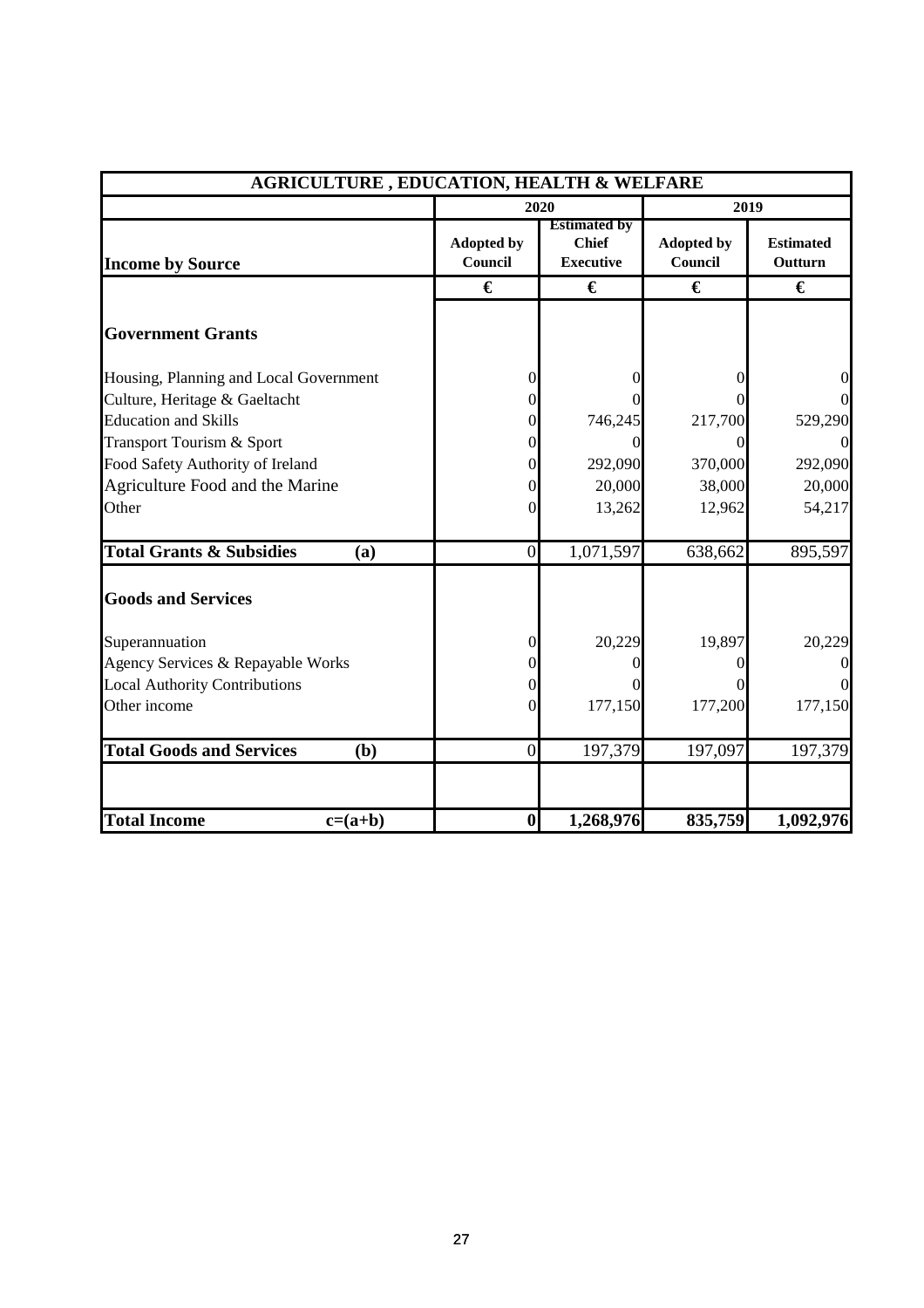| <b>AGRICULTURE, EDUCATION, HEALTH &amp; WELFARE</b> |                              |                                                         |                              |                             |  |
|-----------------------------------------------------|------------------------------|---------------------------------------------------------|------------------------------|-----------------------------|--|
|                                                     |                              | 2020                                                    |                              | 2019                        |  |
| <b>Income by Source</b>                             | <b>Adopted by</b><br>Council | <b>Estimated by</b><br><b>Chief</b><br><b>Executive</b> | <b>Adopted by</b><br>Council | <b>Estimated</b><br>Outturn |  |
|                                                     | €                            | €                                                       | €                            | €                           |  |
| <b>Government Grants</b>                            |                              |                                                         |                              |                             |  |
| Housing, Planning and Local Government              | 0                            |                                                         |                              | $\overline{0}$              |  |
| Culture, Heritage & Gaeltacht                       | 0                            |                                                         |                              | $\overline{0}$              |  |
| <b>Education and Skills</b>                         | 0                            | 746,245                                                 | 217,700                      | 529,290                     |  |
| Transport Tourism & Sport                           |                              |                                                         |                              | $\Omega$                    |  |
| Food Safety Authority of Ireland                    |                              | 292,090                                                 | 370,000                      | 292,090                     |  |
| Agriculture Food and the Marine                     |                              | 20,000                                                  | 38,000                       | 20,000                      |  |
| Other                                               | 0                            | 13,262                                                  | 12,962                       | 54,217                      |  |
| <b>Total Grants &amp; Subsidies</b><br>(a)          | $\theta$                     | 1,071,597                                               | 638,662                      | 895,597                     |  |
| <b>Goods and Services</b>                           |                              |                                                         |                              |                             |  |
| Superannuation                                      | 0                            | 20,229                                                  | 19,897                       | 20,229                      |  |
| Agency Services & Repayable Works                   |                              |                                                         | $\Omega$                     | $\overline{0}$              |  |
| <b>Local Authority Contributions</b>                | 0                            |                                                         |                              | $\overline{0}$              |  |
| Other income                                        | 0                            | 177,150                                                 | 177,200                      | 177,150                     |  |
| <b>Total Goods and Services</b><br>(b)              | $\overline{0}$               | 197,379                                                 | 197,097                      | 197,379                     |  |
| <b>Total Income</b><br>$c=(a+b)$                    | $\bf{0}$                     | 1,268,976                                               | 835,759                      | 1,092,976                   |  |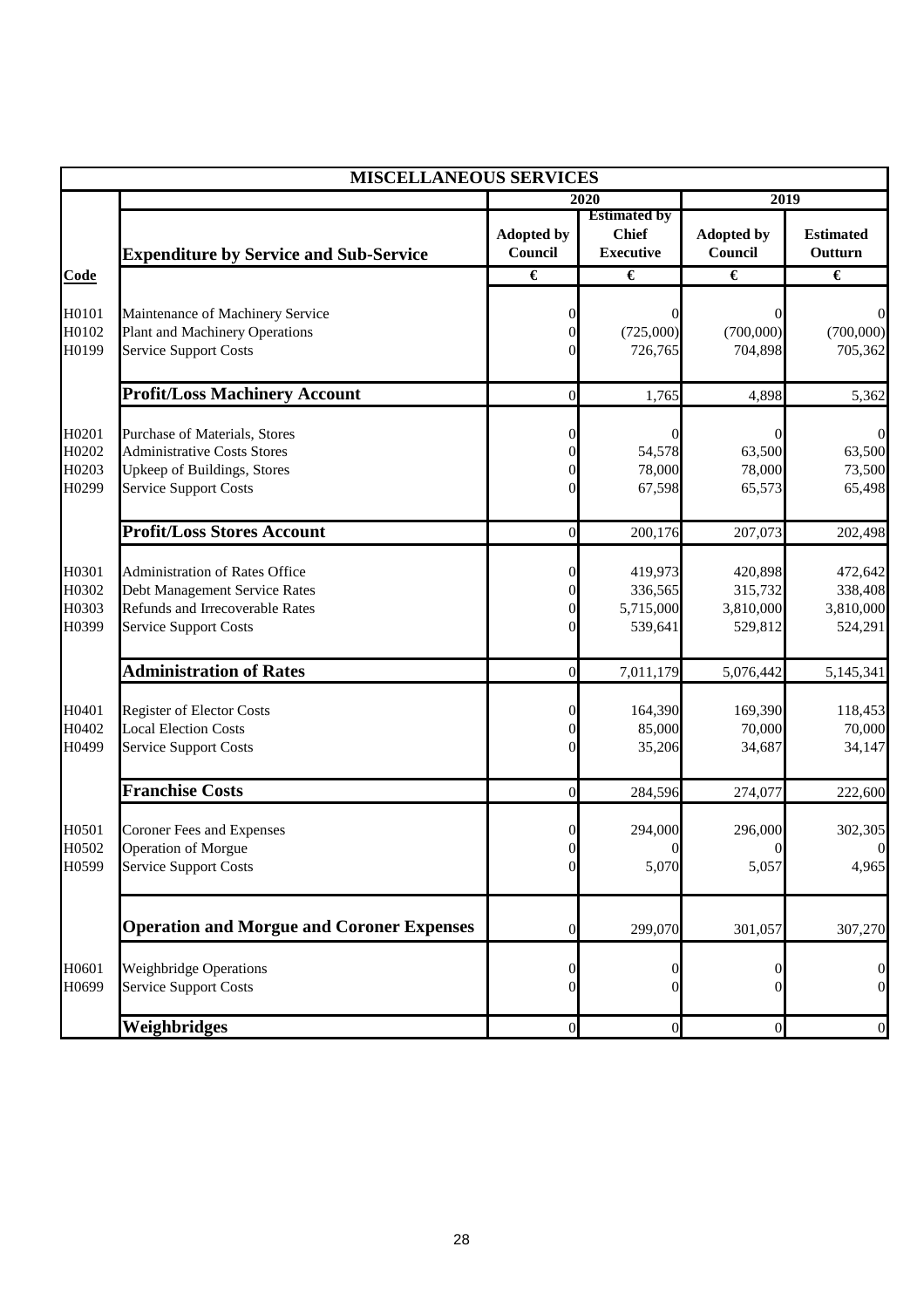|                                  | <b>MISCELLANEOUS SERVICES</b>                                                                                                             |                                                                |                                                         |                                            |                                            |  |
|----------------------------------|-------------------------------------------------------------------------------------------------------------------------------------------|----------------------------------------------------------------|---------------------------------------------------------|--------------------------------------------|--------------------------------------------|--|
|                                  |                                                                                                                                           |                                                                | 2020                                                    | 2019                                       |                                            |  |
|                                  | <b>Expenditure by Service and Sub-Service</b>                                                                                             | <b>Adopted by</b><br>Council                                   | <b>Estimated by</b><br><b>Chief</b><br><b>Executive</b> | <b>Adopted by</b><br>Council               | <b>Estimated</b><br>Outturn                |  |
| Code                             |                                                                                                                                           | $\overline{\epsilon}$                                          | €                                                       | €                                          | €                                          |  |
| H0101<br>H0102<br>H0199          | Maintenance of Machinery Service<br><b>Plant and Machinery Operations</b><br><b>Service Support Costs</b>                                 | 0<br>$\overline{0}$<br>0                                       | (725,000)<br>726,765                                    | $\theta$<br>(700,000)<br>704,898           | $\Omega$<br>(700,000)<br>705,362           |  |
|                                  | <b>Profit/Loss Machinery Account</b>                                                                                                      | $\mathbf{0}$                                                   | 1,765                                                   | 4,898                                      | 5,362                                      |  |
| H0201<br>H0202<br>H0203<br>H0299 | Purchase of Materials, Stores<br><b>Administrative Costs Stores</b><br>Upkeep of Buildings, Stores<br><b>Service Support Costs</b>        | $\overline{0}$<br>$\overline{0}$<br>$\overline{0}$<br>$\theta$ | 54,578<br>78,000<br>67,598                              | 63,500<br>78,000<br>65,573                 | $\Omega$<br>63,500<br>73,500<br>65,498     |  |
|                                  | <b>Profit/Loss Stores Account</b>                                                                                                         | $\overline{0}$                                                 | 200,176                                                 | 207,073                                    | 202,498                                    |  |
| H0301<br>H0302<br>H0303<br>H0399 | <b>Administration of Rates Office</b><br>Debt Management Service Rates<br>Refunds and Irrecoverable Rates<br><b>Service Support Costs</b> | $\overline{0}$<br>$\overline{0}$<br>0<br>0                     | 419,973<br>336,565<br>5,715,000<br>539,641              | 420,898<br>315,732<br>3,810,000<br>529,812 | 472,642<br>338,408<br>3,810,000<br>524,291 |  |
|                                  | <b>Administration of Rates</b>                                                                                                            | $\overline{0}$                                                 | 7,011,179                                               | 5,076,442                                  | 5,145,341                                  |  |
| H0401<br>H0402<br>H0499          | <b>Register of Elector Costs</b><br><b>Local Election Costs</b><br><b>Service Support Costs</b>                                           | $\overline{0}$<br>$\overline{0}$<br>$\theta$                   | 164,390<br>85,000<br>35,206                             | 169,390<br>70,000<br>34,687                | 118,453<br>70,000<br>34,147                |  |
|                                  | <b>Franchise Costs</b>                                                                                                                    | $\mathbf{0}$                                                   | 284,596                                                 | 274,077                                    | 222,600                                    |  |
| H0501<br>H0502<br>H0599          | <b>Coroner Fees and Expenses</b><br><b>Operation of Morgue</b><br><b>Service Support Costs</b>                                            | 0<br>$\overline{0}$<br>$\mathbf{0}$                            | 294,000<br>0<br>5,070                                   | 296,000<br>$\overline{0}$<br>5,057         | 302,305<br>$\boldsymbol{0}$<br>4,965       |  |
|                                  | <b>Operation and Morgue and Coroner Expenses</b>                                                                                          | 0                                                              | 299,070                                                 | 301,057                                    | 307,270                                    |  |
| H0601<br>H0699                   | <b>Weighbridge Operations</b><br><b>Service Support Costs</b>                                                                             | 0<br>$\overline{0}$                                            |                                                         |                                            | $\mathbf{0}$<br>$\overline{0}$             |  |
|                                  | Weighbridges                                                                                                                              | $\boldsymbol{0}$                                               | $\mathbf{0}$                                            | $\mathbf{0}$                               | $\boldsymbol{0}$                           |  |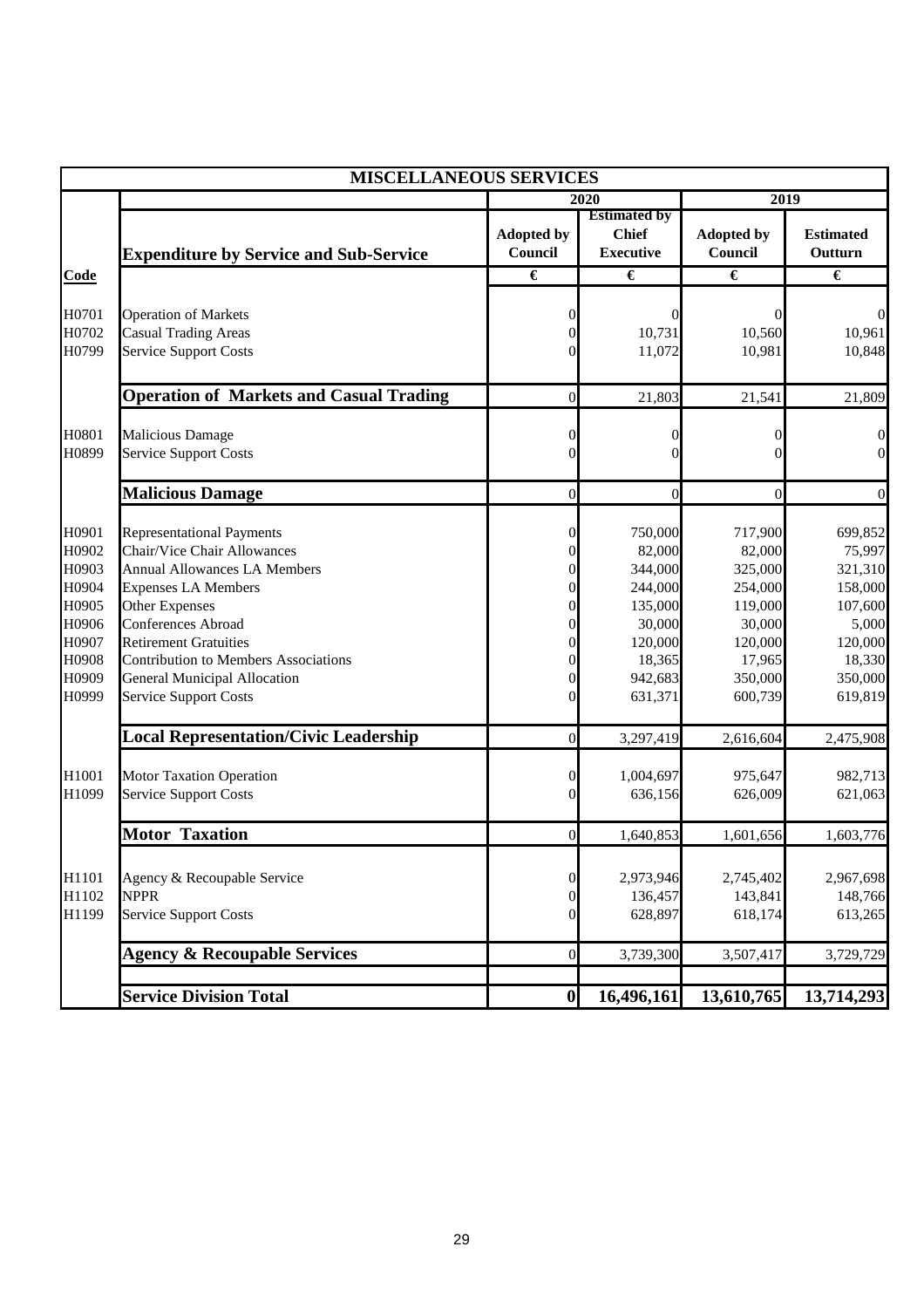|                                                                                        | <b>MISCELLANEOUS SERVICES</b>                                                                                                                                                                                                                                                                                                                                                                           |                                                                                                                                                                             |                                                                                                                      |                                                                                                                      |                                                                                                                     |
|----------------------------------------------------------------------------------------|---------------------------------------------------------------------------------------------------------------------------------------------------------------------------------------------------------------------------------------------------------------------------------------------------------------------------------------------------------------------------------------------------------|-----------------------------------------------------------------------------------------------------------------------------------------------------------------------------|----------------------------------------------------------------------------------------------------------------------|----------------------------------------------------------------------------------------------------------------------|---------------------------------------------------------------------------------------------------------------------|
|                                                                                        |                                                                                                                                                                                                                                                                                                                                                                                                         | 2020                                                                                                                                                                        |                                                                                                                      | 2019                                                                                                                 |                                                                                                                     |
|                                                                                        | <b>Expenditure by Service and Sub-Service</b>                                                                                                                                                                                                                                                                                                                                                           | <b>Adopted by</b><br>Council                                                                                                                                                | <b>Estimated by</b><br><b>Chief</b><br><b>Executive</b>                                                              | <b>Adopted by</b><br>Council                                                                                         | <b>Estimated</b><br>Outturn                                                                                         |
| <b>Code</b>                                                                            |                                                                                                                                                                                                                                                                                                                                                                                                         | $\overline{\epsilon}$                                                                                                                                                       | €                                                                                                                    | $\overline{\epsilon}$                                                                                                | €                                                                                                                   |
| H0701<br>H0702<br>H0799                                                                | <b>Operation of Markets</b><br><b>Casual Trading Areas</b><br><b>Service Support Costs</b>                                                                                                                                                                                                                                                                                                              | 0<br>$\mathbf{0}$<br>$\overline{0}$                                                                                                                                         | 0<br>10,731<br>11,072                                                                                                | $\theta$<br>10,560<br>10,981                                                                                         | $\Omega$<br>10,961<br>10,848                                                                                        |
|                                                                                        | <b>Operation of Markets and Casual Trading</b>                                                                                                                                                                                                                                                                                                                                                          | $\mathbf{0}$                                                                                                                                                                | 21,803                                                                                                               | 21,541                                                                                                               | 21,809                                                                                                              |
| H0801<br>H0899                                                                         | <b>Malicious Damage</b><br><b>Service Support Costs</b>                                                                                                                                                                                                                                                                                                                                                 | $\boldsymbol{0}$<br>$\theta$                                                                                                                                                | $\theta$<br>$\mathbf{0}$                                                                                             | $\theta$<br>$\theta$                                                                                                 | $\boldsymbol{0}$<br>$\overline{0}$                                                                                  |
|                                                                                        | <b>Malicious Damage</b>                                                                                                                                                                                                                                                                                                                                                                                 | $\overline{0}$                                                                                                                                                              | $\overline{0}$                                                                                                       | $\mathbf{0}$                                                                                                         | $\overline{0}$                                                                                                      |
| H0901<br>H0902<br>H0903<br>H0904<br>H0905<br>H0906<br>H0907<br>H0908<br>H0909<br>H0999 | <b>Representational Payments</b><br><b>Chair/Vice Chair Allowances</b><br><b>Annual Allowances LA Members</b><br><b>Expenses LA Members</b><br><b>Other Expenses</b><br><b>Conferences Abroad</b><br><b>Retirement Gratuities</b><br><b>Contribution to Members Associations</b><br><b>General Municipal Allocation</b><br><b>Service Support Costs</b><br><b>Local Representation/Civic Leadership</b> | 0<br>$\overline{0}$<br>$\overline{0}$<br>$\theta$<br>$\overline{0}$<br>$\overline{0}$<br>$\boldsymbol{0}$<br>$\boldsymbol{0}$<br>$\overline{0}$<br>$\theta$<br>$\mathbf{0}$ | 750,000<br>82,000<br>344,000<br>244,000<br>135,000<br>30,000<br>120,000<br>18,365<br>942,683<br>631,371<br>3,297,419 | 717,900<br>82,000<br>325,000<br>254,000<br>119,000<br>30,000<br>120,000<br>17,965<br>350,000<br>600,739<br>2,616,604 | 699,852<br>75,997<br>321,310<br>158,000<br>107,600<br>5,000<br>120,000<br>18,330<br>350,000<br>619,819<br>2,475,908 |
| H1001<br>H1099                                                                         | <b>Motor Taxation Operation</b><br><b>Service Support Costs</b>                                                                                                                                                                                                                                                                                                                                         | $\boldsymbol{0}$<br>$\mathbf{0}$                                                                                                                                            | 1,004,697<br>636,156                                                                                                 | 975,647<br>626,009                                                                                                   | 982,713<br>621,063                                                                                                  |
|                                                                                        | <b>Motor Taxation</b>                                                                                                                                                                                                                                                                                                                                                                                   | $\boldsymbol{0}$                                                                                                                                                            | 1,640,853                                                                                                            | 1,601,656                                                                                                            | 1,603,776                                                                                                           |
| H1101<br>H1102<br>H1199                                                                | Agency & Recoupable Service<br><b>NPPR</b><br><b>Service Support Costs</b>                                                                                                                                                                                                                                                                                                                              | $\boldsymbol{0}$<br>$\boldsymbol{0}$<br>$\overline{0}$                                                                                                                      | 2,973,946<br>136,457<br>628,897                                                                                      | 2,745,402<br>143,841<br>618,174                                                                                      | 2,967,698<br>148,766<br>613,265                                                                                     |
|                                                                                        | <b>Agency &amp; Recoupable Services</b>                                                                                                                                                                                                                                                                                                                                                                 | $\boldsymbol{0}$                                                                                                                                                            | 3,739,300                                                                                                            | 3,507,417                                                                                                            | 3,729,729                                                                                                           |
|                                                                                        | <b>Service Division Total</b>                                                                                                                                                                                                                                                                                                                                                                           | $\boldsymbol{0}$                                                                                                                                                            | 16,496,161                                                                                                           | 13,610,765                                                                                                           | 13,714,293                                                                                                          |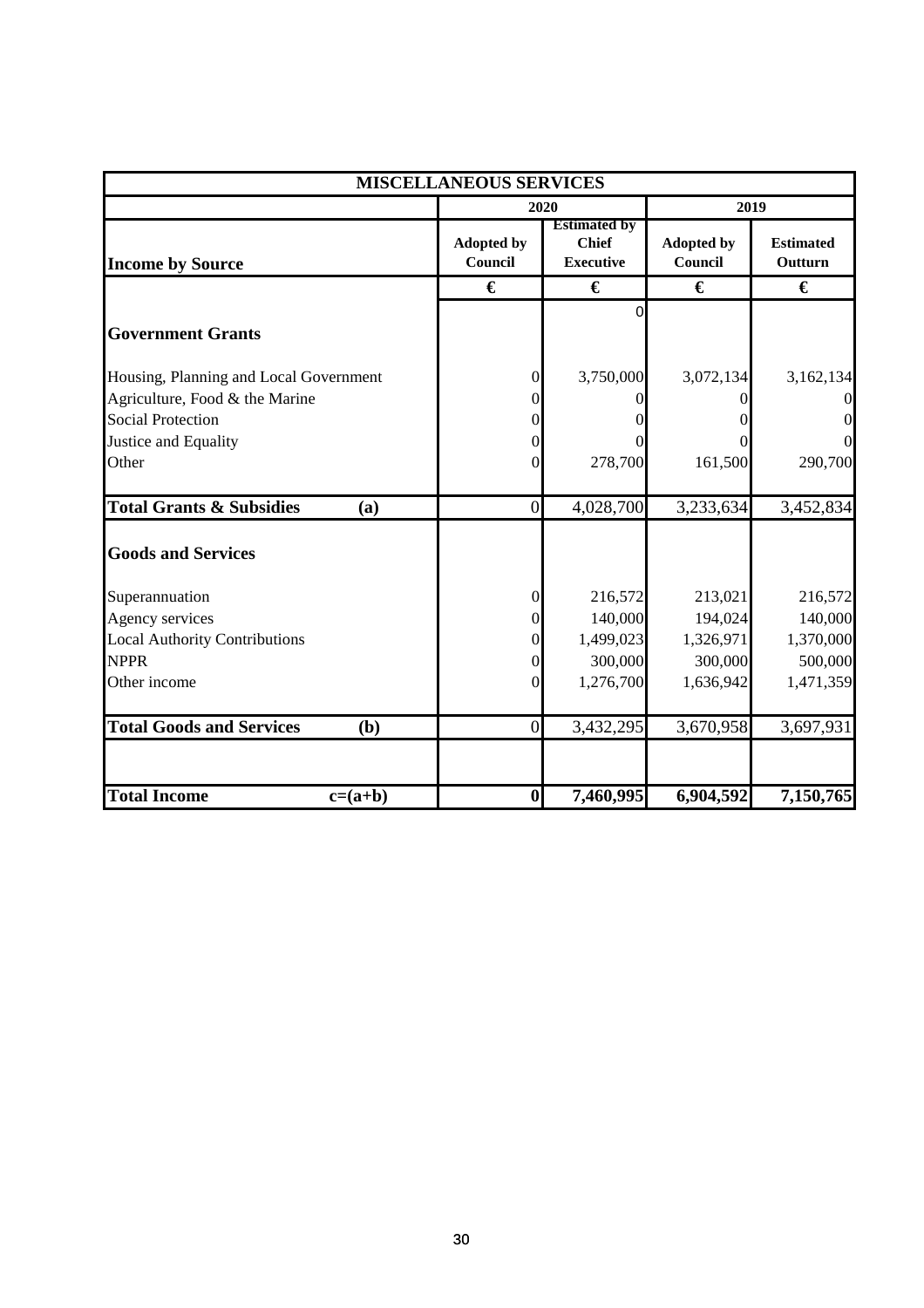| <b>MISCELLANEOUS SERVICES</b>              |                              |                                                         |                              |                             |  |
|--------------------------------------------|------------------------------|---------------------------------------------------------|------------------------------|-----------------------------|--|
|                                            |                              | 2020                                                    |                              | 2019                        |  |
| <b>Income by Source</b>                    | <b>Adopted by</b><br>Council | <b>Estimated by</b><br><b>Chief</b><br><b>Executive</b> | <b>Adopted by</b><br>Council | <b>Estimated</b><br>Outturn |  |
|                                            | €                            | €                                                       | €                            | €                           |  |
| <b>Government Grants</b>                   |                              | $\Omega$                                                |                              |                             |  |
| Housing, Planning and Local Government     | 0                            | 3,750,000                                               | 3,072,134                    | 3,162,134                   |  |
| Agriculture, Food & the Marine             |                              |                                                         |                              |                             |  |
| <b>Social Protection</b>                   |                              |                                                         |                              | $\boldsymbol{0}$            |  |
| Justice and Equality                       |                              |                                                         |                              | $\Omega$                    |  |
| Other                                      | 0                            | 278,700                                                 | 161,500                      | 290,700                     |  |
| <b>Total Grants &amp; Subsidies</b><br>(a) | $\overline{0}$               | 4,028,700                                               | 3,233,634                    | 3,452,834                   |  |
| <b>Goods and Services</b>                  |                              |                                                         |                              |                             |  |
| Superannuation                             | 0                            | 216,572                                                 | 213,021                      | 216,572                     |  |
| Agency services                            | 0                            | 140,000                                                 | 194,024                      | 140,000                     |  |
| <b>Local Authority Contributions</b>       | 0                            | 1,499,023                                               | 1,326,971                    | 1,370,000                   |  |
| <b>NPPR</b>                                | 0                            | 300,000                                                 | 300,000                      | 500,000                     |  |
| Other income                               | 0                            | 1,276,700                                               | 1,636,942                    | 1,471,359                   |  |
| <b>Total Goods and Services</b><br>(b)     | $\Omega$                     | 3,432,295                                               | 3,670,958                    | 3,697,931                   |  |
| <b>Total Income</b><br>$c=(a+b)$           | $\boldsymbol{0}$             | 7,460,995                                               | 6,904,592                    | 7,150,765                   |  |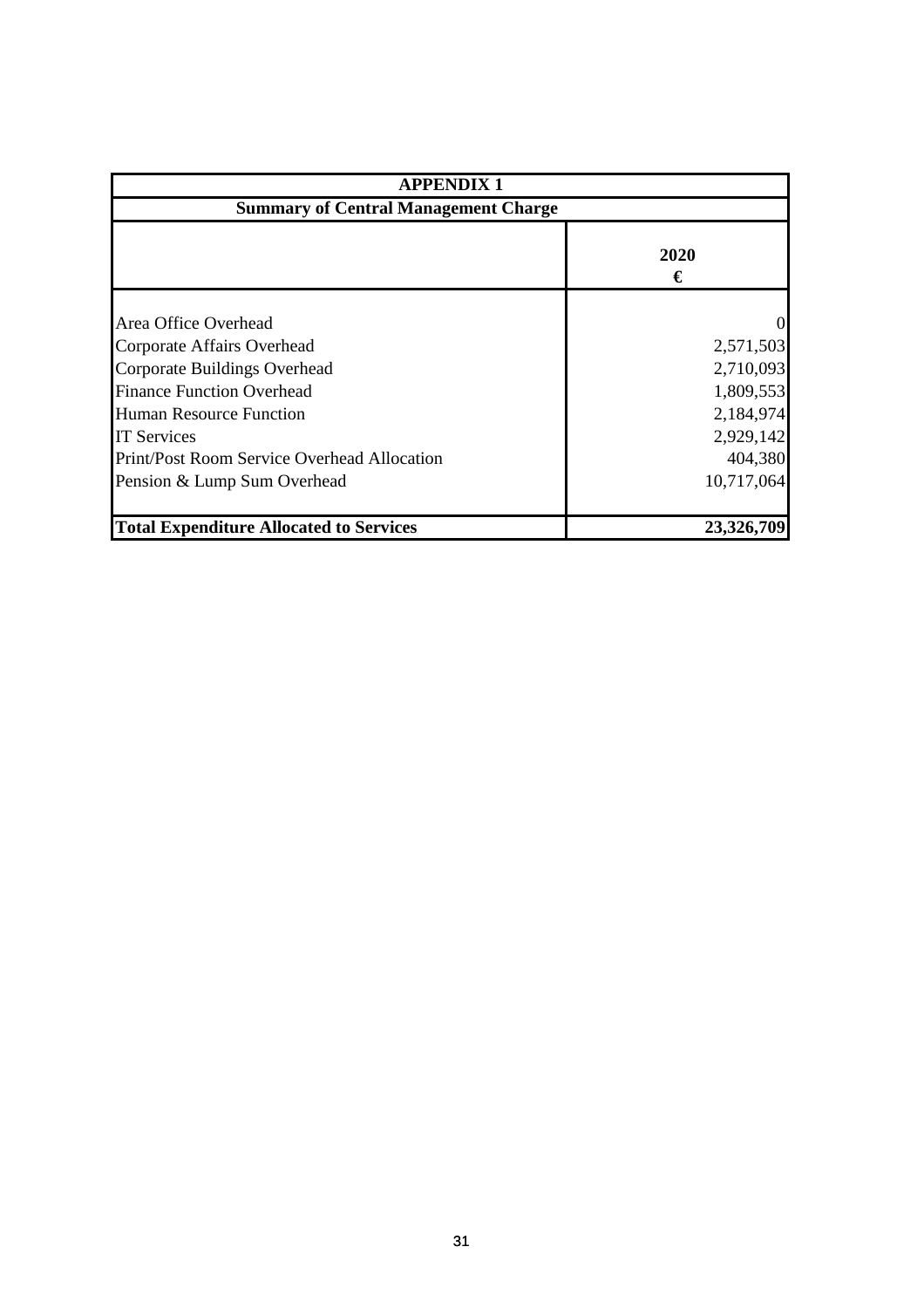| <b>APPENDIX 1</b>                              |            |  |  |
|------------------------------------------------|------------|--|--|
| <b>Summary of Central Management Charge</b>    |            |  |  |
|                                                | 2020<br>€  |  |  |
| Area Office Overhead                           | $\Omega$   |  |  |
| Corporate Affairs Overhead                     | 2,571,503  |  |  |
| Corporate Buildings Overhead                   | 2,710,093  |  |  |
| <b>Finance Function Overhead</b>               | 1,809,553  |  |  |
| Human Resource Function                        | 2,184,974  |  |  |
| <b>IT Services</b>                             | 2,929,142  |  |  |
| Print/Post Room Service Overhead Allocation    | 404,380    |  |  |
| Pension & Lump Sum Overhead                    | 10,717,064 |  |  |
| <b>Total Expenditure Allocated to Services</b> | 23,326,709 |  |  |